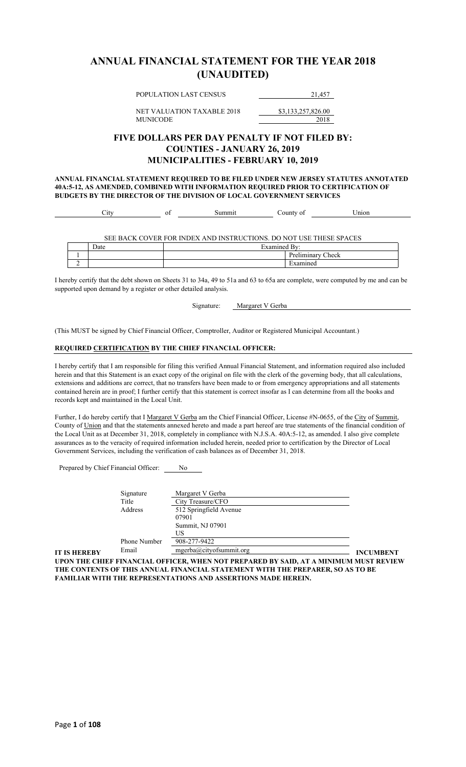## **ANNUAL FINANCIAL STATEMENT FOR THE YEAR 2018 (UNAUDITED)**

POPULATION LAST CENSUS 21,457

NET VALUATION TAXABLE 2018 \$3,133,257,826.00

MUNICODE 2018

### **FIVE DOLLARS PER DAY PENALTY IF NOT FILED BY: COUNTIES - JANUARY 26, 2019 MUNICIPALITIES - FEBRUARY 10, 2019**

**ANNUAL FINANCIAL STATEMENT REQUIRED TO BE FILED UNDER NEW JERSEY STATUTES ANNOTATED 40A:5-12, AS AMENDED, COMBINED WITH INFORMATION REQUIRED PRIOR TO CERTIFICATION OF BUDGETS BY THE DIRECTOR OF THE DIVISION OF LOCAL GOVERNMENT SERVICES**

| ັ້ |  | the contract of the contract of the<br>non |  |
|----|--|--------------------------------------------|--|
|    |  |                                            |  |

SEE BACK COVER FOR INDEX AND INSTRUCTIONS. DO NOT USE THESE SPACES

|   | Date | ╼<br>1.770.488<br> |                 |
|---|------|--------------------|-----------------|
|   |      |                    | –<br>Check<br>. |
| - |      |                    |                 |

I hereby certify that the debt shown on Sheets 31 to 34a, 49 to 51a and 63 to 65a are complete, were computed by me and can be supported upon demand by a register or other detailed analysis.

Signature: Margaret V Gerba

(This MUST be signed by Chief Financial Officer, Comptroller, Auditor or Registered Municipal Accountant.)

#### **REQUIRED CERTIFICATION BY THE CHIEF FINANCIAL OFFICER:**

I hereby certify that I am responsible for filing this verified Annual Financial Statement, and information required also included herein and that this Statement is an exact copy of the original on file with the clerk of the governing body, that all calculations, extensions and additions are correct, that no transfers have been made to or from emergency appropriations and all statements contained herein are in proof; I further certify that this statement is correct insofar as I can determine from all the books and records kept and maintained in the Local Unit.

Further, I do hereby certify that I Margaret V Gerba am the Chief Financial Officer, License #N-0655, of the City of Summit, County of Union and that the statements annexed hereto and made a part hereof are true statements of the financial condition of the Local Unit as at December 31, 2018, completely in compliance with N.J.S.A. 40A:5-12, as amended. I also give complete assurances as to the veracity of required information included herein, needed prior to certification by the Director of Local Government Services, including the verification of cash balances as of December 31, 2018.

Prepared by Chief Financial Officer: No

|                     | Signature    | Margaret V Gerba        |                  |
|---------------------|--------------|-------------------------|------------------|
|                     | Title        | City Treasure/CFO       |                  |
|                     | Address      | 512 Springfield Avenue  |                  |
|                     |              | 07901                   |                  |
|                     |              | Summit, NJ 07901        |                  |
|                     |              | US                      |                  |
|                     | Phone Number | 908-277-9422            |                  |
| <b>IT IS HEREBY</b> | Email        | mgerba@cityofsummit.org | <b>INCUMBENT</b> |

**UPON THE CHIEF FINANCIAL OFFICER, WHEN NOT PREPARED BY SAID, AT A MINIMUM MUST REVIEW THE CONTENTS OF THIS ANNUAL FINANCIAL STATEMENT WITH THE PREPARER, SO AS TO BE FAMILIAR WITH THE REPRESENTATIONS AND ASSERTIONS MADE HEREIN.**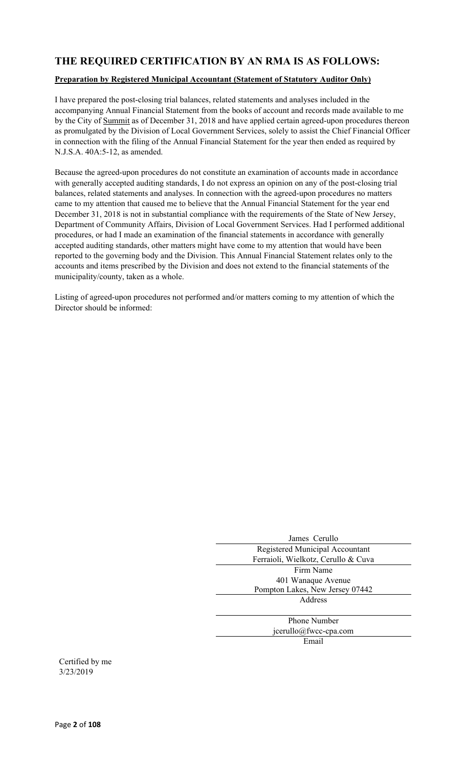## **THE REQUIRED CERTIFICATION BY AN RMA IS AS FOLLOWS:**

### **Preparation by Registered Municipal Accountant (Statement of Statutory Auditor Only)**

I have prepared the post-closing trial balances, related statements and analyses included in the accompanying Annual Financial Statement from the books of account and records made available to me by the City of Summit as of December 31, 2018 and have applied certain agreed-upon procedures thereon as promulgated by the Division of Local Government Services, solely to assist the Chief Financial Officer in connection with the filing of the Annual Financial Statement for the year then ended as required by N.J.S.A. 40A:5-12, as amended.

Because the agreed-upon procedures do not constitute an examination of accounts made in accordance with generally accepted auditing standards, I do not express an opinion on any of the post-closing trial balances, related statements and analyses. In connection with the agreed-upon procedures no matters came to my attention that caused me to believe that the Annual Financial Statement for the year end December 31, 2018 is not in substantial compliance with the requirements of the State of New Jersey, Department of Community Affairs, Division of Local Government Services. Had I performed additional procedures, or had I made an examination of the financial statements in accordance with generally accepted auditing standards, other matters might have come to my attention that would have been reported to the governing body and the Division. This Annual Financial Statement relates only to the accounts and items prescribed by the Division and does not extend to the financial statements of the municipality/county, taken as a whole.

Listing of agreed-upon procedures not performed and/or matters coming to my attention of which the Director should be informed:

| James Cerullo                       |
|-------------------------------------|
| Registered Municipal Accountant     |
| Ferraioli, Wielkotz, Cerullo & Cuva |
| Firm Name                           |
| 401 Wanaque Avenue                  |
| Pompton Lakes, New Jersey 07442     |
| Address                             |
|                                     |
| <b>Phone Number</b>                 |
| jcerullo@fwcc-cpa.com               |
| Email                               |
|                                     |

Certified by me 3/23/2019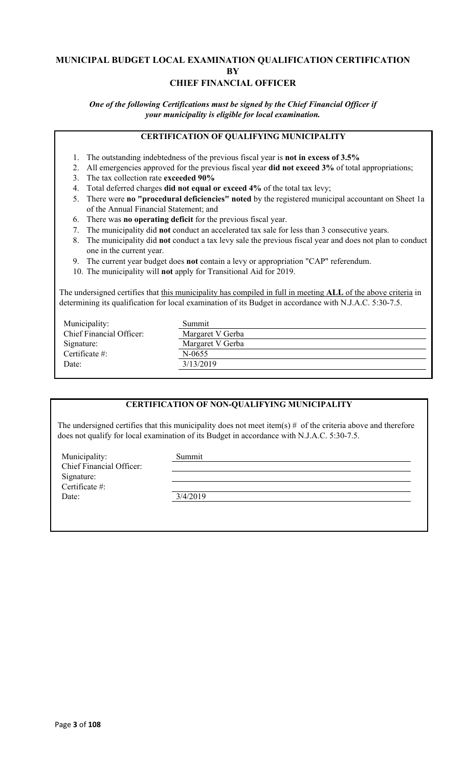### **MUNICIPAL BUDGET LOCAL EXAMINATION QUALIFICATION CERTIFICATION BY CHIEF FINANCIAL OFFICER**

*One of the following Certifications must be signed by the Chief Financial Officer if your municipality is eligible for local examination.*

### **CERTIFICATION OF QUALIFYING MUNICIPALITY**

- 1. The outstanding indebtedness of the previous fiscal year is **not in excess of 3.5%**
- 2. All emergencies approved for the previous fiscal year **did not exceed 3%** of total appropriations;
- 3. The tax collection rate **exceeded 90%**
- 4. Total deferred charges **did not equal or exceed 4%** of the total tax levy;
- 5. There were **no "procedural deficiencies" noted** by the registered municipal accountant on Sheet 1a of the Annual Financial Statement; and
- 6. There was **no operating deficit** for the previous fiscal year.
- 7. The municipality did **not** conduct an accelerated tax sale for less than 3 consecutive years.
- 8. The municipality did **not** conduct a tax levy sale the previous fiscal year and does not plan to conduct one in the current year.
- 9. The current year budget does **not** contain a levy or appropriation "CAP" referendum.
- 10. The municipality will **not** apply for Transitional Aid for 2019.

The undersigned certifies that this municipality has compiled in full in meeting **ALL** of the above criteria in determining its qualification for local examination of its Budget in accordance with N.J.A.C. 5:30-7.5.

| Municipality:                   | Summit           |
|---------------------------------|------------------|
| <b>Chief Financial Officer:</b> | Margaret V Gerba |
| Signature:                      | Margaret V Gerba |
| Certificate $\#$ :              | $N-0655$         |
| Date:                           | 3/13/2019        |
|                                 |                  |

### **CERTIFICATION OF NON-QUALIFYING MUNICIPALITY**

The undersigned certifies that this municipality does not meet item(s)  $#$  of the criteria above and therefore does not qualify for local examination of its Budget in accordance with N.J.A.C. 5:30-7.5.

Municipality: Summit Chief Financial Officer: Signature: Certificate #: Date: 3/4/2019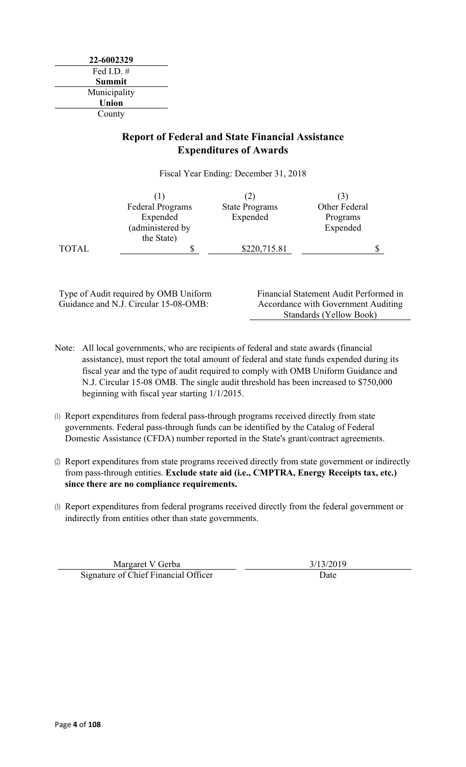**22-6002329** Fed I.D. # **Summit** Municipality **Union** County

## **Report of Federal and State Financial Assistance Expenditures of Awards**

Fiscal Year Ending: December 31, 2018

|              | <b>Federal Programs</b> | <b>State Programs</b> | Other Federal |  |
|--------------|-------------------------|-----------------------|---------------|--|
|              | Expended                | Expended              | Programs      |  |
|              | (administered by        |                       | Expended      |  |
|              | the State)              |                       |               |  |
| <b>TOTAL</b> | J                       | \$220,715.81          |               |  |

Type of Audit required by OMB Uniform Guidance and N.J. Circular 15-08-OMB:

Financial Statement Audit Performed in Accordance with Government Auditing Standards (Yellow Book)

- Note: All local governments, who are recipients of federal and state awards (financial assistance), must report the total amount of federal and state funds expended during its fiscal year and the type of audit required to comply with OMB Uniform Guidance and N.J. Circular 15-08 OMB. The single audit threshold has been increased to \$750,000 beginning with fiscal year starting 1/1/2015.
- (1) Report expenditures from federal pass-through programs received directly from state governments. Federal pass-through funds can be identified by the Catalog of Federal Domestic Assistance (CFDA) number reported in the State's grant/contract agreements.
- (2) Report expenditures from state programs received directly from state government or indirectly from pass-through entities. **Exclude state aid (i.e., CMPTRA, Energy Receipts tax, etc.) since there are no compliance requirements.**
- (3) Report expenditures from federal programs received directly from the federal government or indirectly from entities other than state governments.

Margaret V Gerba 3/13/2019 Signature of Chief Financial Officer Date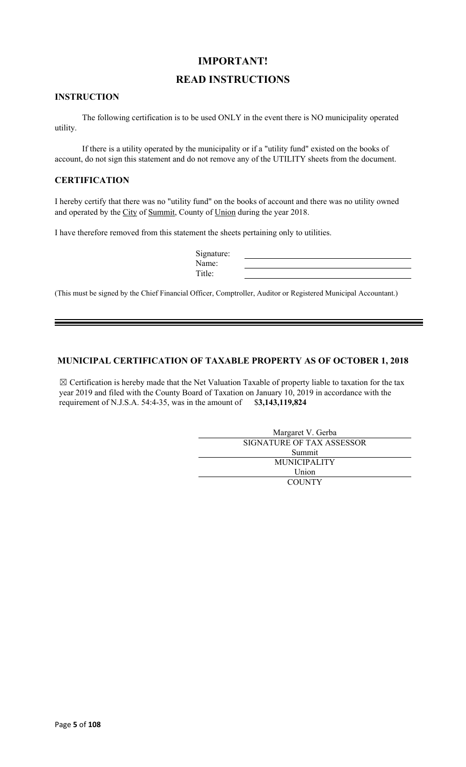## **IMPORTANT!**

### **READ INSTRUCTIONS**

### **INSTRUCTION**

The following certification is to be used ONLY in the event there is NO municipality operated utility.

If there is a utility operated by the municipality or if a "utility fund" existed on the books of account, do not sign this statement and do not remove any of the UTILITY sheets from the document.

### **CERTIFICATION**

I hereby certify that there was no "utility fund" on the books of account and there was no utility owned and operated by the City of Summit, County of Union during the year 2018.

I have therefore removed from this statement the sheets pertaining only to utilities.

| Signature: |  |
|------------|--|
| Name:      |  |
| `itle:     |  |

(This must be signed by the Chief Financial Officer, Comptroller, Auditor or Registered Municipal Accountant.)

### **MUNICIPAL CERTIFICATION OF TAXABLE PROPERTY AS OF OCTOBER 1, 2018**

 $\boxtimes$  Certification is hereby made that the Net Valuation Taxable of property liable to taxation for the tax year 2019 and filed with the County Board of Taxation on January 10, 2019 in accordance with the requirement of N.J.S.A. 54:4-35, was in the amount of \$**3,143,119,824**

| Margaret V. Gerba         |
|---------------------------|
| SIGNATURE OF TAX ASSESSOR |
| Summit                    |
| <b>MUNICIPALITY</b>       |
| Union                     |
| <b>COUNTY</b>             |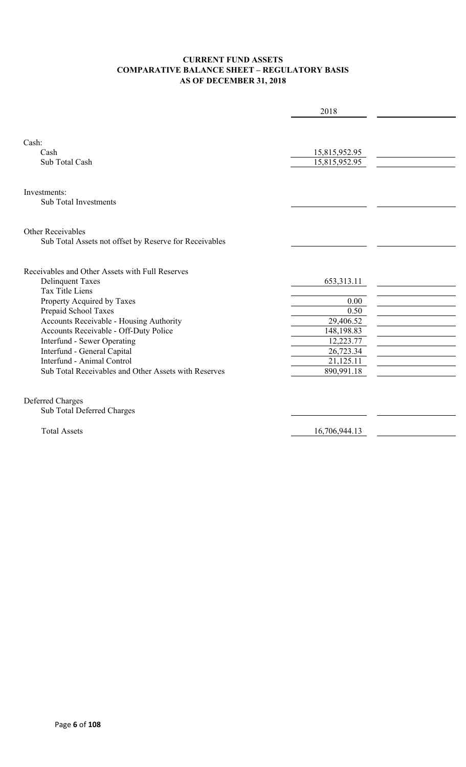### **CURRENT FUND ASSETS COMPARATIVE BALANCE SHEET – REGULATORY BASIS AS OF DECEMBER 31, 2018**

|                                                        | 2018          |  |
|--------------------------------------------------------|---------------|--|
|                                                        |               |  |
| Cash:                                                  |               |  |
| Cash                                                   | 15,815,952.95 |  |
| Sub Total Cash                                         | 15,815,952.95 |  |
|                                                        |               |  |
| Investments:                                           |               |  |
| <b>Sub Total Investments</b>                           |               |  |
|                                                        |               |  |
| <b>Other Receivables</b>                               |               |  |
| Sub Total Assets not offset by Reserve for Receivables |               |  |
|                                                        |               |  |
| Receivables and Other Assets with Full Reserves        |               |  |
| <b>Delinquent Taxes</b>                                | 653,313.11    |  |
| <b>Tax Title Liens</b>                                 |               |  |
| Property Acquired by Taxes                             | 0.00          |  |
| Prepaid School Taxes                                   | 0.50          |  |
| Accounts Receivable - Housing Authority                | 29,406.52     |  |
| Accounts Receivable - Off-Duty Police                  | 148,198.83    |  |
| Interfund - Sewer Operating                            | 12,223.77     |  |
| Interfund - General Capital                            | 26,723.34     |  |
| Interfund - Animal Control                             | 21,125.11     |  |
| Sub Total Receivables and Other Assets with Reserves   | 890,991.18    |  |
|                                                        |               |  |
| Deferred Charges                                       |               |  |
| Sub Total Deferred Charges                             |               |  |
| <b>Total Assets</b>                                    | 16,706,944.13 |  |
|                                                        |               |  |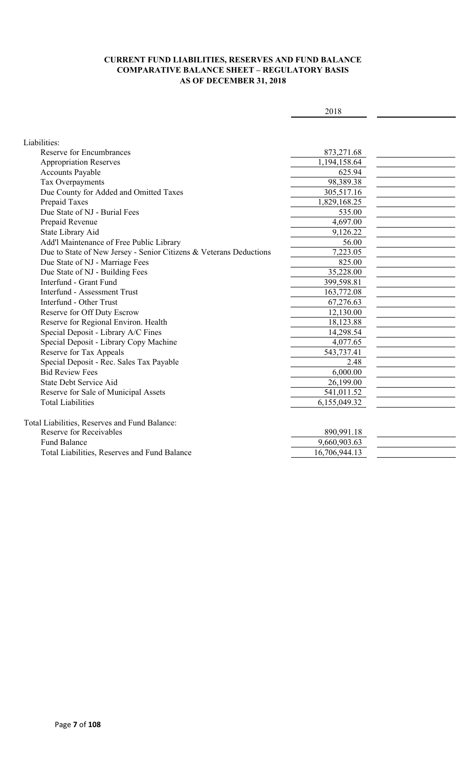### **CURRENT FUND LIABILITIES, RESERVES AND FUND BALANCE COMPARATIVE BALANCE SHEET – REGULATORY BASIS AS OF DECEMBER 31, 2018**

| Liabilities:<br><b>Reserve for Encumbrances</b><br>873,271.68<br>1,194,158.64<br><b>Appropriation Reserves</b><br><b>Accounts Payable</b><br>625.94<br>98,389.38<br>Tax Overpayments<br>Due County for Added and Omitted Taxes<br>305,517.16<br>Prepaid Taxes<br>1,829,168.25<br>Due State of NJ - Burial Fees<br>535.00<br>Prepaid Revenue<br>4,697.00<br>State Library Aid<br>9,126.22<br>Add'l Maintenance of Free Public Library<br>56.00<br>7,223.05<br>Due to State of New Jersey - Senior Citizens & Veterans Deductions<br>Due State of NJ - Marriage Fees<br>825.00<br>35,228.00<br>Due State of NJ - Building Fees<br>Interfund - Grant Fund<br>399,598.81<br><b>Interfund - Assessment Trust</b><br>163,772.08<br>Interfund - Other Trust<br>67,276.63<br>Reserve for Off Duty Escrow<br>12,130.00<br>18,123.88<br>Reserve for Regional Environ. Health<br>Special Deposit - Library A/C Fines<br>14,298.54<br>Special Deposit - Library Copy Machine<br>4,077.65<br>Reserve for Tax Appeals<br>543,737.41<br>Special Deposit - Rec. Sales Tax Payable<br>2.48<br><b>Bid Review Fees</b><br>6,000.00<br>State Debt Service Aid<br>26,199.00<br>Reserve for Sale of Municipal Assets<br>541,011.52<br><b>Total Liabilities</b><br>6,155,049.32<br>Total Liabilities, Reserves and Fund Balance:<br>Reserve for Receivables<br>890,991.18<br><b>Fund Balance</b><br>9,660,903.63<br>Total Liabilities, Reserves and Fund Balance<br>16,706,944.13 | 2018 |  |
|------------------------------------------------------------------------------------------------------------------------------------------------------------------------------------------------------------------------------------------------------------------------------------------------------------------------------------------------------------------------------------------------------------------------------------------------------------------------------------------------------------------------------------------------------------------------------------------------------------------------------------------------------------------------------------------------------------------------------------------------------------------------------------------------------------------------------------------------------------------------------------------------------------------------------------------------------------------------------------------------------------------------------------------------------------------------------------------------------------------------------------------------------------------------------------------------------------------------------------------------------------------------------------------------------------------------------------------------------------------------------------------------------------------------------------------------------------|------|--|
|                                                                                                                                                                                                                                                                                                                                                                                                                                                                                                                                                                                                                                                                                                                                                                                                                                                                                                                                                                                                                                                                                                                                                                                                                                                                                                                                                                                                                                                            |      |  |
|                                                                                                                                                                                                                                                                                                                                                                                                                                                                                                                                                                                                                                                                                                                                                                                                                                                                                                                                                                                                                                                                                                                                                                                                                                                                                                                                                                                                                                                            |      |  |
|                                                                                                                                                                                                                                                                                                                                                                                                                                                                                                                                                                                                                                                                                                                                                                                                                                                                                                                                                                                                                                                                                                                                                                                                                                                                                                                                                                                                                                                            |      |  |
|                                                                                                                                                                                                                                                                                                                                                                                                                                                                                                                                                                                                                                                                                                                                                                                                                                                                                                                                                                                                                                                                                                                                                                                                                                                                                                                                                                                                                                                            |      |  |
|                                                                                                                                                                                                                                                                                                                                                                                                                                                                                                                                                                                                                                                                                                                                                                                                                                                                                                                                                                                                                                                                                                                                                                                                                                                                                                                                                                                                                                                            |      |  |
|                                                                                                                                                                                                                                                                                                                                                                                                                                                                                                                                                                                                                                                                                                                                                                                                                                                                                                                                                                                                                                                                                                                                                                                                                                                                                                                                                                                                                                                            |      |  |
|                                                                                                                                                                                                                                                                                                                                                                                                                                                                                                                                                                                                                                                                                                                                                                                                                                                                                                                                                                                                                                                                                                                                                                                                                                                                                                                                                                                                                                                            |      |  |
|                                                                                                                                                                                                                                                                                                                                                                                                                                                                                                                                                                                                                                                                                                                                                                                                                                                                                                                                                                                                                                                                                                                                                                                                                                                                                                                                                                                                                                                            |      |  |
|                                                                                                                                                                                                                                                                                                                                                                                                                                                                                                                                                                                                                                                                                                                                                                                                                                                                                                                                                                                                                                                                                                                                                                                                                                                                                                                                                                                                                                                            |      |  |
|                                                                                                                                                                                                                                                                                                                                                                                                                                                                                                                                                                                                                                                                                                                                                                                                                                                                                                                                                                                                                                                                                                                                                                                                                                                                                                                                                                                                                                                            |      |  |
|                                                                                                                                                                                                                                                                                                                                                                                                                                                                                                                                                                                                                                                                                                                                                                                                                                                                                                                                                                                                                                                                                                                                                                                                                                                                                                                                                                                                                                                            |      |  |
|                                                                                                                                                                                                                                                                                                                                                                                                                                                                                                                                                                                                                                                                                                                                                                                                                                                                                                                                                                                                                                                                                                                                                                                                                                                                                                                                                                                                                                                            |      |  |
|                                                                                                                                                                                                                                                                                                                                                                                                                                                                                                                                                                                                                                                                                                                                                                                                                                                                                                                                                                                                                                                                                                                                                                                                                                                                                                                                                                                                                                                            |      |  |
|                                                                                                                                                                                                                                                                                                                                                                                                                                                                                                                                                                                                                                                                                                                                                                                                                                                                                                                                                                                                                                                                                                                                                                                                                                                                                                                                                                                                                                                            |      |  |
|                                                                                                                                                                                                                                                                                                                                                                                                                                                                                                                                                                                                                                                                                                                                                                                                                                                                                                                                                                                                                                                                                                                                                                                                                                                                                                                                                                                                                                                            |      |  |
|                                                                                                                                                                                                                                                                                                                                                                                                                                                                                                                                                                                                                                                                                                                                                                                                                                                                                                                                                                                                                                                                                                                                                                                                                                                                                                                                                                                                                                                            |      |  |
|                                                                                                                                                                                                                                                                                                                                                                                                                                                                                                                                                                                                                                                                                                                                                                                                                                                                                                                                                                                                                                                                                                                                                                                                                                                                                                                                                                                                                                                            |      |  |
|                                                                                                                                                                                                                                                                                                                                                                                                                                                                                                                                                                                                                                                                                                                                                                                                                                                                                                                                                                                                                                                                                                                                                                                                                                                                                                                                                                                                                                                            |      |  |
|                                                                                                                                                                                                                                                                                                                                                                                                                                                                                                                                                                                                                                                                                                                                                                                                                                                                                                                                                                                                                                                                                                                                                                                                                                                                                                                                                                                                                                                            |      |  |
|                                                                                                                                                                                                                                                                                                                                                                                                                                                                                                                                                                                                                                                                                                                                                                                                                                                                                                                                                                                                                                                                                                                                                                                                                                                                                                                                                                                                                                                            |      |  |
|                                                                                                                                                                                                                                                                                                                                                                                                                                                                                                                                                                                                                                                                                                                                                                                                                                                                                                                                                                                                                                                                                                                                                                                                                                                                                                                                                                                                                                                            |      |  |
|                                                                                                                                                                                                                                                                                                                                                                                                                                                                                                                                                                                                                                                                                                                                                                                                                                                                                                                                                                                                                                                                                                                                                                                                                                                                                                                                                                                                                                                            |      |  |
|                                                                                                                                                                                                                                                                                                                                                                                                                                                                                                                                                                                                                                                                                                                                                                                                                                                                                                                                                                                                                                                                                                                                                                                                                                                                                                                                                                                                                                                            |      |  |
|                                                                                                                                                                                                                                                                                                                                                                                                                                                                                                                                                                                                                                                                                                                                                                                                                                                                                                                                                                                                                                                                                                                                                                                                                                                                                                                                                                                                                                                            |      |  |
|                                                                                                                                                                                                                                                                                                                                                                                                                                                                                                                                                                                                                                                                                                                                                                                                                                                                                                                                                                                                                                                                                                                                                                                                                                                                                                                                                                                                                                                            |      |  |
|                                                                                                                                                                                                                                                                                                                                                                                                                                                                                                                                                                                                                                                                                                                                                                                                                                                                                                                                                                                                                                                                                                                                                                                                                                                                                                                                                                                                                                                            |      |  |
|                                                                                                                                                                                                                                                                                                                                                                                                                                                                                                                                                                                                                                                                                                                                                                                                                                                                                                                                                                                                                                                                                                                                                                                                                                                                                                                                                                                                                                                            |      |  |
|                                                                                                                                                                                                                                                                                                                                                                                                                                                                                                                                                                                                                                                                                                                                                                                                                                                                                                                                                                                                                                                                                                                                                                                                                                                                                                                                                                                                                                                            |      |  |
|                                                                                                                                                                                                                                                                                                                                                                                                                                                                                                                                                                                                                                                                                                                                                                                                                                                                                                                                                                                                                                                                                                                                                                                                                                                                                                                                                                                                                                                            |      |  |
|                                                                                                                                                                                                                                                                                                                                                                                                                                                                                                                                                                                                                                                                                                                                                                                                                                                                                                                                                                                                                                                                                                                                                                                                                                                                                                                                                                                                                                                            |      |  |
|                                                                                                                                                                                                                                                                                                                                                                                                                                                                                                                                                                                                                                                                                                                                                                                                                                                                                                                                                                                                                                                                                                                                                                                                                                                                                                                                                                                                                                                            |      |  |
|                                                                                                                                                                                                                                                                                                                                                                                                                                                                                                                                                                                                                                                                                                                                                                                                                                                                                                                                                                                                                                                                                                                                                                                                                                                                                                                                                                                                                                                            |      |  |
|                                                                                                                                                                                                                                                                                                                                                                                                                                                                                                                                                                                                                                                                                                                                                                                                                                                                                                                                                                                                                                                                                                                                                                                                                                                                                                                                                                                                                                                            |      |  |
|                                                                                                                                                                                                                                                                                                                                                                                                                                                                                                                                                                                                                                                                                                                                                                                                                                                                                                                                                                                                                                                                                                                                                                                                                                                                                                                                                                                                                                                            |      |  |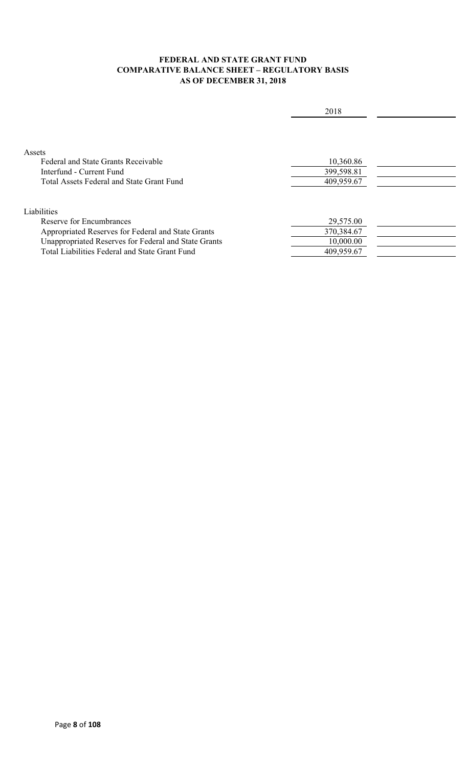### **FEDERAL AND STATE GRANT FUND COMPARATIVE BALANCE SHEET – REGULATORY BASIS AS OF DECEMBER 31, 2018**

|                                                                           | 2018                    |  |
|---------------------------------------------------------------------------|-------------------------|--|
| Assets<br>Federal and State Grants Receivable<br>Interfund - Current Fund | 10,360.86<br>399,598.81 |  |
| <b>Total Assets Federal and State Grant Fund</b>                          | 409,959.67              |  |
| Liabilities                                                               |                         |  |
| Reserve for Encumbrances                                                  | 29,575.00               |  |
| Appropriated Reserves for Federal and State Grants                        | 370,384.67              |  |
| Unappropriated Reserves for Federal and State Grants                      | 10,000.00               |  |
| Total Liabilities Federal and State Grant Fund                            | 409,959.67              |  |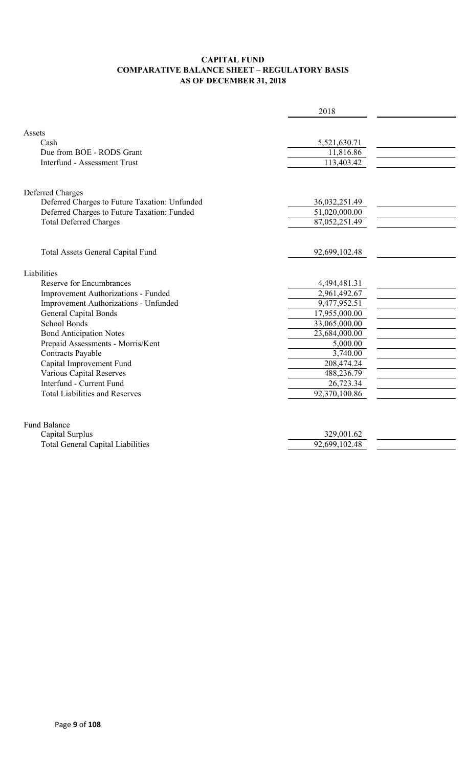### **CAPITAL FUND COMPARATIVE BALANCE SHEET – REGULATORY BASIS AS OF DECEMBER 31, 2018**

|                                               | 2018          |  |
|-----------------------------------------------|---------------|--|
|                                               |               |  |
| Assets                                        |               |  |
| Cash                                          | 5,521,630.71  |  |
| Due from BOE - RODS Grant                     | 11,816.86     |  |
| <b>Interfund - Assessment Trust</b>           | 113,403.42    |  |
| Deferred Charges                              |               |  |
| Deferred Charges to Future Taxation: Unfunded | 36,032,251.49 |  |
| Deferred Charges to Future Taxation: Funded   | 51,020,000.00 |  |
| <b>Total Deferred Charges</b>                 | 87,052,251.49 |  |
| Total Assets General Capital Fund             | 92,699,102.48 |  |
| Liabilities                                   |               |  |
| <b>Reserve for Encumbrances</b>               | 4,494,481.31  |  |
| Improvement Authorizations - Funded           | 2,961,492.67  |  |
| Improvement Authorizations - Unfunded         | 9,477,952.51  |  |
| <b>General Capital Bonds</b>                  | 17,955,000.00 |  |
| <b>School Bonds</b>                           | 33,065,000.00 |  |
| <b>Bond Anticipation Notes</b>                | 23,684,000.00 |  |
| Prepaid Assessments - Morris/Kent             | 5,000.00      |  |
| Contracts Payable                             | 3,740.00      |  |
| Capital Improvement Fund                      | 208,474.24    |  |
| <b>Various Capital Reserves</b>               | 488,236.79    |  |
| Interfund - Current Fund                      | 26,723.34     |  |
| <b>Total Liabilities and Reserves</b>         | 92,370,100.86 |  |
| <b>Fund Balance</b>                           |               |  |
| Capital Surplus                               | 329,001.62    |  |

| Capital Duiplus                          | <u>JZJ.UUT.UZ</u> |
|------------------------------------------|-------------------|
| <b>Fotal General Capital Liabilities</b> | 92,699,102.48     |
|                                          |                   |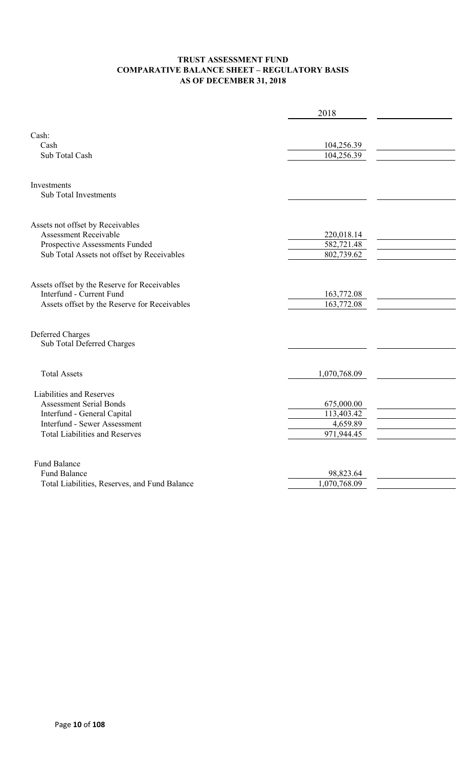### **TRUST ASSESSMENT FUND COMPARATIVE BALANCE SHEET – REGULATORY BASIS AS OF DECEMBER 31, 2018**

|                                               | 2018                      |  |
|-----------------------------------------------|---------------------------|--|
|                                               |                           |  |
| Cash:                                         |                           |  |
| Cash                                          | 104,256.39                |  |
| Sub Total Cash                                | 104,256.39                |  |
|                                               |                           |  |
| Investments                                   |                           |  |
| <b>Sub Total Investments</b>                  |                           |  |
| Assets not offset by Receivables              |                           |  |
| <b>Assessment Receivable</b>                  | 220,018.14                |  |
| Prospective Assessments Funded                | 582,721.48                |  |
| Sub Total Assets not offset by Receivables    | 802,739.62                |  |
|                                               |                           |  |
| Assets offset by the Reserve for Receivables  |                           |  |
| Interfund - Current Fund                      | 163,772.08                |  |
| Assets offset by the Reserve for Receivables  | 163,772.08                |  |
|                                               |                           |  |
| <b>Deferred Charges</b>                       |                           |  |
| Sub Total Deferred Charges                    |                           |  |
|                                               |                           |  |
| <b>Total Assets</b>                           | 1,070,768.09              |  |
| Liabilities and Reserves                      |                           |  |
| <b>Assessment Serial Bonds</b>                | 675,000.00                |  |
| Interfund - General Capital                   | 113,403.42                |  |
| <b>Interfund - Sewer Assessment</b>           | 4,659.89                  |  |
| <b>Total Liabilities and Reserves</b>         | 971,944.45                |  |
|                                               |                           |  |
| <b>Fund Balance</b><br><b>Fund Balance</b>    |                           |  |
| Total Liabilities, Reserves, and Fund Balance | 98,823.64<br>1,070,768.09 |  |
|                                               |                           |  |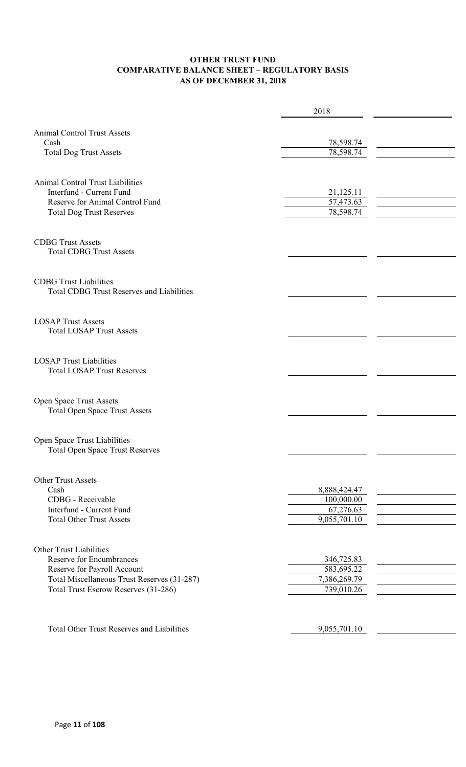### **OTHER TRUST FUND COMPARATIVE BALANCE SHEET – REGULATORY BASIS AS OF DECEMBER 31, 2018**

|                                                             | 2018         |  |
|-------------------------------------------------------------|--------------|--|
|                                                             |              |  |
| <b>Animal Control Trust Assets</b>                          |              |  |
| Cash                                                        | 78,598.74    |  |
| <b>Total Dog Trust Assets</b>                               | 78,598.74    |  |
|                                                             |              |  |
| <b>Animal Control Trust Liabilities</b>                     |              |  |
| Interfund - Current Fund                                    | 21,125.11    |  |
| Reserve for Animal Control Fund                             | 57,473.63    |  |
| <b>Total Dog Trust Reserves</b>                             | 78,598.74    |  |
|                                                             |              |  |
| <b>CDBG Trust Assets</b>                                    |              |  |
| <b>Total CDBG Trust Assets</b>                              |              |  |
|                                                             |              |  |
| <b>CDBG</b> Trust Liabilities                               |              |  |
| <b>Total CDBG Trust Reserves and Liabilities</b>            |              |  |
|                                                             |              |  |
|                                                             |              |  |
| <b>LOSAP Trust Assets</b>                                   |              |  |
| <b>Total LOSAP Trust Assets</b>                             |              |  |
|                                                             |              |  |
| <b>LOSAP Trust Liabilities</b>                              |              |  |
| <b>Total LOSAP Trust Reserves</b>                           |              |  |
|                                                             |              |  |
|                                                             |              |  |
| Open Space Trust Assets                                     |              |  |
| <b>Total Open Space Trust Assets</b>                        |              |  |
|                                                             |              |  |
| Open Space Trust Liabilities                                |              |  |
| <b>Total Open Space Trust Reserves</b>                      |              |  |
|                                                             |              |  |
|                                                             |              |  |
| Other Trust Assets                                          |              |  |
| Cash                                                        | 8,888,424.47 |  |
| CDBG - Receivable                                           | 100,000.00   |  |
| Interfund - Current Fund<br><b>Total Other Trust Assets</b> | 67,276.63    |  |
|                                                             | 9,055,701.10 |  |
|                                                             |              |  |
| <b>Other Trust Liabilities</b>                              |              |  |
| <b>Reserve for Encumbrances</b>                             | 346,725.83   |  |
| Reserve for Payroll Account                                 | 583,695.22   |  |
| Total Miscellaneous Trust Reserves (31-287)                 | 7,386,269.79 |  |
| Total Trust Escrow Reserves (31-286)                        | 739,010.26   |  |
|                                                             |              |  |
|                                                             |              |  |
| <b>Total Other Trust Reserves and Liabilities</b>           | 9,055,701.10 |  |
|                                                             |              |  |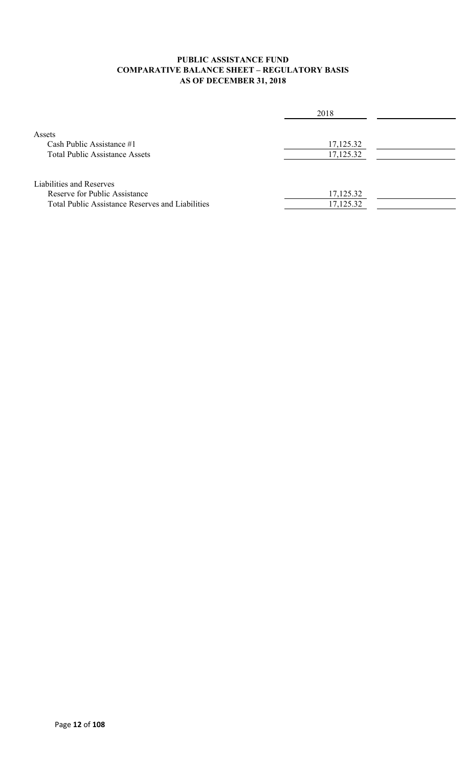### **PUBLIC ASSISTANCE FUND COMPARATIVE BALANCE SHEET – REGULATORY BASIS AS OF DECEMBER 31, 2018**

|                                                                                                                      | 2018                   |  |
|----------------------------------------------------------------------------------------------------------------------|------------------------|--|
| Assets<br>Cash Public Assistance #1<br><b>Total Public Assistance Assets</b>                                         | 17,125.32<br>17,125.32 |  |
| Liabilities and Reserves<br>Reserve for Public Assistance<br><b>Total Public Assistance Reserves and Liabilities</b> | 17,125.32<br>17,125.32 |  |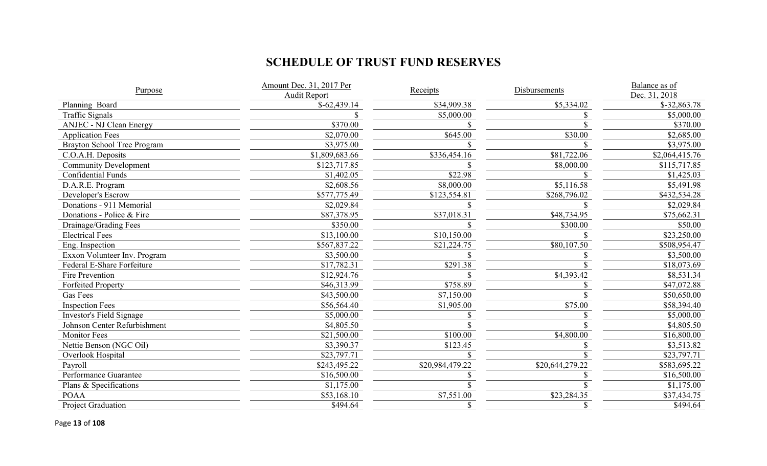# **SCHEDULE OF TRUST FUND RESERVES**

| Purpose                        | Amount Dec. 31, 2017 Per<br><b>Audit Report</b> | Receipts        | Disbursements   | Balance as of<br>Dec. 31, 2018 |  |
|--------------------------------|-------------------------------------------------|-----------------|-----------------|--------------------------------|--|
| Planning Board                 | $$-62,439.14$                                   | \$34,909.38     | \$5,334.02      | $$-32,863.78$                  |  |
| <b>Traffic Signals</b>         |                                                 | \$5,000.00      |                 | \$5,000.00                     |  |
| <b>ANJEC - NJ Clean Energy</b> | \$370.00                                        |                 |                 | \$370.00                       |  |
| <b>Application Fees</b>        | \$2,070.00                                      | \$645.00        | \$30.00         | \$2,685.00                     |  |
| Brayton School Tree Program    | \$3,975.00                                      |                 |                 | \$3,975.00                     |  |
| C.O.A.H. Deposits              | \$1,809,683.66                                  | \$336,454.16    | \$81,722.06     | \$2,064,415.76                 |  |
| <b>Community Development</b>   | \$123,717.85                                    |                 | \$8,000.00      | \$115,717.85                   |  |
| <b>Confidential Funds</b>      | \$1,402.05                                      | \$22.98         |                 | \$1,425.03                     |  |
| D.A.R.E. Program               | \$2,608.56                                      | \$8,000.00      | \$5,116.58      | \$5,491.98                     |  |
| Developer's Escrow             | \$577,775.49                                    | \$123,554.81    | \$268,796.02    | \$432,534.28                   |  |
| Donations - 911 Memorial       | \$2,029.84                                      |                 |                 | \$2,029.84                     |  |
| Donations - Police & Fire      | \$87,378.95                                     | \$37,018.31     | \$48,734.95     | \$75,662.31                    |  |
| Drainage/Grading Fees          | \$350.00                                        |                 | \$300.00        | \$50.00                        |  |
| <b>Electrical Fees</b>         | \$13,100.00                                     | \$10,150.00     |                 | \$23,250.00                    |  |
| Eng. Inspection                | \$567,837.22                                    | \$21,224.75     | \$80,107.50     | \$508,954.47                   |  |
| Exxon Volunteer Inv. Program   | \$3,500.00                                      |                 |                 | \$3,500.00                     |  |
| Federal E-Share Forfeiture     | \$17,782.31                                     | \$291.38        |                 | \$18,073.69                    |  |
| Fire Prevention                | \$12,924.76                                     |                 | \$4,393.42      | \$8,531.34                     |  |
| <b>Forfeited Property</b>      | \$46,313.99                                     | \$758.89        |                 | \$47,072.88                    |  |
| <b>Gas Fees</b>                | \$43,500.00                                     | \$7,150.00      |                 | \$50,650.00                    |  |
| <b>Inspection Fees</b>         | \$56,564.40                                     | \$1,905.00      | \$75.00         | \$58,394.40                    |  |
| Investor's Field Signage       | \$5,000.00                                      |                 |                 | \$5,000.00                     |  |
| Johnson Center Refurbishment   | \$4,805.50                                      |                 |                 | \$4,805.50                     |  |
| <b>Monitor Fees</b>            | \$21,500.00                                     | \$100.00        | \$4,800.00      | \$16,800.00                    |  |
| Nettie Benson (NGC Oil)        | \$3,390.37                                      | \$123.45        |                 | \$3,513.82                     |  |
| Overlook Hospital              | \$23,797.71                                     |                 |                 | \$23,797.71                    |  |
| Payroll                        | \$243,495.22                                    | \$20,984,479.22 | \$20,644,279.22 | \$583,695.22                   |  |
| Performance Guarantee          | \$16,500.00                                     |                 |                 | \$16,500.00                    |  |
| Plans & Specifications         | \$1,175.00                                      |                 |                 | \$1,175.00                     |  |
| <b>POAA</b>                    | \$53,168.10                                     | \$7,551.00      | \$23,284.35     | \$37,434.75                    |  |
| Project Graduation             | \$494.64                                        | \$              |                 | \$494.64                       |  |

Page **13** of **108**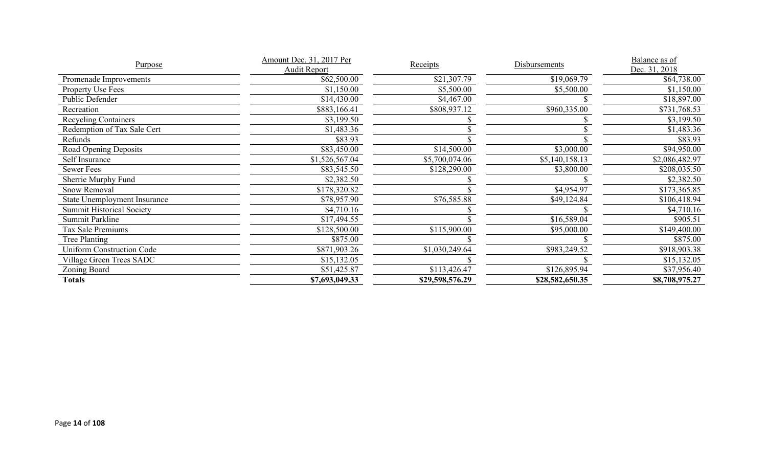| Purpose                             | Amount Dec. 31, 2017 Per | Receipts        | Disbursements   | Balance as of  |
|-------------------------------------|--------------------------|-----------------|-----------------|----------------|
|                                     | <b>Audit Report</b>      |                 |                 | Dec. 31, 2018  |
| Promenade Improvements              | \$62,500.00              | \$21,307.79     | \$19,069.79     | \$64,738.00    |
| Property Use Fees                   | \$1,150.00               | \$5,500.00      | \$5,500.00      | \$1,150.00     |
| Public Defender                     | \$14,430.00              | \$4,467.00      |                 | \$18,897.00    |
| Recreation                          | \$883,166.41             | \$808,937.12    | \$960,335.00    | \$731,768.53   |
| <b>Recycling Containers</b>         | \$3,199.50               |                 |                 | \$3,199.50     |
| Redemption of Tax Sale Cert         | \$1,483.36               |                 |                 | \$1,483.36     |
| Refunds                             | \$83.93                  |                 |                 | \$83.93        |
| Road Opening Deposits               | \$83,450.00              | \$14,500.00     | \$3,000.00      | \$94,950.00    |
| Self Insurance                      | \$1,526,567.04           | \$5,700,074.06  | \$5,140,158.13  | \$2,086,482.97 |
| Sewer Fees                          | \$83,545.50              | \$128,290.00    | \$3,800.00      | \$208,035.50   |
| Sherrie Murphy Fund                 | \$2,382.50               |                 |                 | \$2,382.50     |
| Snow Removal                        | \$178,320.82             |                 | \$4,954.97      | \$173,365.85   |
| <b>State Unemployment Insurance</b> | \$78,957.90              | \$76,585.88     | \$49,124.84     | \$106,418.94   |
| <b>Summit Historical Society</b>    | \$4,710.16               |                 |                 | \$4,710.16     |
| Summit Parkline                     | \$17,494.55              |                 | \$16,589.04     | \$905.51       |
| Tax Sale Premiums                   | \$128,500.00             | \$115,900.00    | \$95,000.00     | \$149,400.00   |
| <b>Tree Planting</b>                | \$875.00                 |                 |                 | \$875.00       |
| <b>Uniform Construction Code</b>    | \$871,903.26             | \$1,030,249.64  | \$983,249.52    | \$918,903.38   |
| Village Green Trees SADC            | \$15,132.05              |                 |                 | \$15,132.05    |
| Zoning Board                        | \$51,425.87              | \$113,426.47    | \$126,895.94    | \$37,956.40    |
| <b>Totals</b>                       | \$7,693,049.33           | \$29,598,576.29 | \$28,582,650.35 | \$8,708,975.27 |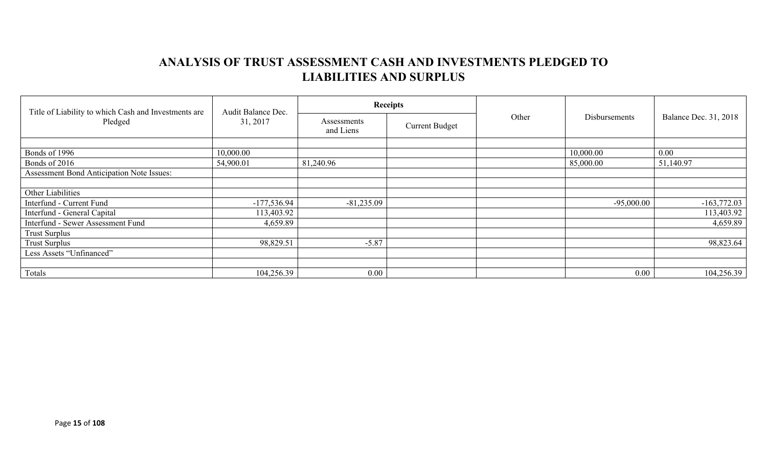# **ANALYSIS OF TRUST ASSESSMENT CASH AND INVESTMENTS PLEDGED TO LIABILITIES AND SURPLUS**

| Title of Liability to which Cash and Investments are | Audit Balance Dec. |                          | <b>Receipts</b>       |       |               |                              |  |
|------------------------------------------------------|--------------------|--------------------------|-----------------------|-------|---------------|------------------------------|--|
| Pledged                                              | 31, 2017           | Assessments<br>and Liens | <b>Current Budget</b> | Other | Disbursements | <b>Balance Dec. 31, 2018</b> |  |
|                                                      |                    |                          |                       |       |               |                              |  |
| Bonds of 1996                                        | 10,000.00          |                          |                       |       | 10,000.00     | 0.00                         |  |
| Bonds of 2016                                        | 54,900.01          | 81,240.96                |                       |       | 85,000.00     | 51,140.97                    |  |
| Assessment Bond Anticipation Note Issues:            |                    |                          |                       |       |               |                              |  |
|                                                      |                    |                          |                       |       |               |                              |  |
| Other Liabilities                                    |                    |                          |                       |       |               |                              |  |
| Interfund - Current Fund                             | $-177,536.94$      | $-81,235.09$             |                       |       | $-95,000.00$  | $-163,772.03$                |  |
| Interfund - General Capital                          | 113,403.92         |                          |                       |       |               | 113,403.92                   |  |
| Interfund - Sewer Assessment Fund                    | 4,659.89           |                          |                       |       |               | 4,659.89                     |  |
| <b>Trust Surplus</b>                                 |                    |                          |                       |       |               |                              |  |
| <b>Trust Surplus</b>                                 | 98,829.51          | $-5.87$                  |                       |       |               | 98,823.64                    |  |
| Less Assets "Unfinanced"                             |                    |                          |                       |       |               |                              |  |
|                                                      |                    |                          |                       |       |               |                              |  |
| Totals                                               | 104,256.39         | $0.00\,$                 |                       |       | 0.00          | 104,256.39                   |  |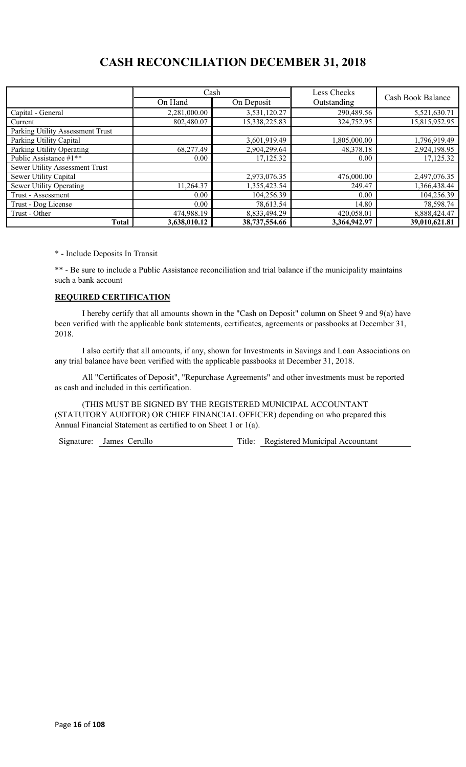# **CASH RECONCILIATION DECEMBER 31, 2018**

|                                  |              | Cash          | Less Checks  | Cash Book Balance |  |
|----------------------------------|--------------|---------------|--------------|-------------------|--|
|                                  | On Hand      | On Deposit    | Outstanding  |                   |  |
| Capital - General                | 2,281,000.00 | 3,531,120.27  | 290,489.56   | 5,521,630.71      |  |
| Current                          | 802,480.07   | 15,338,225.83 | 324,752.95   | 15,815,952.95     |  |
| Parking Utility Assessment Trust |              |               |              |                   |  |
| Parking Utility Capital          |              | 3,601,919.49  | 1,805,000.00 | 1,796,919.49      |  |
| Parking Utility Operating        | 68,277.49    | 2,904,299.64  | 48,378.18    | 2,924,198.95      |  |
| Public Assistance $\#1^{**}$     | 0.00         | 17,125.32     | 0.00         | 17,125.32         |  |
| Sewer Utility Assessment Trust   |              |               |              |                   |  |
| Sewer Utility Capital            |              | 2,973,076.35  | 476,000.00   | 2,497,076.35      |  |
| Sewer Utility Operating          | 11,264.37    | 1,355,423.54  | 249.47       | 1,366,438.44      |  |
| Trust - Assessment               | $0.00\,$     | 104,256.39    | 0.00         | 104,256.39        |  |
| Trust - Dog License              | $0.00\,$     | 78,613.54     | 14.80        | 78,598.74         |  |
| Trust - Other                    | 474,988.19   | 8,833,494.29  | 420,058.01   | 8,888,424.47      |  |
| <b>Total</b>                     | 3,638,010.12 | 38,737,554.66 | 3,364,942.97 | 39,010,621.81     |  |

\* - Include Deposits In Transit

\*\* - Be sure to include a Public Assistance reconciliation and trial balance if the municipality maintains such a bank account

### **REQUIRED CERTIFICATION**

I hereby certify that all amounts shown in the "Cash on Deposit" column on Sheet 9 and 9(a) have been verified with the applicable bank statements, certificates, agreements or passbooks at December 31, 2018.

I also certify that all amounts, if any, shown for Investments in Savings and Loan Associations on any trial balance have been verified with the applicable passbooks at December 31, 2018.

All "Certificates of Deposit", "Repurchase Agreements" and other investments must be reported as cash and included in this certification.

(THIS MUST BE SIGNED BY THE REGISTERED MUNICIPAL ACCOUNTANT (STATUTORY AUDITOR) OR CHIEF FINANCIAL OFFICER) depending on who prepared this Annual Financial Statement as certified to on Sheet 1 or 1(a).

Signature: James Cerullo Title: Registered Municipal Accountant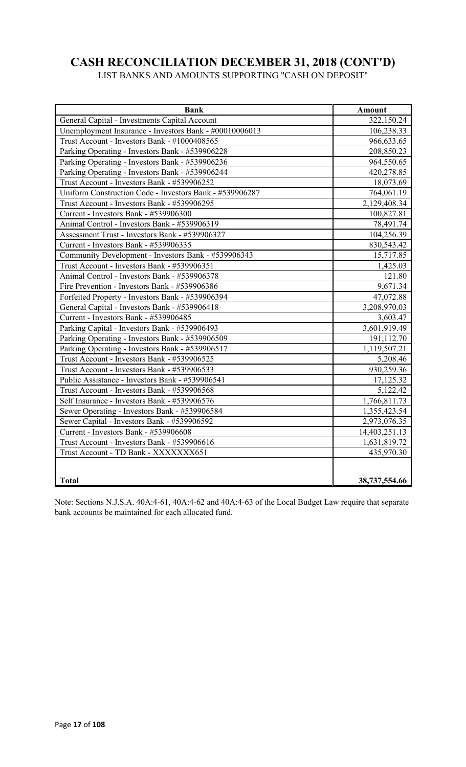# **CASH RECONCILIATION DECEMBER 31, 2018 (CONT'D)**

LIST BANKS AND AMOUNTS SUPPORTING "CASH ON DEPOSIT"

| <b>Bank</b>                                             | <b>Amount</b> |
|---------------------------------------------------------|---------------|
| General Capital - Investments Capital Account           | 322,150.24    |
| Unemployment Insurance - Investors Bank - #00010006013  | 106,238.33    |
| Trust Account - Investors Bank - #1000408565            | 966,633.65    |
| Parking Operating - Investors Bank - #539906228         | 208,850.23    |
| Parking Operating - Investors Bank - #539906236         | 964,550.65    |
| Parking Operating - Investors Bank - #539906244         | 420,278.85    |
| Trust Account - Investors Bank - #539906252             | 18,073.69     |
| Uniform Construction Code - Investors Bank - #539906287 | 764,061.19    |
| Trust Account - Investors Bank - #539906295             | 2,129,408.34  |
| Current - Investors Bank - #539906300                   | 100,827.81    |
| Animal Control - Investors Bank - #539906319            | 78,491.74     |
| Assessment Trust - Investors Bank - #539906327          | 104,256.39    |
| Current - Investors Bank - #539906335                   | 830,543.42    |
| Community Development - Investors Bank - #539906343     | 15,717.85     |
| Trust Account - Investors Bank - #539906351             | 1,425.03      |
| Animal Control - Investors Bank - #539906378            | 121.80        |
| Fire Prevention - Investors Bank - #539906386           | 9,671.34      |
| Forfeited Property - Investors Bank - #539906394        | 47,072.88     |
| General Capital - Investors Bank - #539906418           | 3,208,970.03  |
| Current - Investors Bank - #539906485                   | 3,603.47      |
| Parking Capital - Investors Bank - #539906493           | 3,601,919.49  |
| Parking Operating - Investors Bank - #539906509         | 191,112.70    |
| Parking Operating - Investors Bank - #539906517         | 1,119,507.21  |
| Trust Account - Investors Bank - #539906525             | 5,208.46      |
| Trust Account - Investors Bank - #539906533             | 930,259.36    |
| Public Assistance - Investors Bank - #539906541         | 17,125.32     |
| Trust Account - Investors Bank - #539906568             | 5,122.42      |
| Self Insurance - Investors Bank - #539906576            | 1,766,811.73  |
| Sewer Operating - Investors Bank - #539906584           | 1,355,423.54  |
| Sewer Capital - Investors Bank - #539906592             | 2,973,076.35  |
| Current - Investors Bank - #539906608                   | 14,403,251.13 |
| Trust Account - Investors Bank - #539906616             | 1,631,819.72  |
| Trust Account - TD Bank - XXXXXXX651                    | 435,970.30    |
|                                                         |               |
| <b>Total</b>                                            | 38,737,554.66 |

Note: Sections N.J.S.A. 40A:4-61, 40A:4-62 and 40A:4-63 of the Local Budget Law require that separate bank accounts be maintained for each allocated fund.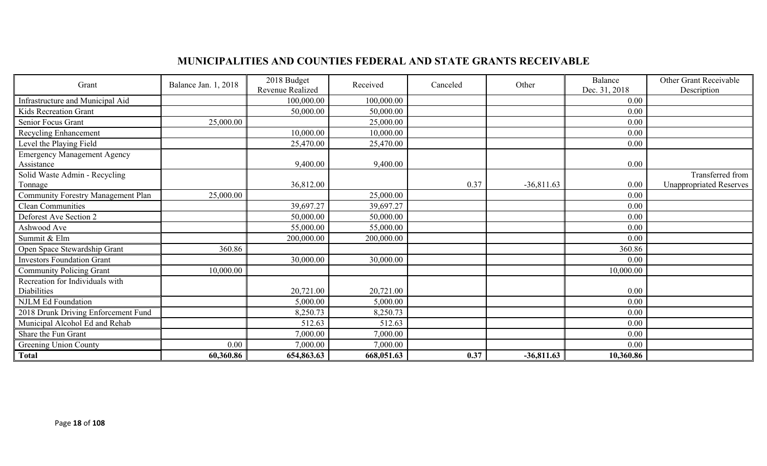# **MUNICIPALITIES AND COUNTIES FEDERAL AND STATE GRANTS RECEIVABLE**

| Grant                                     | Balance Jan. 1, 2018 | 2018 Budget<br>Revenue Realized | Received   | Canceled | Other        | Balance<br>Dec. 31, 2018 | Other Grant Receivable<br>Description |
|-------------------------------------------|----------------------|---------------------------------|------------|----------|--------------|--------------------------|---------------------------------------|
| Infrastructure and Municipal Aid          |                      | 100,000.00                      | 100,000.00 |          |              | 0.00                     |                                       |
| Kids Recreation Grant                     |                      | 50,000.00                       | 50,000.00  |          |              | 0.00                     |                                       |
| Senior Focus Grant                        | 25,000.00            |                                 | 25,000.00  |          |              | 0.00                     |                                       |
| Recycling Enhancement                     |                      | 10,000.00                       | 10,000.00  |          |              | 0.00                     |                                       |
| Level the Playing Field                   |                      | 25,470.00                       | 25,470.00  |          |              | 0.00                     |                                       |
| <b>Emergency Management Agency</b>        |                      |                                 |            |          |              |                          |                                       |
| Assistance                                |                      | 9,400.00                        | 9,400.00   |          |              | 0.00                     |                                       |
| Solid Waste Admin - Recycling             |                      |                                 |            |          |              |                          | Transferred from                      |
| Tonnage                                   |                      | 36,812.00                       |            | 0.37     | $-36,811.63$ | 0.00                     | <b>Unappropriated Reserves</b>        |
| <b>Community Forestry Management Plan</b> | 25,000.00            |                                 | 25,000.00  |          |              | 0.00                     |                                       |
| <b>Clean Communities</b>                  |                      | 39,697.27                       | 39,697.27  |          |              | 0.00                     |                                       |
| Deforest Ave Section 2                    |                      | 50,000.00                       | 50,000.00  |          |              | 0.00                     |                                       |
| Ashwood Ave                               |                      | 55,000.00                       | 55,000.00  |          |              | 0.00                     |                                       |
| Summit & Elm                              |                      | 200,000.00                      | 200,000.00 |          |              | 0.00                     |                                       |
| Open Space Stewardship Grant              | 360.86               |                                 |            |          |              | 360.86                   |                                       |
| <b>Investors Foundation Grant</b>         |                      | 30,000.00                       | 30,000.00  |          |              | 0.00                     |                                       |
| <b>Community Policing Grant</b>           | 10,000.00            |                                 |            |          |              | 10,000.00                |                                       |
| Recreation for Individuals with           |                      |                                 |            |          |              |                          |                                       |
| Diabilities                               |                      | 20,721.00                       | 20,721.00  |          |              | 0.00                     |                                       |
| <b>NJLM Ed Foundation</b>                 |                      | 5,000.00                        | 5,000.00   |          |              | 0.00                     |                                       |
| 2018 Drunk Driving Enforcement Fund       |                      | 8,250.73                        | 8,250.73   |          |              | 0.00                     |                                       |
| Municipal Alcohol Ed and Rehab            |                      | 512.63                          | 512.63     |          |              | 0.00                     |                                       |
| Share the Fun Grant                       |                      | 7,000.00                        | 7,000.00   |          |              | 0.00                     |                                       |
| Greening Union County                     | 0.00                 | 7,000.00                        | 7,000.00   |          |              | 0.00                     |                                       |
| <b>Total</b>                              | 60,360.86            | 654,863.63                      | 668,051.63 | 0.37     | $-36,811.63$ | 10,360.86                |                                       |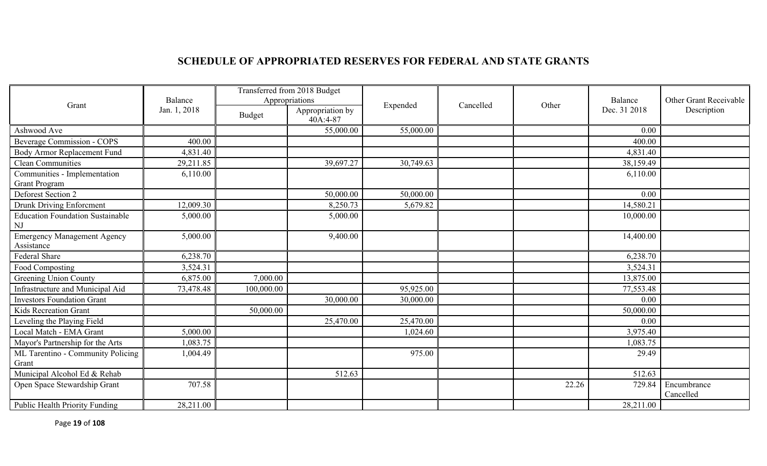# **SCHEDULE OF APPROPRIATED RESERVES FOR FEDERAL AND STATE GRANTS**

|                                                      |              | Transferred from 2018 Budget |                              |           |           |       |              |                          |
|------------------------------------------------------|--------------|------------------------------|------------------------------|-----------|-----------|-------|--------------|--------------------------|
| Grant                                                | Balance      | Appropriations               |                              | Expended  | Cancelled | Other | Balance      | Other Grant Receivable   |
|                                                      | Jan. 1, 2018 | <b>Budget</b>                | Appropriation by<br>40A:4-87 |           |           |       | Dec. 31 2018 | Description              |
| Ashwood Ave                                          |              |                              | 55,000.00                    | 55,000.00 |           |       | 0.00         |                          |
| <b>Beverage Commission - COPS</b>                    | 400.00       |                              |                              |           |           |       | 400.00       |                          |
| Body Armor Replacement Fund                          | 4,831.40     |                              |                              |           |           |       | 4,831.40     |                          |
| <b>Clean Communities</b>                             | 29,211.85    |                              | 39,697.27                    | 30,749.63 |           |       | 38,159.49    |                          |
| Communities - Implementation<br><b>Grant Program</b> | 6,110.00     |                              |                              |           |           |       | 6,110.00     |                          |
| Deforest Section 2                                   |              |                              | 50,000.00                    | 50,000.00 |           |       | 0.00         |                          |
| Drunk Driving Enforcment                             | 12,009.30    |                              | 8,250.73                     | 5,679.82  |           |       | 14,580.21    |                          |
| <b>Education Foundation Sustainable</b><br>NJ        | 5,000.00     |                              | 5,000.00                     |           |           |       | 10,000.00    |                          |
| <b>Emergency Management Agency</b><br>Assistance     | 5,000.00     |                              | 9,400.00                     |           |           |       | 14,400.00    |                          |
| Federal Share                                        | 6,238.70     |                              |                              |           |           |       | 6,238.70     |                          |
| Food Composting                                      | 3,524.31     |                              |                              |           |           |       | 3,524.31     |                          |
| Greening Union County                                | 6,875.00     | 7,000.00                     |                              |           |           |       | 13,875.00    |                          |
| Infrastructure and Municipal Aid                     | 73,478.48    | 100,000.00                   |                              | 95,925.00 |           |       | 77,553.48    |                          |
| <b>Investors Foundation Grant</b>                    |              |                              | 30,000.00                    | 30,000.00 |           |       | 0.00         |                          |
| Kids Recreation Grant                                |              | 50,000.00                    |                              |           |           |       | 50,000.00    |                          |
| Leveling the Playing Field                           |              |                              | 25,470.00                    | 25,470.00 |           |       | 0.00         |                          |
| Local Match - EMA Grant                              | 5,000.00     |                              |                              | 1,024.60  |           |       | 3,975.40     |                          |
| Mayor's Partnership for the Arts                     | 1,083.75     |                              |                              |           |           |       | 1,083.75     |                          |
| ML Tarentino - Community Policing                    | 1,004.49     |                              |                              | 975.00    |           |       | 29.49        |                          |
| Grant                                                |              |                              |                              |           |           |       |              |                          |
| Municipal Alcohol Ed & Rehab                         |              |                              | 512.63                       |           |           |       | 512.63       |                          |
| Open Space Stewardship Grant                         | 707.58       |                              |                              |           |           | 22.26 | 729.84       | Encumbrance<br>Cancelled |
| Public Health Priority Funding                       | 28,211.00    |                              |                              |           |           |       | 28,211.00    |                          |

Page **19** of **108**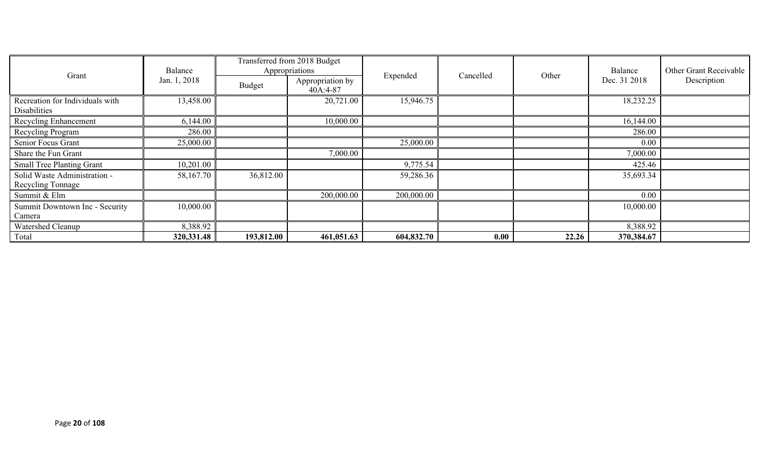|                                                 | Balance      | Transferred from 2018 Budget<br>Appropriations |                                |            |           |       | Balance      | Other Grant Receivable |
|-------------------------------------------------|--------------|------------------------------------------------|--------------------------------|------------|-----------|-------|--------------|------------------------|
| Grant                                           | Jan. 1, 2018 | Budget                                         | Appropriation by<br>$40A:4-87$ | Expended   | Cancelled | Other | Dec. 31 2018 | Description            |
| Recreation for Individuals with<br>Disabilities | 13,458.00    |                                                | 20,721.00                      | 15,946.75  |           |       | 18,232.25    |                        |
| <b>Recycling Enhancement</b>                    | 6,144.00     |                                                | 10,000.00                      |            |           |       | 16,144.00    |                        |
| Recycling Program                               | 286.00       |                                                |                                |            |           |       | 286.00       |                        |
| Senior Focus Grant                              | 25,000.00    |                                                |                                | 25,000.00  |           |       | 0.00         |                        |
| Share the Fun Grant                             |              |                                                | 7,000.00                       |            |           |       | 7,000.00     |                        |
| <b>Small Tree Planting Grant</b>                | 10,201.00    |                                                |                                | 9,775.54   |           |       | 425.46       |                        |
| Solid Waste Administration -                    | 58,167.70    | 36,812.00                                      |                                | 59,286.36  |           |       | 35,693.34    |                        |
| Recycling Tonnage                               |              |                                                |                                |            |           |       |              |                        |
| Summit & Elm                                    |              |                                                | 200,000.00                     | 200,000.00 |           |       | 0.00         |                        |
| Summit Downtown Inc - Security                  | 10,000.00    |                                                |                                |            |           |       | 10,000.00    |                        |
| Camera                                          |              |                                                |                                |            |           |       |              |                        |
| Watershed Cleanup                               | 8,388.92     |                                                |                                |            |           |       | 8,388.92     |                        |
| Total                                           | 320, 331. 48 | 193,812.00                                     | 461,051.63                     | 604,832.70 | 0.00      | 22.26 | 370,384.67   |                        |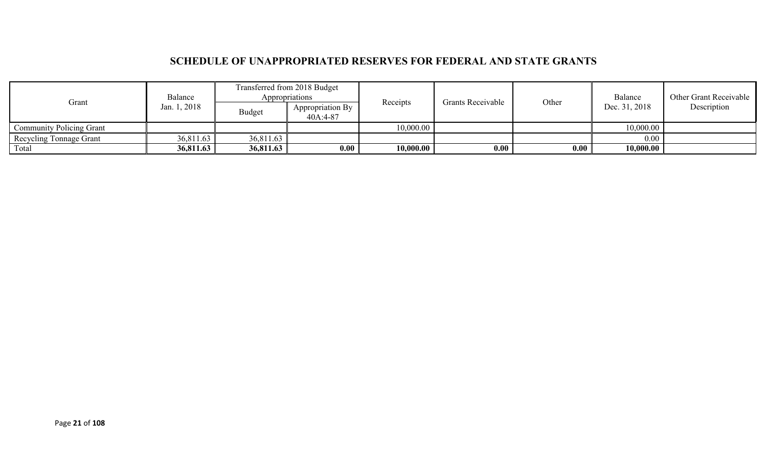## **SCHEDULE OF UNAPPROPRIATED RESERVES FOR FEDERAL AND STATE GRANTS**

| Grant                           | Balance      | Transferred from 2018 Budget<br>Appropriations |                                | Receipts  | <b>Grants Receivable</b> | Other | Balance       | Other Grant Receivable |
|---------------------------------|--------------|------------------------------------------------|--------------------------------|-----------|--------------------------|-------|---------------|------------------------|
|                                 | Jan. 1, 2018 | Budget                                         | Appropriation By<br>$40A:4-87$ |           |                          |       | Dec. 31, 2018 | Description            |
| <b>Community Policing Grant</b> |              |                                                |                                | 10,000.00 |                          |       | 10,000.00     |                        |
| Recycling Tonnage Grant         | 36,811.63    | 36,811.63                                      |                                |           |                          |       | 0.00          |                        |
| Total                           | 36,811.63    | 36,811.63                                      | 0.00                           | 10,000.00 | 0.00                     | 0.00  | 10,000.00     |                        |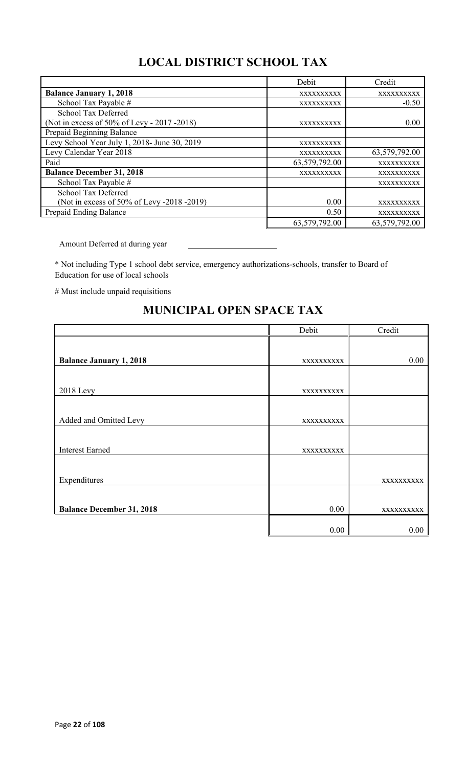# **LOCAL DISTRICT SCHOOL TAX**

|                                              | Debit         | Credit        |
|----------------------------------------------|---------------|---------------|
| <b>Balance January 1, 2018</b>               | XXXXXXXXXX    | XXXXXXXXXX    |
| School Tax Payable #                         | XXXXXXXXXX    | $-0.50$       |
| School Tax Deferred                          |               |               |
| (Not in excess of 50% of Levy - 2017 - 2018) | XXXXXXXXXX    | 0.00          |
| Prepaid Beginning Balance                    |               |               |
| Levy School Year July 1, 2018- June 30, 2019 | XXXXXXXXXX    |               |
| Levy Calendar Year 2018                      | XXXXXXXXXX    | 63,579,792.00 |
| Paid                                         | 63,579,792.00 | XXXXXXXXXX    |
| <b>Balance December 31, 2018</b>             | XXXXXXXXXX    | XXXXXXXXXX    |
| School Tax Payable #                         |               | XXXXXXXXXX    |
| School Tax Deferred                          |               |               |
| (Not in excess of 50% of Levy -2018 -2019)   | 0.00          | XXXXXXXXXX    |
| Prepaid Ending Balance                       | 0.50          | XXXXXXXXXX    |
|                                              | 63,579,792.00 | 63,579,792.00 |

Amount Deferred at during year

\* Not including Type 1 school debt service, emergency authorizations-schools, transfer to Board of Education for use of local schools

# Must include unpaid requisitions

# Debit Credit **Balance January 1, 2018** xxxxxxxxxx 0.00 2018 Levy xxxxxxxxxx Added and Omitted Levy xxxxxxxxxx Interest Earned xxxxxxxxxx Expenditures and the state of the state of the state of the state of the state of the state of the state of the state of the state of the state of the state of the state of the state of the state of the state of the state **Balance December 31, 2018** 0.00 xxxxxxxxxxx  $0.00$  0.00

## **MUNICIPAL OPEN SPACE TAX**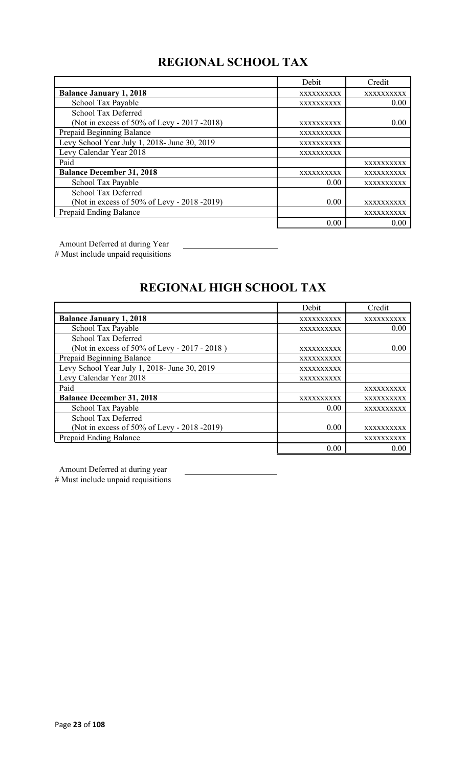# **REGIONAL SCHOOL TAX**

|                                              | Debit      | Credit     |
|----------------------------------------------|------------|------------|
| <b>Balance January 1, 2018</b>               | XXXXXXXXXX | XXXXXXXXXX |
| School Tax Payable                           | XXXXXXXXXX | 0.00       |
| School Tax Deferred                          |            |            |
| (Not in excess of 50% of Levy - 2017 -2018)  | XXXXXXXXXX | 0.00       |
| Prepaid Beginning Balance                    | XXXXXXXXXX |            |
| Levy School Year July 1, 2018- June 30, 2019 | XXXXXXXXXX |            |
| Levy Calendar Year 2018                      | XXXXXXXXXX |            |
| Paid                                         |            | XXXXXXXXXX |
| <b>Balance December 31, 2018</b>             | XXXXXXXXXX | XXXXXXXXXX |
| School Tax Payable                           | 0.00       | XXXXXXXXXX |
| <b>School Tax Deferred</b>                   |            |            |
| (Not in excess of 50% of Levy - 2018 -2019)  | 0.00       | XXXXXXXXXX |
| Prepaid Ending Balance                       |            | XXXXXXXXXX |
|                                              | 0.00       | 0.00       |

Amount Deferred at during Year

# Must include unpaid requisitions

# **REGIONAL HIGH SCHOOL TAX**

|                                              | Debit      | Credit     |
|----------------------------------------------|------------|------------|
| <b>Balance January 1, 2018</b>               | XXXXXXXXXX | XXXXXXXXXX |
| School Tax Payable                           | XXXXXXXXXX | 0.00       |
| <b>School Tax Deferred</b>                   |            |            |
| (Not in excess of 50% of Levy - 2017 - 2018) | XXXXXXXXXX | 0.00       |
| Prepaid Beginning Balance                    | XXXXXXXXXX |            |
| Levy School Year July 1, 2018- June 30, 2019 | XXXXXXXXXX |            |
| Levy Calendar Year 2018                      | XXXXXXXXXX |            |
| Paid                                         |            | XXXXXXXXXX |
| <b>Balance December 31, 2018</b>             | XXXXXXXXXX | XXXXXXXXXX |
| School Tax Payable                           | 0.00       | XXXXXXXXXX |
| School Tax Deferred                          |            |            |
| (Not in excess of 50% of Levy - 2018 -2019)  | 0.00       | XXXXXXXXXX |
| Prepaid Ending Balance                       |            | XXXXXXXXXX |
|                                              | 0.00       | 0.00       |

Amount Deferred at during year

# Must include unpaid requisitions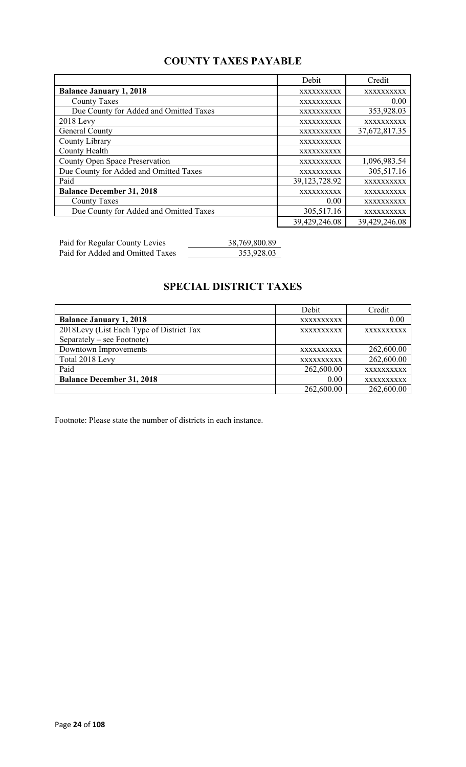## **COUNTY TAXES PAYABLE**

|                                        | Debit         | Credit        |
|----------------------------------------|---------------|---------------|
| <b>Balance January 1, 2018</b>         | XXXXXXXXXX    | XXXXXXXXXX    |
| <b>County Taxes</b>                    | XXXXXXXXXX    | 0.00          |
| Due County for Added and Omitted Taxes | XXXXXXXXXX    | 353,928.03    |
| $2018$ Levy                            | XXXXXXXXXX    | XXXXXXXXXX    |
| General County                         | XXXXXXXXXX    | 37,672,817.35 |
| County Library                         | XXXXXXXXXX    |               |
| County Health                          | XXXXXXXXXX    |               |
| <b>County Open Space Preservation</b>  | XXXXXXXXXX    | 1,096,983.54  |
| Due County for Added and Omitted Taxes | XXXXXXXXXX    | 305,517.16    |
| Paid                                   | 39,123,728.92 | XXXXXXXXXX    |
| <b>Balance December 31, 2018</b>       | XXXXXXXXXX    | XXXXXXXXXX    |
| <b>County Taxes</b>                    | 0.00          | XXXXXXXXXX    |
| Due County for Added and Omitted Taxes | 305,517.16    | XXXXXXXXXX    |
|                                        | 39,429,246.08 | 39,429,246.08 |

Paid for Regular County Levies 38,769,800.89 Paid for Added and Omitted Taxes 353,928.03

# **SPECIAL DISTRICT TAXES**

|                                          | Debit             | Credit     |
|------------------------------------------|-------------------|------------|
| <b>Balance January 1, 2018</b>           | XXXXXXXXXX        | 0.00       |
| 2018Levy (List Each Type of District Tax | <b>XXXXXXXXXX</b> | XXXXXXXXXX |
| Separately – see Footnote)               |                   |            |
| Downtown Improvements                    | <b>XXXXXXXXXX</b> | 262,600.00 |
| Total 2018 Levy                          | XXXXXXXXXX        | 262,600.00 |
| Paid                                     | 262,600.00        | XXXXXXXXXX |
| <b>Balance December 31, 2018</b>         | 0.00              | XXXXXXXXXX |
|                                          | 262,600.00        | 262,600.00 |

Footnote: Please state the number of districts in each instance.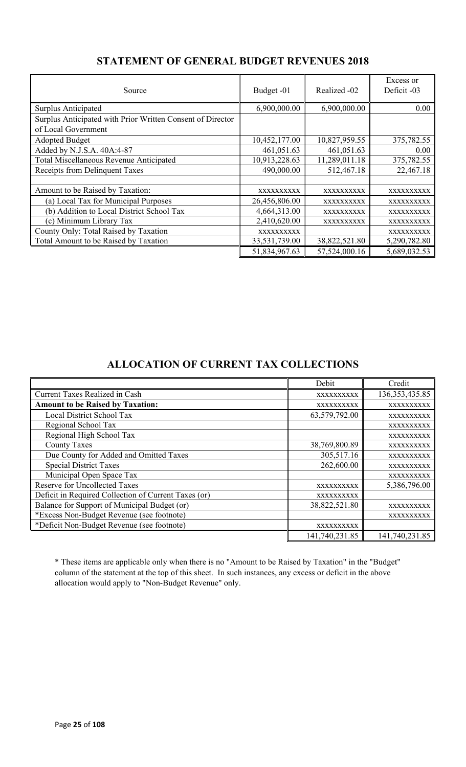| Source                                                     | Budget -01    | Realized -02  | Excess or<br>Deficit -03 |
|------------------------------------------------------------|---------------|---------------|--------------------------|
| Surplus Anticipated                                        | 6,900,000.00  | 6,900,000.00  | 0.00                     |
| Surplus Anticipated with Prior Written Consent of Director |               |               |                          |
| of Local Government                                        |               |               |                          |
| <b>Adopted Budget</b>                                      | 10,452,177.00 | 10,827,959.55 | 375,782.55               |
| Added by N.J.S.A. 40A:4-87                                 | 461,051.63    | 461,051.63    | 0.00                     |
| Total Miscellaneous Revenue Anticipated                    | 10,913,228.63 | 11,289,011.18 | 375,782.55               |
| Receipts from Delinquent Taxes                             | 490,000.00    | 512,467.18    | 22,467.18                |
|                                                            |               |               |                          |
| Amount to be Raised by Taxation:                           | XXXXXXXXXX    | XXXXXXXXXX    | XXXXXXXXXX               |
| (a) Local Tax for Municipal Purposes                       | 26,456,806.00 | XXXXXXXXXX    | XXXXXXXXXX               |
| (b) Addition to Local District School Tax                  | 4,664,313.00  | XXXXXXXXXX    | XXXXXXXXXX               |
| (c) Minimum Library Tax                                    | 2,410,620.00  | XXXXXXXXXX    | XXXXXXXXXX               |
| County Only: Total Raised by Taxation                      | XXXXXXXXXX    |               | XXXXXXXXXX               |
| Total Amount to be Raised by Taxation                      | 33,531,739.00 | 38,822,521.80 | 5,290,782.80             |
|                                                            | 51,834,967.63 | 57,524,000.16 | 5,689,032.53             |

## **STATEMENT OF GENERAL BUDGET REVENUES 2018**

## **ALLOCATION OF CURRENT TAX COLLECTIONS**

|                                                      | Debit          | Credit           |
|------------------------------------------------------|----------------|------------------|
| <b>Current Taxes Realized in Cash</b>                | XXXXXXXXXX     | 136, 353, 435.85 |
| <b>Amount to be Raised by Taxation:</b>              | XXXXXXXXXX     | XXXXXXXXXX       |
| Local District School Tax                            | 63,579,792.00  | XXXXXXXXXX       |
| Regional School Tax                                  |                | XXXXXXXXXX       |
| Regional High School Tax                             |                | XXXXXXXXXX       |
| <b>County Taxes</b>                                  | 38,769,800.89  | XXXXXXXXXX       |
| Due County for Added and Omitted Taxes               | 305,517.16     | XXXXXXXXXX       |
| <b>Special District Taxes</b>                        | 262,600.00     | XXXXXXXXXX       |
| Municipal Open Space Tax                             |                | XXXXXXXXXX       |
| <b>Reserve for Uncollected Taxes</b>                 | XXXXXXXXXX     | 5,386,796.00     |
| Deficit in Required Collection of Current Taxes (or) | XXXXXXXXXX     |                  |
| Balance for Support of Municipal Budget (or)         | 38,822,521.80  | XXXXXXXXXX       |
| *Excess Non-Budget Revenue (see footnote)            |                | XXXXXXXXXX       |
| *Deficit Non-Budget Revenue (see footnote)           | XXXXXXXXXX     |                  |
|                                                      | 141,740,231.85 | 141,740,231.85   |

\* These items are applicable only when there is no "Amount to be Raised by Taxation" in the "Budget" column of the statement at the top of this sheet. In such instances, any excess or deficit in the above allocation would apply to "Non-Budget Revenue" only.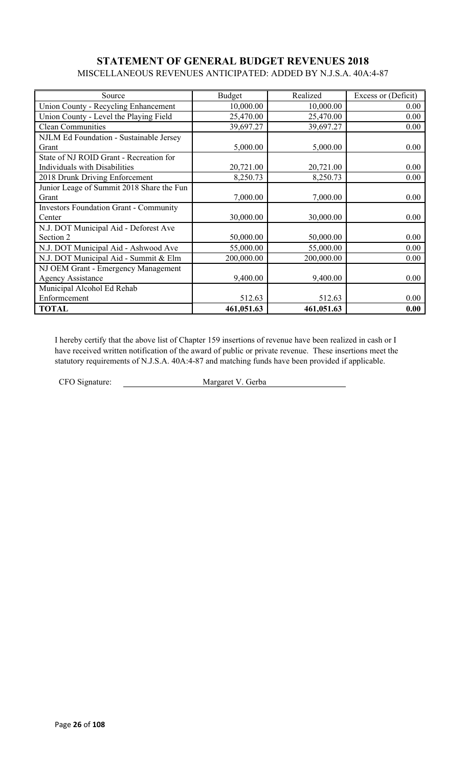### **STATEMENT OF GENERAL BUDGET REVENUES 2018** MISCELLANEOUS REVENUES ANTICIPATED: ADDED BY N.J.S.A. 40A:4-87

| Source                                        | <b>Budget</b> | Realized   | Excess or (Deficit) |
|-----------------------------------------------|---------------|------------|---------------------|
| Union County - Recycling Enhancement          | 10,000.00     | 10,000.00  | 0.00                |
| Union County - Level the Playing Field        | 25,470.00     | 25,470.00  | 0.00                |
| <b>Clean Communities</b>                      | 39,697.27     | 39,697.27  | 0.00                |
| NJLM Ed Foundation - Sustainable Jersey       |               |            |                     |
| Grant                                         | 5,000.00      | 5,000.00   | 0.00                |
| State of NJ ROID Grant - Recreation for       |               |            |                     |
| Individuals with Disabilities                 | 20,721.00     | 20,721.00  | 0.00                |
| 2018 Drunk Driving Enforcement                | 8,250.73      | 8,250.73   | 0.00                |
| Junior Leage of Summit 2018 Share the Fun     |               |            |                     |
| Grant                                         | 7,000.00      | 7,000.00   | 0.00                |
| <b>Investors Foundation Grant - Community</b> |               |            |                     |
| Center                                        | 30,000.00     | 30,000.00  | 0.00                |
| N.J. DOT Municipal Aid - Deforest Ave         |               |            |                     |
| Section 2                                     | 50,000.00     | 50,000.00  | 0.00                |
| N.J. DOT Municipal Aid - Ashwood Ave          | 55,000.00     | 55,000.00  | 0.00                |
| N.J. DOT Municipal Aid - Summit & Elm         | 200,000.00    | 200,000.00 | 0.00                |
| NJ OEM Grant - Emergency Management           |               |            |                     |
| <b>Agency Assistance</b>                      | 9,400.00      | 9,400.00   | 0.00                |
| Municipal Alcohol Ed Rehab                    |               |            |                     |
| Enformcement                                  | 512.63        | 512.63     | 0.00                |
| <b>TOTAL</b>                                  | 461,051.63    | 461,051.63 | 0.00                |

I hereby certify that the above list of Chapter 159 insertions of revenue have been realized in cash or I have received written notification of the award of public or private revenue. These insertions meet the statutory requirements of N.J.S.A. 40A:4-87 and matching funds have been provided if applicable.

CFO Signature: Margaret V. Gerba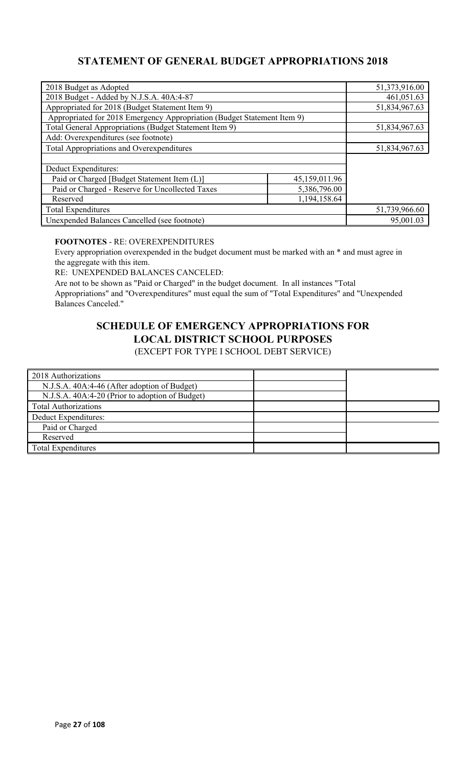## **STATEMENT OF GENERAL BUDGET APPROPRIATIONS 2018**

| 2018 Budget as Adopted                                                  |               | 51,373,916.00 |
|-------------------------------------------------------------------------|---------------|---------------|
| 2018 Budget - Added by N.J.S.A. 40A:4-87                                | 461,051.63    |               |
| Appropriated for 2018 (Budget Statement Item 9)                         |               | 51,834,967.63 |
| Appropriated for 2018 Emergency Appropriation (Budget Statement Item 9) |               |               |
| Total General Appropriations (Budget Statement Item 9)                  |               | 51,834,967.63 |
| Add: Overexpenditures (see footnote)                                    |               |               |
| Total Appropriations and Overexpenditures                               |               | 51,834,967.63 |
|                                                                         |               |               |
| Deduct Expenditures:                                                    |               |               |
| Paid or Charged [Budget Statement Item (L)]                             | 45,159,011.96 |               |
| Paid or Charged - Reserve for Uncollected Taxes                         |               |               |
| Reserved                                                                |               |               |
| <b>Total Expenditures</b>                                               | 51,739,966.60 |               |
| Unexpended Balances Cancelled (see footnote)                            | 95,001.03     |               |

### **FOOTNOTES** - RE: OVEREXPENDITURES

Every appropriation overexpended in the budget document must be marked with an \* and must agree in the aggregate with this item.

RE: UNEXPENDED BALANCES CANCELED:

Are not to be shown as "Paid or Charged" in the budget document. In all instances "Total Appropriations" and "Overexpenditures" must equal the sum of "Total Expenditures" and "Unexpended Balances Canceled."

# **SCHEDULE OF EMERGENCY APPROPRIATIONS FOR LOCAL DISTRICT SCHOOL PURPOSES**

(EXCEPT FOR TYPE I SCHOOL DEBT SERVICE)

| 2018 Authorizations                             |  |
|-------------------------------------------------|--|
| N.J.S.A. 40A:4-46 (After adoption of Budget)    |  |
| N.J.S.A. 40A:4-20 (Prior to adoption of Budget) |  |
| <b>Total Authorizations</b>                     |  |
| Deduct Expenditures:                            |  |
| Paid or Charged                                 |  |
| Reserved                                        |  |
| <b>Total Expenditures</b>                       |  |
|                                                 |  |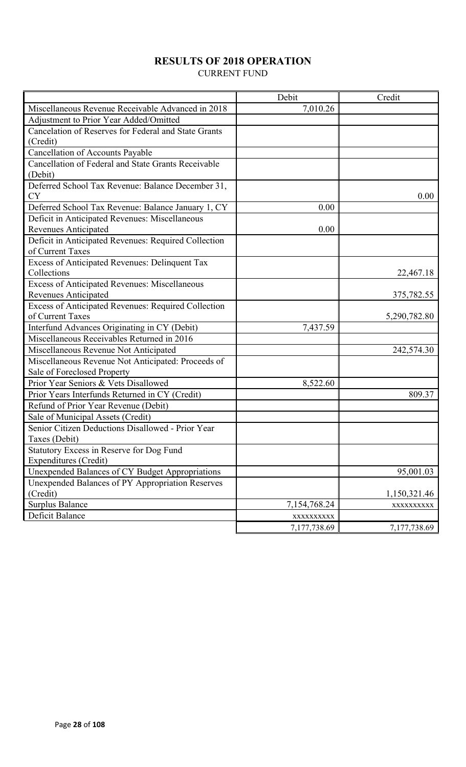## **RESULTS OF 2018 OPERATION**

CURRENT FUND

|                                                                | Debit        | Credit       |
|----------------------------------------------------------------|--------------|--------------|
| Miscellaneous Revenue Receivable Advanced in 2018              | 7,010.26     |              |
| Adjustment to Prior Year Added/Omitted                         |              |              |
| Cancelation of Reserves for Federal and State Grants           |              |              |
| (Credit)                                                       |              |              |
| Cancellation of Accounts Payable                               |              |              |
| Cancellation of Federal and State Grants Receivable            |              |              |
| (Debit)                                                        |              |              |
| Deferred School Tax Revenue: Balance December 31,<br><b>CY</b> |              | 0.00         |
| Deferred School Tax Revenue: Balance January 1, CY             | 0.00         |              |
| Deficit in Anticipated Revenues: Miscellaneous                 |              |              |
| <b>Revenues Anticipated</b>                                    | 0.00         |              |
| Deficit in Anticipated Revenues: Required Collection           |              |              |
| of Current Taxes                                               |              |              |
| Excess of Anticipated Revenues: Delinquent Tax                 |              |              |
| Collections                                                    |              | 22,467.18    |
| Excess of Anticipated Revenues: Miscellaneous                  |              |              |
| Revenues Anticipated                                           |              | 375,782.55   |
| Excess of Anticipated Revenues: Required Collection            |              |              |
| of Current Taxes                                               |              | 5,290,782.80 |
| Interfund Advances Originating in CY (Debit)                   | 7,437.59     |              |
| Miscellaneous Receivables Returned in 2016                     |              |              |
| Miscellaneous Revenue Not Anticipated                          |              | 242,574.30   |
| Miscellaneous Revenue Not Anticipated: Proceeds of             |              |              |
| Sale of Foreclosed Property                                    |              |              |
| Prior Year Seniors & Vets Disallowed                           | 8,522.60     |              |
| Prior Years Interfunds Returned in CY (Credit)                 |              | 809.37       |
| Refund of Prior Year Revenue (Debit)                           |              |              |
| Sale of Municipal Assets (Credit)                              |              |              |
| Senior Citizen Deductions Disallowed - Prior Year              |              |              |
| Taxes (Debit)                                                  |              |              |
| Statutory Excess in Reserve for Dog Fund                       |              |              |
| Expenditures (Credit)                                          |              |              |
| Unexpended Balances of CY Budget Appropriations                |              | 95,001.03    |
| Unexpended Balances of PY Appropriation Reserves               |              |              |
| (Credit)                                                       |              | 1,150,321.46 |
| <b>Surplus Balance</b>                                         | 7,154,768.24 | XXXXXXXXXX   |
| Deficit Balance                                                | XXXXXXXXXX   |              |
|                                                                | 7,177,738.69 | 7,177,738.69 |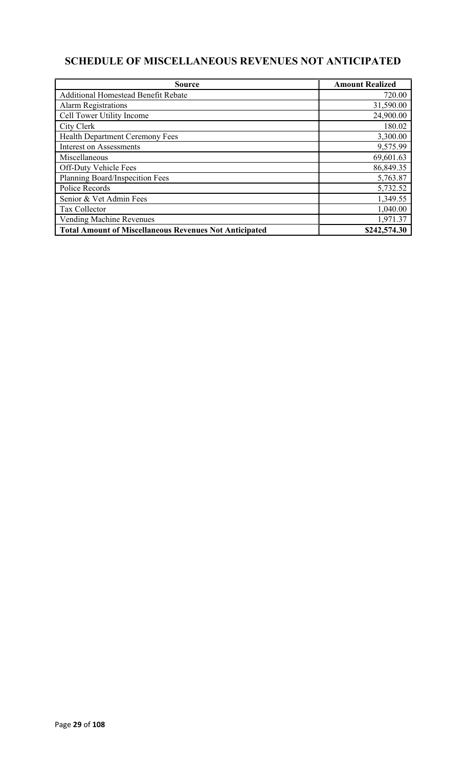# **SCHEDULE OF MISCELLANEOUS REVENUES NOT ANTICIPATED**

| <b>Source</b>                                                 | <b>Amount Realized</b> |
|---------------------------------------------------------------|------------------------|
| <b>Additional Homestead Benefit Rebate</b>                    | 720.00                 |
| <b>Alarm Registrations</b>                                    | 31,590.00              |
| Cell Tower Utility Income                                     | 24,900.00              |
| City Clerk                                                    | 180.02                 |
| Health Department Ceremony Fees                               | 3,300.00               |
| <b>Interest on Assessments</b>                                | 9,575.99               |
| Miscellaneous                                                 | 69,601.63              |
| Off-Duty Vehicle Fees                                         | 86,849.35              |
| Planning Board/Inspecition Fees                               | 5,763.87               |
| Police Records                                                | 5,732.52               |
| Senior & Vet Admin Fees                                       | 1,349.55               |
| Tax Collector                                                 | 1,040.00               |
| Vending Machine Revenues                                      | 1,971.37               |
| <b>Total Amount of Miscellaneous Revenues Not Anticipated</b> | \$242,574.30           |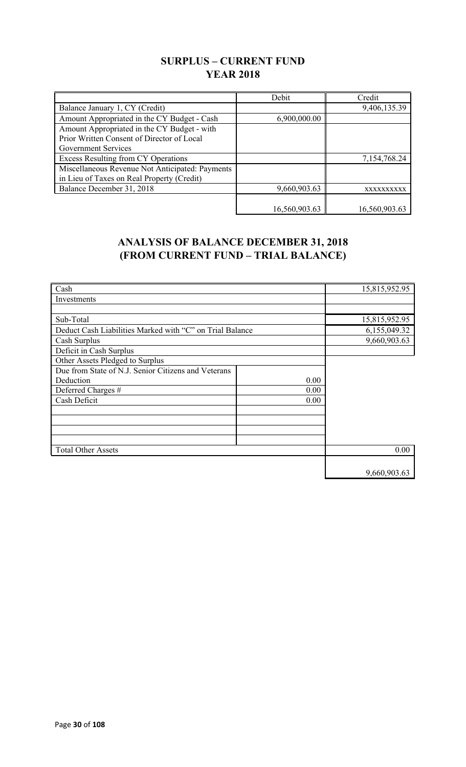## **SURPLUS – CURRENT FUND YEAR 2018**

|                                                 | Debit         | Credit        |
|-------------------------------------------------|---------------|---------------|
| Balance January 1, CY (Credit)                  |               | 9,406,135.39  |
| Amount Appropriated in the CY Budget - Cash     | 6,900,000.00  |               |
| Amount Appropriated in the CY Budget - with     |               |               |
| Prior Written Consent of Director of Local      |               |               |
| Government Services                             |               |               |
| Excess Resulting from CY Operations             |               | 7,154,768.24  |
| Miscellaneous Revenue Not Anticipated: Payments |               |               |
| in Lieu of Taxes on Real Property (Credit)      |               |               |
| Balance December 31, 2018                       | 9,660,903.63  | XXXXXXXXXX    |
|                                                 |               |               |
|                                                 | 16,560,903.63 | 16,560,903.63 |

## **ANALYSIS OF BALANCE DECEMBER 31, 2018 (FROM CURRENT FUND – TRIAL BALANCE)**

| Cash                                                     |      | 15,815,952.95 |
|----------------------------------------------------------|------|---------------|
| Investments                                              |      |               |
|                                                          |      |               |
| Sub-Total                                                |      | 15,815,952.95 |
| Deduct Cash Liabilities Marked with "C" on Trial Balance |      | 6,155,049.32  |
| Cash Surplus                                             |      | 9,660,903.63  |
| Deficit in Cash Surplus                                  |      |               |
| Other Assets Pledged to Surplus                          |      |               |
| Due from State of N.J. Senior Citizens and Veterans      |      |               |
| Deduction                                                | 0.00 |               |
| Deferred Charges #                                       | 0.00 |               |
| Cash Deficit                                             | 0.00 |               |
|                                                          |      |               |
|                                                          |      |               |
|                                                          |      |               |
|                                                          |      |               |
| <b>Total Other Assets</b>                                |      | 0.00          |
|                                                          |      |               |
|                                                          |      | 9,660,903.63  |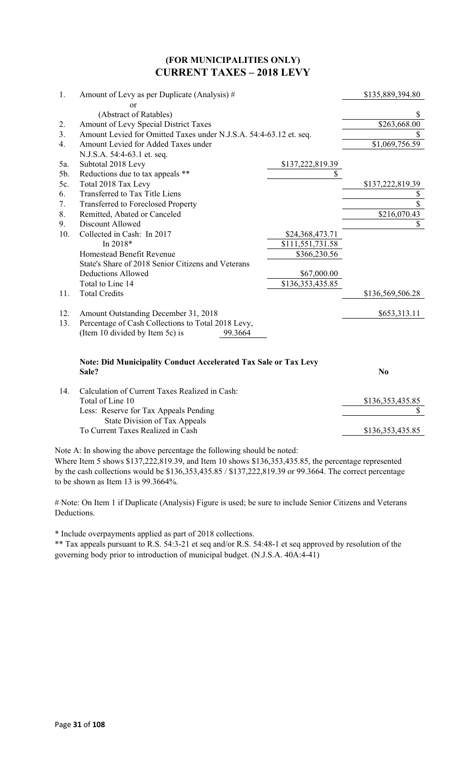### **(FOR MUNICIPALITIES ONLY) CURRENT TAXES – 2018 LEVY**

| \$135,889,394.80 |
|------------------|
|                  |
| \$               |
| \$263,668.00     |
| \$               |
| \$1,069,756.59   |
|                  |
|                  |
|                  |
| \$137,222,819.39 |
| \$               |
| $\overline{\$}$  |
| \$216,070.43     |
| \$               |
|                  |
|                  |
|                  |
|                  |
|                  |
|                  |
| \$136,569,506.28 |
| \$653,313.11     |
|                  |
|                  |
|                  |
|                  |
|                  |
| \$136,353,435.85 |
| \$               |
| \$136,353,435.85 |
|                  |

Note A: In showing the above percentage the following should be noted:

Where Item 5 shows \$137,222,819.39, and Item 10 shows \$136,353,435.85, the percentage represented by the cash collections would be \$136,353,435.85 / \$137,222,819.39 or 99.3664. The correct percentage to be shown as Item 13 is 99.3664%.

# Note: On Item 1 if Duplicate (Analysis) Figure is used; be sure to include Senior Citizens and Veterans Deductions.

\* Include overpayments applied as part of 2018 collections.

\*\* Tax appeals pursuant to R.S. 54:3-21 et seq and/or R.S. 54:48-1 et seq approved by resolution of the governing body prior to introduction of municipal budget. (N.J.S.A. 40A:4-41)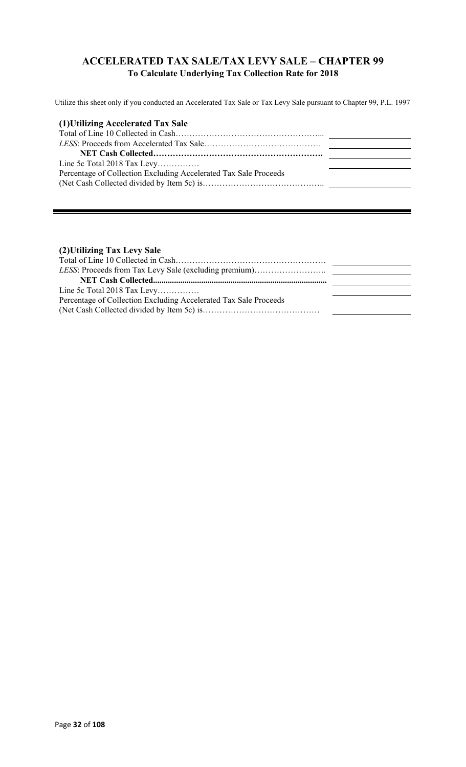## **ACCELERATED TAX SALE/TAX LEVY SALE – CHAPTER 99 To Calculate Underlying Tax Collection Rate for 2018**

Utilize this sheet only if you conducted an Accelerated Tax Sale or Tax Levy Sale pursuant to Chapter 99, P.L. 1997

| (1) Utilizing Accelerated Tax Sale                               |  |
|------------------------------------------------------------------|--|
|                                                                  |  |
|                                                                  |  |
|                                                                  |  |
| Line 5c Total 2018 Tax Levy                                      |  |
| Percentage of Collection Excluding Accelerated Tax Sale Proceeds |  |
|                                                                  |  |

### **(2)Utilizing Tax Levy Sale**

| Line 5c Total 2018 Tax Levy                                      |  |
|------------------------------------------------------------------|--|
| Percentage of Collection Excluding Accelerated Tax Sale Proceeds |  |
|                                                                  |  |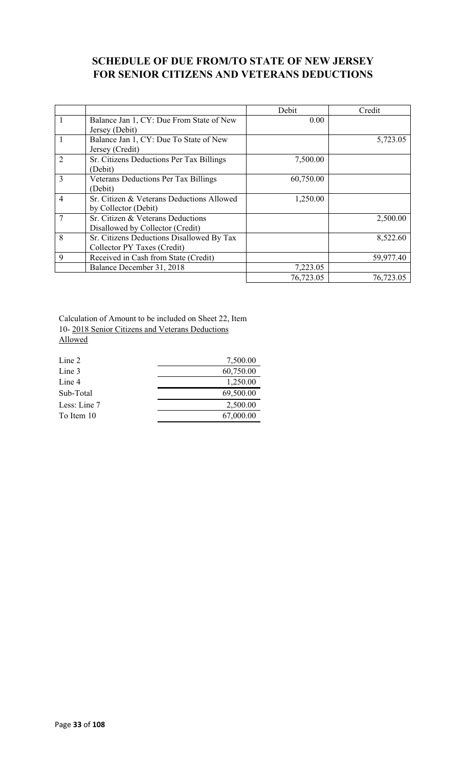## **SCHEDULE OF DUE FROM/TO STATE OF NEW JERSEY FOR SENIOR CITIZENS AND VETERANS DEDUCTIONS**

|                |                                           | Debit     | Credit    |
|----------------|-------------------------------------------|-----------|-----------|
| 1              | Balance Jan 1, CY: Due From State of New  | 0.00      |           |
|                | Jersey (Debit)                            |           |           |
|                | Balance Jan 1, CY: Due To State of New    |           | 5,723.05  |
|                | Jersey (Credit)                           |           |           |
| $\overline{2}$ | Sr. Citizens Deductions Per Tax Billings  | 7,500.00  |           |
|                | (Debit)                                   |           |           |
| 3              | Veterans Deductions Per Tax Billings      | 60,750.00 |           |
|                | (Debit)                                   |           |           |
| $\overline{4}$ | Sr. Citizen & Veterans Deductions Allowed | 1,250.00  |           |
|                | by Collector (Debit)                      |           |           |
|                | Sr. Citizen & Veterans Deductions         |           | 2,500.00  |
|                | Disallowed by Collector (Credit)          |           |           |
| 8              | Sr. Citizens Deductions Disallowed By Tax |           | 8,522.60  |
|                | Collector PY Taxes (Credit)               |           |           |
| 9              | Received in Cash from State (Credit)      |           | 59,977.40 |
|                | Balance December 31, 2018                 | 7,223.05  |           |
|                |                                           | 76,723.05 | 76,723.05 |

Calculation of Amount to be included on Sheet 22, Item 10- 2018 Senior Citizens and Veterans Deductions Allowed

| Line 2       | 7,500.00  |
|--------------|-----------|
| Line 3       | 60,750.00 |
| Line 4       | 1,250.00  |
| Sub-Total    | 69,500.00 |
| Less: Line 7 | 2,500.00  |
| To Item 10   | 67,000.00 |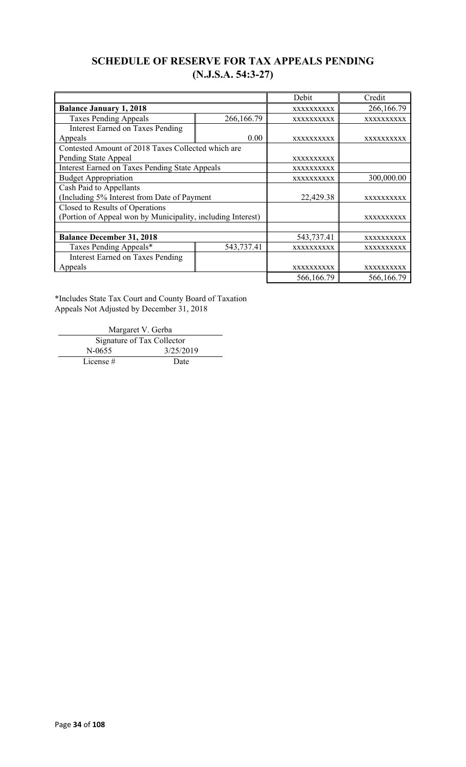## **SCHEDULE OF RESERVE FOR TAX APPEALS PENDING (N.J.S.A. 54:3-27)**

|                                                             |            | Debit             | Credit            |
|-------------------------------------------------------------|------------|-------------------|-------------------|
| <b>Balance January 1, 2018</b>                              |            | XXXXXXXXXX        | 266,166.79        |
| <b>Taxes Pending Appeals</b>                                | 266,166.79 | XXXXXXXXXX        | XXXXXXXXXX        |
| <b>Interest Earned on Taxes Pending</b>                     |            |                   |                   |
| Appeals                                                     | 0.00       | <b>XXXXXXXXXX</b> | <b>XXXXXXXXXX</b> |
| Contested Amount of 2018 Taxes Collected which are          |            |                   |                   |
| Pending State Appeal                                        |            | <b>XXXXXXXXXX</b> |                   |
| <b>Interest Earned on Taxes Pending State Appeals</b>       |            | XXXXXXXXXX        |                   |
| <b>Budget Appropriation</b>                                 |            | XXXXXXXXXX        | 300,000.00        |
| Cash Paid to Appellants                                     |            |                   |                   |
| (Including 5% Interest from Date of Payment                 |            | 22,429.38         | XXXXXXXXXX        |
| Closed to Results of Operations                             |            |                   |                   |
| (Portion of Appeal won by Municipality, including Interest) |            |                   | XXXXXXXXXX        |
|                                                             |            |                   |                   |
| <b>Balance December 31, 2018</b>                            |            | 543,737.41        | XXXXXXXXXX        |
| Taxes Pending Appeals*                                      | 543,737.41 | XXXXXXXXXX        | XXXXXXXXXX        |
| <b>Interest Earned on Taxes Pending</b>                     |            |                   |                   |
| Appeals                                                     |            | <b>XXXXXXXXXX</b> | <b>XXXXXXXXXX</b> |
|                                                             |            | 566,166.79        | 566,166.79        |

\*Includes State Tax Court and County Board of Taxation Appeals Not Adjusted by December 31, 2018

Margaret V. Gerba Signature of Tax Collector N-0655 3/25/2019 License # Date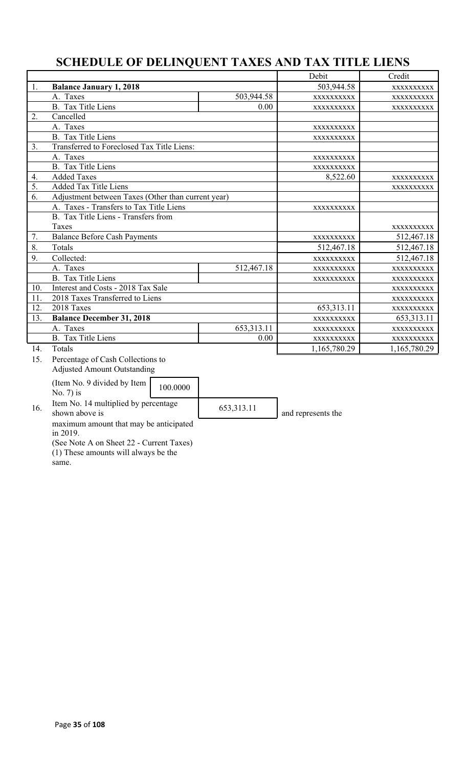# **SCHEDULE OF DELINQUENT TAXES AND TAX TITLE LIENS**

|     |                                                        |            | Debit              | Credit       |
|-----|--------------------------------------------------------|------------|--------------------|--------------|
| 1.  | <b>Balance January 1, 2018</b>                         |            | 503,944.58         | XXXXXXXXXX   |
|     | A. Taxes                                               | 503,944.58 | XXXXXXXXXX         | XXXXXXXXXX   |
|     | <b>B.</b> Tax Title Liens                              | 0.00       | XXXXXXXXXX         | XXXXXXXXX    |
| 2.  | Cancelled                                              |            |                    |              |
|     | A. Taxes                                               |            | XXXXXXXXXX         |              |
|     | <b>B.</b> Tax Title Liens                              |            | XXXXXXXXXX         |              |
| 3.  | Transferred to Foreclosed Tax Title Liens:             |            |                    |              |
|     | A. Taxes                                               |            | XXXXXXXXXX         |              |
|     | <b>B.</b> Tax Title Liens                              |            | XXXXXXXXXX         |              |
| 4.  | <b>Added Taxes</b>                                     |            | 8,522.60           | XXXXXXXXXX   |
| 5.  | <b>Added Tax Title Liens</b>                           |            |                    | XXXXXXXXX    |
| 6.  | Adjustment between Taxes (Other than current year)     |            |                    |              |
|     | A. Taxes - Transfers to Tax Title Liens                |            | XXXXXXXXXX         |              |
|     | B. Tax Title Liens - Transfers from                    |            |                    |              |
|     | Taxes                                                  |            |                    | XXXXXXXXXX   |
| 7.  | <b>Balance Before Cash Payments</b>                    |            | XXXXXXXXXX         | 512,467.18   |
| 8.  | Totals                                                 |            | 512,467.18         | 512,467.18   |
| 9.  | Collected:                                             |            | XXXXXXXXXX         | 512,467.18   |
|     | A. Taxes                                               | 512,467.18 | XXXXXXXXXX         | XXXXXXXXXX   |
|     | <b>B.</b> Tax Title Liens                              |            | XXXXXXXXXX         | XXXXXXXXXX   |
| 10. | Interest and Costs - 2018 Tax Sale                     |            |                    | XXXXXXXXXX   |
| 11. | 2018 Taxes Transferred to Liens                        |            |                    | XXXXXXXXXX   |
| 12. | 2018 Taxes                                             |            | 653,313.11         | XXXXXXXXXX   |
| 13. | <b>Balance December 31, 2018</b>                       |            | XXXXXXXXXX         | 653,313.11   |
|     | A. Taxes                                               | 653,313.11 | XXXXXXXXXX         | XXXXXXXXXX   |
|     | <b>B.</b> Tax Title Liens                              | 0.00       | XXXXXXXXXX         | XXXXXXXXXX   |
| 14. | Totals                                                 |            | 1,165,780.29       | 1,165,780.29 |
| 15. | Percentage of Cash Collections to                      |            |                    |              |
|     | <b>Adjusted Amount Outstanding</b>                     |            |                    |              |
|     | (Item No. 9 divided by Item<br>100.0000                |            |                    |              |
|     | No. $7$ ) is                                           |            |                    |              |
| 16. | Item No. 14 multiplied by percentage<br>shown above is | 653,313.11 | and represents the |              |

maximum amount that may be anticipated in 2019.

(See Note A on Sheet 22 - Current Taxes) (1) These amounts will always be the

same.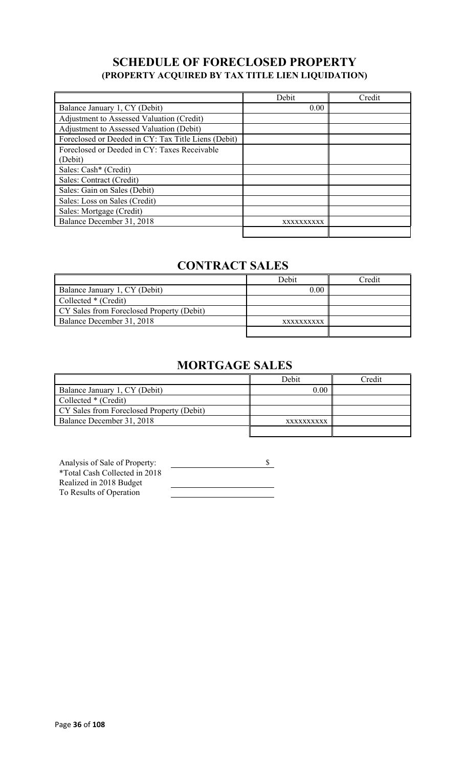## **SCHEDULE OF FORECLOSED PROPERTY (PROPERTY ACQUIRED BY TAX TITLE LIEN LIQUIDATION)**

|                                                     | Debit      | Credit |
|-----------------------------------------------------|------------|--------|
| Balance January 1, CY (Debit)                       | 0.00       |        |
| Adjustment to Assessed Valuation (Credit)           |            |        |
| Adjustment to Assessed Valuation (Debit)            |            |        |
| Foreclosed or Deeded in CY: Tax Title Liens (Debit) |            |        |
| Foreclosed or Deeded in CY: Taxes Receivable        |            |        |
| (Debit)                                             |            |        |
| Sales: Cash* (Credit)                               |            |        |
| Sales: Contract (Credit)                            |            |        |
| Sales: Gain on Sales (Debit)                        |            |        |
| Sales: Loss on Sales (Credit)                       |            |        |
| Sales: Mortgage (Credit)                            |            |        |
| Balance December 31, 2018                           | XXXXXXXXXX |        |
|                                                     |            |        |

# **CONTRACT SALES**

|                                           | Debit      | <b>Tredit</b> |
|-------------------------------------------|------------|---------------|
| Balance January 1, CY (Debit)             | 0.00       |               |
| Collected * (Credit)                      |            |               |
| CY Sales from Foreclosed Property (Debit) |            |               |
| Balance December 31, 2018                 | XXXXXXXXXX |               |
|                                           |            |               |

# **MORTGAGE SALES**

|                                           | Debit      | Credit |
|-------------------------------------------|------------|--------|
| Balance January 1, CY (Debit)             | 0.00       |        |
| Collected * (Credit)                      |            |        |
| CY Sales from Foreclosed Property (Debit) |            |        |
| Balance December 31, 2018                 | XXXXXXXXXX |        |
|                                           |            |        |

| Analysis of Sale of Property: |  |
|-------------------------------|--|
| *Total Cash Collected in 2018 |  |
| Realized in 2018 Budget       |  |
| To Results of Operation       |  |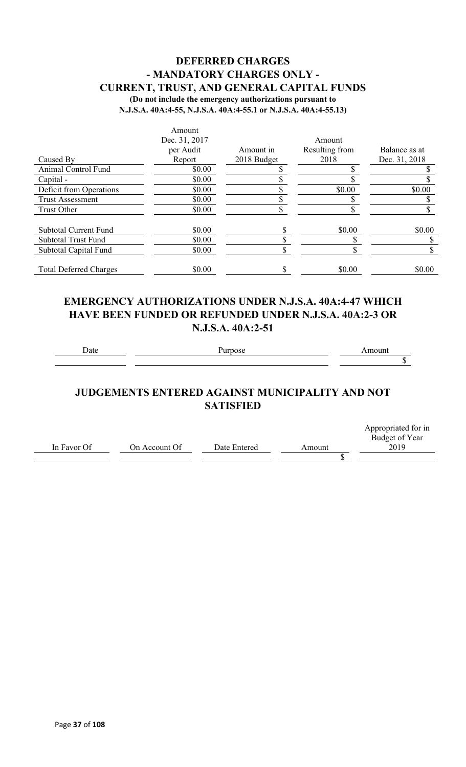### **DEFERRED CHARGES - MANDATORY CHARGES ONLY - CURRENT, TRUST, AND GENERAL CAPITAL FUNDS (Do not include the emergency authorizations pursuant to**

**N.J.S.A. 40A:4-55, N.J.S.A. 40A:4-55.1 or N.J.S.A. 40A:4-55.13)**

|                               | Amount        |             |                |               |
|-------------------------------|---------------|-------------|----------------|---------------|
|                               | Dec. 31, 2017 |             | Amount         |               |
|                               | per Audit     | Amount in   | Resulting from | Balance as at |
| Caused By                     | Report        | 2018 Budget | 2018           | Dec. 31, 2018 |
| Animal Control Fund           | \$0.00        |             |                |               |
| Capital -                     | \$0.00        |             |                |               |
| Deficit from Operations       | \$0.00        |             | \$0.00         | \$0.00        |
| <b>Trust Assessment</b>       | \$0.00        |             |                |               |
| Trust Other                   | \$0.00        |             |                |               |
| <b>Subtotal Current Fund</b>  | \$0.00        |             | \$0.00         | \$0.00        |
| <b>Subtotal Trust Fund</b>    | \$0.00        |             |                |               |
| Subtotal Capital Fund         | \$0.00        |             |                |               |
| <b>Total Deferred Charges</b> | \$0.00        |             | \$0.00         | \$0.00        |

## **EMERGENCY AUTHORIZATIONS UNDER N.J.S.A. 40A:4-47 WHICH HAVE BEEN FUNDED OR REFUNDED UNDER N.J.S.A. 40A:2-3 OR N.J.S.A. 40A:2-51**

Date Purpose **Purpose** Amount

 $\overline{\$}$ 

# **JUDGEMENTS ENTERED AGAINST MUNICIPALITY AND NOT SATISFIED**

|             |               |              |        | Appropriated for in |
|-------------|---------------|--------------|--------|---------------------|
|             |               |              |        | Budget of Year      |
| In Favor Of | On Account Of | Date Entered | Amount | 2019                |
|             |               |              |        |                     |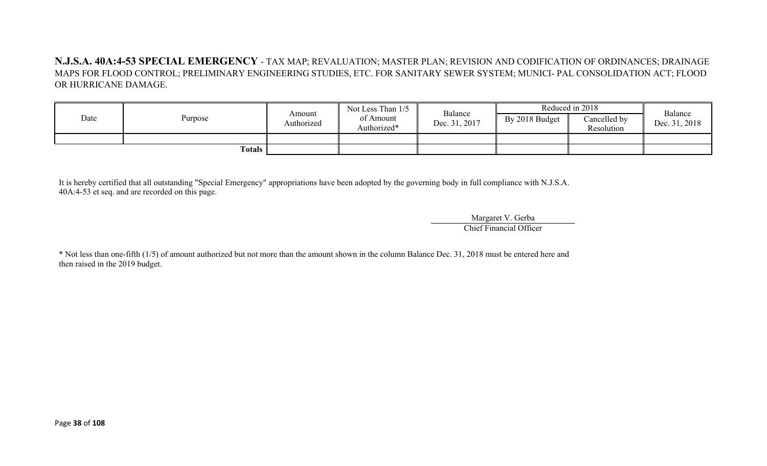**N.J.S.A. 40A:4-53 SPECIAL EMERGENCY** - TAX MAP; REVALUATION; MASTER PLAN; REVISION AND CODIFICATION OF ORDINANCES; DRAINAGE MAPS FOR FLOOD CONTROL; PRELIMINARY ENGINEERING STUDIES, ETC. FOR SANITARY SEWER SYSTEM; MUNICI- PAL CONSOLIDATION ACT; FLOOD OR HURRICANE DAMAGE.

| Date | Purpose | Amount<br>Authorized | Not Less Than 1/5<br>of Amount<br>Authorized* | Balance<br>Dec. 31, 2017 | By 2018 Budget | Reduced in 2018<br>Cancelled by<br>Resolution | Balance<br>Dec. 31, 2018 |
|------|---------|----------------------|-----------------------------------------------|--------------------------|----------------|-----------------------------------------------|--------------------------|
|      | Totals  |                      |                                               |                          |                |                                               |                          |

It is hereby certified that all outstanding "Special Emergency" appropriations have been adopted by the governing body in full compliance with N.J.S.A. 40A:4-53 et seq. and are recorded on this page.

> Margaret V. Gerba Chief Financial Officer

\* Not less than one-fifth (1/5) of amount authorized but not more than the amount shown in the column Balance Dec. 31, 2018 must be entered here and then raised in the 2019 budget.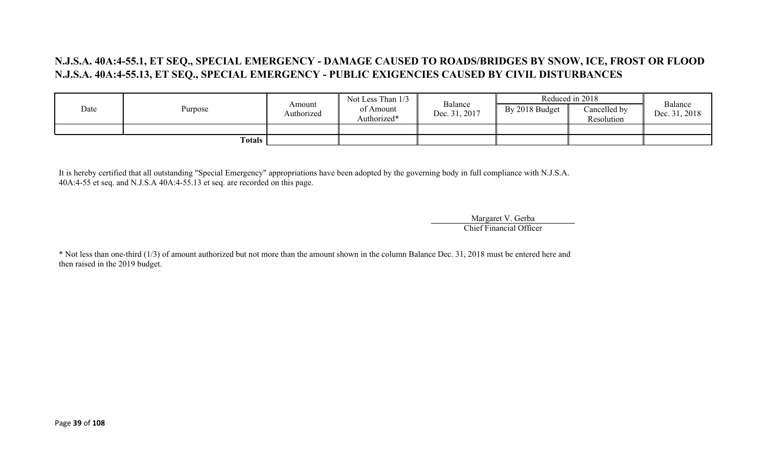# **N.J.S.A. 40A:4-55.1, ET SEQ., SPECIAL EMERGENCY - DAMAGE CAUSED TO ROADS/BRIDGES BY SNOW, ICE, FROST OR FLOOD N.J.S.A. 40A:4-55.13, ET SEQ., SPECIAL EMERGENCY - PUBLIC EXIGENCIES CAUSED BY CIVIL DISTURBANCES**

|      |         |                      | Not Less Than 1/3        |                          |                | Reduced in 2018            | Balance       |
|------|---------|----------------------|--------------------------|--------------------------|----------------|----------------------------|---------------|
| Date | Purpose | Amount<br>Authorized | of Amount<br>Authorized* | Balance<br>Dec. 31, 2017 | By 2018 Budget | Cancelled by<br>Resolution | Dec. 31, 2018 |
|      |         |                      |                          |                          |                |                            |               |
|      | Totals  |                      |                          |                          |                |                            |               |

It is hereby certified that all outstanding "Special Emergency" appropriations have been adopted by the governing body in full compliance with N.J.S.A. 40A:4-55 et seq. and N.J.S.A 40A:4-55.13 et seq. are recorded on this page.

> Margaret V. Gerba Chief Financial Officer

\* Not less than one-third (1/3) of amount authorized but not more than the amount shown in the column Balance Dec. 31, 2018 must be entered here and then raised in the 2019 budget.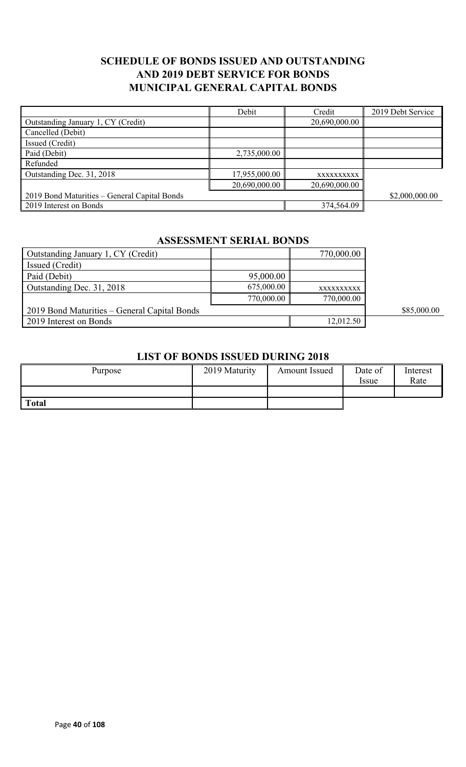# **SCHEDULE OF BONDS ISSUED AND OUTSTANDING AND 2019 DEBT SERVICE FOR BONDS MUNICIPAL GENERAL CAPITAL BONDS**

|                                              | Debit         | Credit        | 2019 Debt Service |
|----------------------------------------------|---------------|---------------|-------------------|
| Outstanding January 1, CY (Credit)           |               | 20,690,000.00 |                   |
| Cancelled (Debit)                            |               |               |                   |
| Issued (Credit)                              |               |               |                   |
| Paid (Debit)                                 | 2,735,000.00  |               |                   |
| Refunded                                     |               |               |                   |
| Outstanding Dec. 31, 2018                    | 17,955,000.00 | XXXXXXXXXX    |                   |
|                                              | 20,690,000.00 | 20,690,000.00 |                   |
| 2019 Bond Maturities - General Capital Bonds |               |               | \$2,000,000.00    |
| 2019 Interest on Bonds                       |               | 374,564.09    |                   |

#### **ASSESSMENT SERIAL BONDS**

| Outstanding January 1, CY (Credit)           |            | 770,000.00 |             |
|----------------------------------------------|------------|------------|-------------|
| Issued (Credit)                              |            |            |             |
| Paid (Debit)                                 | 95,000.00  |            |             |
| Outstanding Dec. 31, 2018                    | 675,000.00 | XXXXXXXXXX |             |
|                                              | 770,000.00 | 770,000.00 |             |
| 2019 Bond Maturities – General Capital Bonds |            |            | \$85,000.00 |
| 2019 Interest on Bonds                       |            | 12,012.50  |             |

#### **LIST OF BONDS ISSUED DURING 2018**

| Purpose      | 2019 Maturity | Amount Issued | Date of<br><i>ssue</i> | Interest<br>Rate |
|--------------|---------------|---------------|------------------------|------------------|
|              |               |               |                        |                  |
| <b>Total</b> |               |               |                        |                  |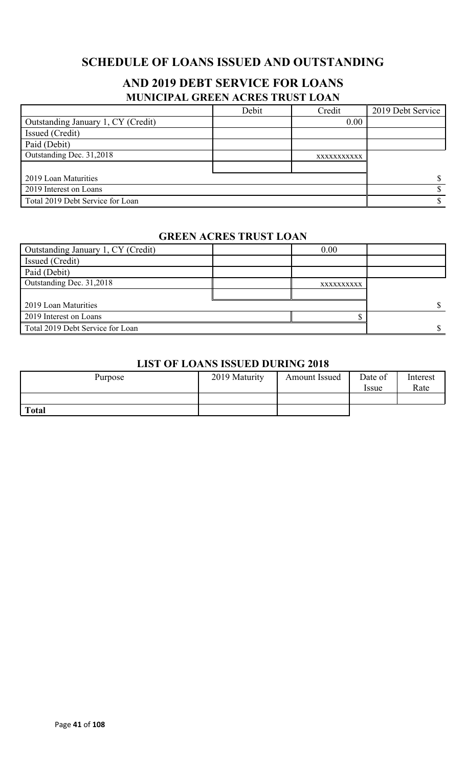# **SCHEDULE OF LOANS ISSUED AND OUTSTANDING**

# **AND 2019 DEBT SERVICE FOR LOANS MUNICIPAL GREEN ACRES TRUST LOAN**

|                                    | Debit | Credit      | 2019 Debt Service |
|------------------------------------|-------|-------------|-------------------|
| Outstanding January 1, CY (Credit) |       | 0.00        |                   |
| Issued (Credit)                    |       |             |                   |
| Paid (Debit)                       |       |             |                   |
| Outstanding Dec. 31,2018           |       | XXXXXXXXXXX |                   |
|                                    |       |             |                   |
| 2019 Loan Maturities               |       |             |                   |
| 2019 Interest on Loans             |       |             |                   |
| Total 2019 Debt Service for Loan   |       |             |                   |

#### **GREEN ACRES TRUST LOAN**

| Outstanding January 1, CY (Credit) | 0.00       |  |
|------------------------------------|------------|--|
| <b>Issued</b> (Credit)             |            |  |
| Paid (Debit)                       |            |  |
| Outstanding Dec. 31,2018           | XXXXXXXXXX |  |
|                                    |            |  |
| 2019 Loan Maturities               |            |  |
| 2019 Interest on Loans             |            |  |
| Total 2019 Debt Service for Loan   |            |  |

#### **LIST OF LOANS ISSUED DURING 2018**

| Purpose      | 2019 Maturity | <b>Amount Issued</b> | Date of<br><i>Issue</i> | Interest<br>Rate |
|--------------|---------------|----------------------|-------------------------|------------------|
|              |               |                      |                         |                  |
| <b>Total</b> |               |                      |                         |                  |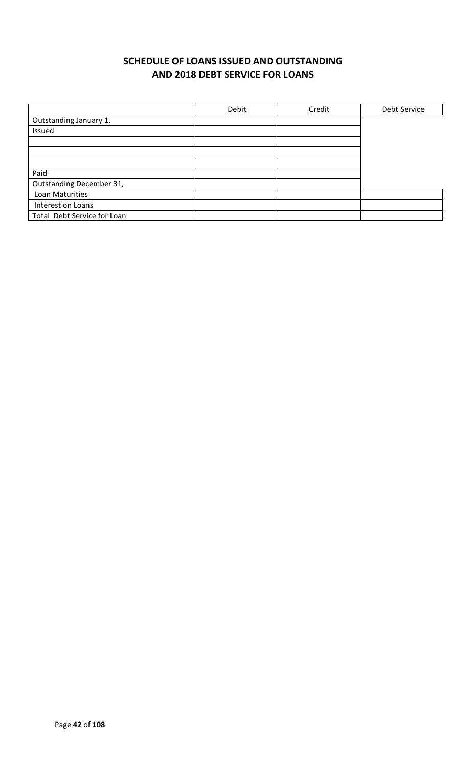# **SCHEDULE OF LOANS ISSUED AND OUTSTANDING AND 2018 DEBT SERVICE FOR LOANS**

|                             | Debit | Credit | Debt Service |
|-----------------------------|-------|--------|--------------|
| Outstanding January 1,      |       |        |              |
| Issued                      |       |        |              |
|                             |       |        |              |
|                             |       |        |              |
|                             |       |        |              |
| Paid                        |       |        |              |
| Outstanding December 31,    |       |        |              |
| Loan Maturities             |       |        |              |
| Interest on Loans           |       |        |              |
| Total Debt Service for Loan |       |        |              |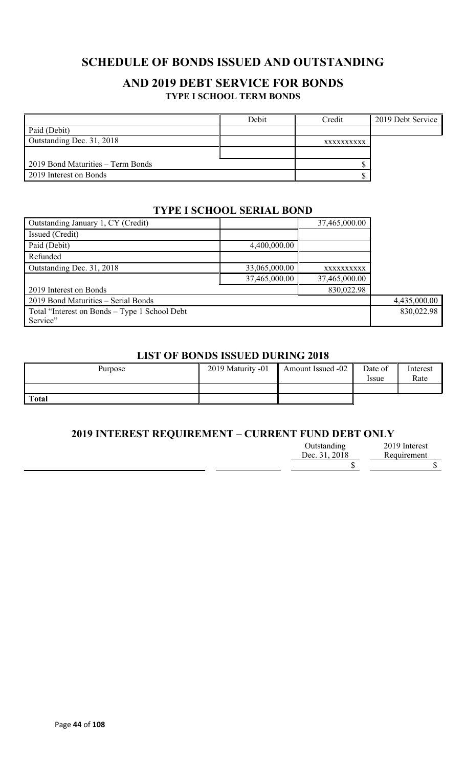# **SCHEDULE OF BONDS ISSUED AND OUTSTANDING**

### **AND 2019 DEBT SERVICE FOR BONDS TYPE I SCHOOL TERM BONDS**

|                                   | Debit | Credit     | 2019 Debt Service |
|-----------------------------------|-------|------------|-------------------|
| Paid (Debit)                      |       |            |                   |
| Outstanding Dec. 31, 2018         |       | XXXXXXXXXX |                   |
|                                   |       |            |                   |
| 2019 Bond Maturities – Term Bonds |       |            |                   |
| 2019 Interest on Bonds            |       |            |                   |

### **TYPE I SCHOOL SERIAL BOND**

| Outstanding January 1, CY (Credit)            |               | 37,465,000.00 |  |
|-----------------------------------------------|---------------|---------------|--|
| Issued (Credit)                               |               |               |  |
| Paid (Debit)                                  | 4,400,000.00  |               |  |
| Refunded                                      |               |               |  |
| Outstanding Dec. 31, 2018                     | 33,065,000.00 | XXXXXXXXXX    |  |
|                                               | 37,465,000.00 | 37,465,000.00 |  |
| 2019 Interest on Bonds                        |               | 830,022.98    |  |
| 2019 Bond Maturities - Serial Bonds           | 4,435,000.00  |               |  |
| Total "Interest on Bonds – Type 1 School Debt | 830,022.98    |               |  |
| Service"                                      |               |               |  |

#### **LIST OF BONDS ISSUED DURING 2018**

| Purpose | 2019 Maturity -01 | <b>Amount Issued -02</b> | Date of<br><i>ssue</i> | Interest<br>Rate |
|---------|-------------------|--------------------------|------------------------|------------------|
|         |                   |                          |                        |                  |
| Total   |                   |                          |                        |                  |

### **2019 INTEREST REQUIREMENT – CURRENT FUND DEBT ONLY**

| Outstanding   | 2019 Interest |
|---------------|---------------|
| Dec. 31, 2018 | Requirement   |
|               |               |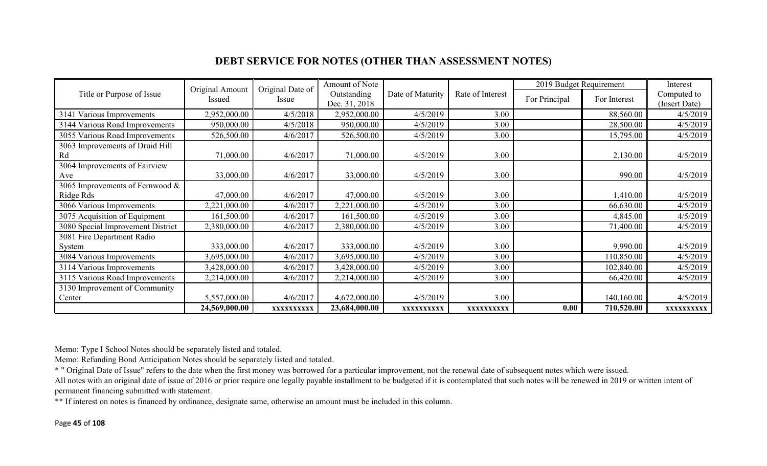# **DEBT SERVICE FOR NOTES (OTHER THAN ASSESSMENT NOTES)**

|                                   | Original Amount | Original Date of | Amount of Note |                  |                  | 2019 Budget Requirement |              | Interest      |
|-----------------------------------|-----------------|------------------|----------------|------------------|------------------|-------------------------|--------------|---------------|
| Title or Purpose of Issue         | Issued          | Issue            | Outstanding    | Date of Maturity | Rate of Interest | For Principal           | For Interest | Computed to   |
|                                   |                 |                  | Dec. 31, 2018  |                  |                  |                         |              | (Insert Date) |
| 3141 Various Improvements         | 2,952,000.00    | 4/5/2018         | 2,952,000.00   | 4/5/2019         | 3.00             |                         | 88,560.00    | 4/5/2019      |
| 3144 Various Road Improvements    | 950,000.00      | 4/5/2018         | 950,000.00     | 4/5/2019         | 3.00             |                         | 28,500.00    | 4/5/2019      |
| 3055 Various Road Improvements    | 526,500.00      | 4/6/2017         | 526,500.00     | 4/5/2019         | 3.00             |                         | 15,795.00    | 4/5/2019      |
| 3063 Improvements of Druid Hill   |                 |                  |                |                  |                  |                         |              |               |
| Rd                                | 71,000.00       | 4/6/2017         | 71,000.00      | 4/5/2019         | 3.00             |                         | 2,130.00     | 4/5/2019      |
| 3064 Improvements of Fairview     |                 |                  |                |                  |                  |                         |              |               |
| Ave                               | 33,000.00       | 4/6/2017         | 33,000.00      | 4/5/2019         | 3.00             |                         | 990.00       | 4/5/2019      |
| 3065 Improvements of Fernwood &   |                 |                  |                |                  |                  |                         |              |               |
| Ridge Rds                         | 47,000.00       | 4/6/2017         | 47,000.00      | 4/5/2019         | 3.00             |                         | 1,410.00     | 4/5/2019      |
| 3066 Various Improvements         | 2,221,000.00    | 4/6/2017         | 2,221,000.00   | 4/5/2019         | 3.00             |                         | 66,630.00    | 4/5/2019      |
| 3075 Acquisition of Equipment     | 161,500.00      | 4/6/2017         | 161,500.00     | 4/5/2019         | 3.00             |                         | 4,845.00     | 4/5/2019      |
| 3080 Special Improvement District | 2,380,000.00    | 4/6/2017         | 2,380,000.00   | 4/5/2019         | 3.00             |                         | 71,400.00    | 4/5/2019      |
| 3081 Fire Department Radio        |                 |                  |                |                  |                  |                         |              |               |
| System                            | 333,000.00      | 4/6/2017         | 333,000.00     | 4/5/2019         | 3.00             |                         | 9,990.00     | 4/5/2019      |
| 3084 Various Improvements         | 3,695,000.00    | 4/6/2017         | 3,695,000.00   | 4/5/2019         | 3.00             |                         | 110,850.00   | 4/5/2019      |
| 3114 Various Improvements         | 3,428,000.00    | 4/6/2017         | 3,428,000.00   | 4/5/2019         | 3.00             |                         | 102,840.00   | 4/5/2019      |
| 3115 Various Road Improvements    | 2,214,000.00    | 4/6/2017         | 2,214,000.00   | 4/5/2019         | 3.00             |                         | 66,420.00    | 4/5/2019      |
| 3130 Improvement of Community     |                 |                  |                |                  |                  |                         |              |               |
| Center                            | 5,557,000.00    | 4/6/2017         | 4,672,000.00   | 4/5/2019         | 3.00             |                         | 140,160.00   | 4/5/2019      |
|                                   | 24,569,000.00   | XXXXXXXXXX       | 23,684,000.00  | XXXXXXXXXX       | XXXXXXXXXX       | 0.00                    | 710,520.00   | XXXXXXXXXX    |

Memo: Type I School Notes should be separately listed and totaled.

Memo: Refunding Bond Anticipation Notes should be separately listed and totaled.

\* " Original Date of Issue" refers to the date when the first money was borrowed for a particular improvement, not the renewal date of subsequent notes which were issued.

All notes with an original date of issue of 2016 or prior require one legally payable installment to be budgeted if it is contemplated that such notes will be renewed in 2019 or written intent of permanent financing submitted with statement.

\*\* If interest on notes is financed by ordinance, designate same, otherwise an amount must be included in this column.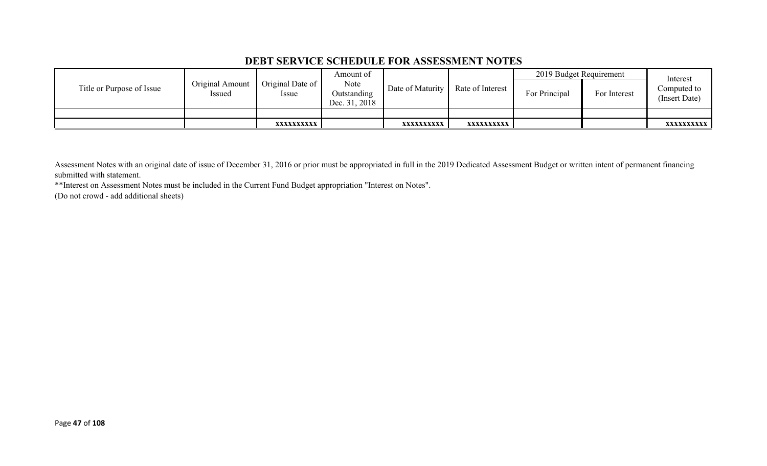### **DEBT SERVICE SCHEDULE FOR ASSESSMENT NOTES**

|                           |                           |                                 | Amount of                            |                  |                  | 2019 Budget Requirement |              | Interest                     |
|---------------------------|---------------------------|---------------------------------|--------------------------------------|------------------|------------------|-------------------------|--------------|------------------------------|
| Title or Purpose of Issue | Original Amount<br>Issued | Original Date of<br><i>ssue</i> | Note<br>Outstanding<br>Dec. 31, 2018 | Date of Maturity | Rate of Interest | For Principal           | For Interest | Computed to<br>(Insert Date) |
|                           |                           |                                 |                                      |                  |                  |                         |              |                              |
|                           |                           | XXXXXXXXXX                      |                                      | XXXXXXXXXX       | xxxxxxxxxx       |                         |              | <b>XXXXXXXXXX</b>            |

Assessment Notes with an original date of issue of December 31, 2016 or prior must be appropriated in full in the 2019 Dedicated Assessment Budget or written intent of permanent financing submitted with statement.

\*\*Interest on Assessment Notes must be included in the Current Fund Budget appropriation "Interest on Notes".

(Do not crowd - add additional sheets)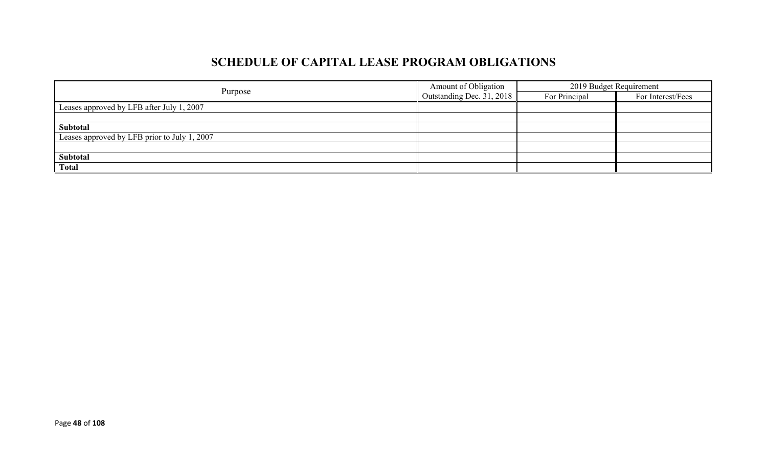# **SCHEDULE OF CAPITAL LEASE PROGRAM OBLIGATIONS**

|                                              | Amount of Obligation             | 2019 Budget Requirement |                   |  |
|----------------------------------------------|----------------------------------|-------------------------|-------------------|--|
| Purpose                                      | $\Box$ Outstanding Dec. 31, 2018 | For Principal           | For Interest/Fees |  |
| Leases approved by LFB after July 1, 2007    |                                  |                         |                   |  |
|                                              |                                  |                         |                   |  |
| Subtotal                                     |                                  |                         |                   |  |
| Leases approved by LFB prior to July 1, 2007 |                                  |                         |                   |  |
|                                              |                                  |                         |                   |  |
| Subtotal                                     |                                  |                         |                   |  |
| <b>Total</b>                                 |                                  |                         |                   |  |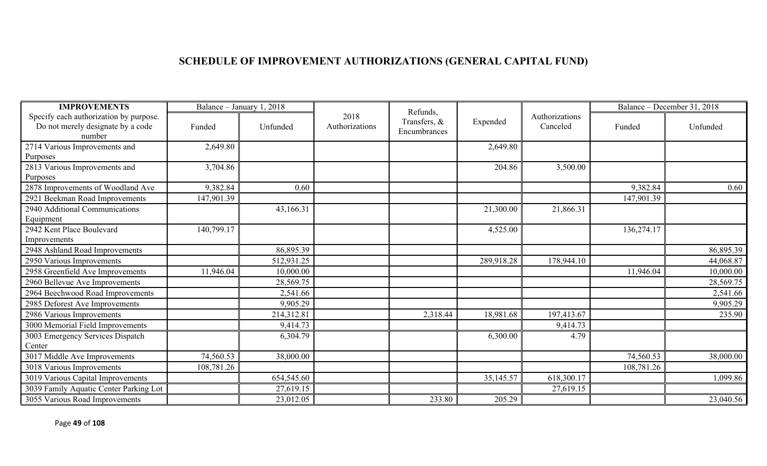# **SCHEDULE OF IMPROVEMENT AUTHORIZATIONS (GENERAL CAPITAL FUND)**

| <b>IMPROVEMENTS</b>                                                                   |            | Balance - January 1, 2018 |                        | Refunds,                     |            |                            |            | Balance – December 31, 2018 |
|---------------------------------------------------------------------------------------|------------|---------------------------|------------------------|------------------------------|------------|----------------------------|------------|-----------------------------|
| Specify each authorization by purpose.<br>Do not merely designate by a code<br>number | Funded     | Unfunded                  | 2018<br>Authorizations | Transfers, &<br>Encumbrances | Expended   | Authorizations<br>Canceled | Funded     | Unfunded                    |
| 2714 Various Improvements and                                                         | 2,649.80   |                           |                        |                              | 2,649.80   |                            |            |                             |
| Purposes                                                                              |            |                           |                        |                              |            |                            |            |                             |
| 2813 Various Improvements and                                                         | 3,704.86   |                           |                        |                              | 204.86     | 3,500.00                   |            |                             |
| Purposes                                                                              |            |                           |                        |                              |            |                            |            |                             |
| 2878 Improvements of Woodland Ave                                                     | 9,382.84   | 0.60                      |                        |                              |            |                            | 9,382.84   | 0.60                        |
| 2921 Beekman Road Improvements                                                        | 147,901.39 |                           |                        |                              |            |                            | 147,901.39 |                             |
| 2940 Additional Communications                                                        |            | 43,166.31                 |                        |                              | 21,300.00  | 21,866.31                  |            |                             |
| Equipment<br>2942 Kent Place Boulevard                                                | 140,799.17 |                           |                        |                              |            |                            |            |                             |
| Improvements                                                                          |            |                           |                        |                              | 4,525.00   |                            | 136,274.17 |                             |
| 2948 Ashland Road Improvements                                                        |            | 86,895.39                 |                        |                              |            |                            |            | 86,895.39                   |
| 2950 Various Improvements                                                             |            | 512,931.25                |                        |                              | 289,918.28 | 178,944.10                 |            | 44,068.87                   |
| 2958 Greenfield Ave Improvements                                                      | 11,946.04  | 10,000.00                 |                        |                              |            |                            | 11,946.04  | 10,000.00                   |
| 2960 Bellevue Ave Improvements                                                        |            | 28,569.75                 |                        |                              |            |                            |            | 28,569.75                   |
| 2964 Beechwood Road Improvements                                                      |            | 2,541.66                  |                        |                              |            |                            |            | 2,541.66                    |
| 2985 Deforest Ave Improvements                                                        |            | 9,905.29                  |                        |                              |            |                            |            | 9,905.29                    |
| 2986 Various Improvements                                                             |            | 214,312.81                |                        | 2,318.44                     | 18,981.68  | 197,413.67                 |            | 235.90                      |
| 3000 Memorial Field Improvements                                                      |            | 9,414.73                  |                        |                              |            | 9,414.73                   |            |                             |
| 3003 Emergency Services Dispatch                                                      |            | 6,304.79                  |                        |                              | 6,300.00   | 4.79                       |            |                             |
| Center                                                                                |            |                           |                        |                              |            |                            |            |                             |
| 3017 Middle Ave Improvements                                                          | 74,560.53  | 38,000.00                 |                        |                              |            |                            | 74,560.53  | 38,000.00                   |
| 3018 Various Improvements                                                             | 108,781.26 |                           |                        |                              |            |                            | 108,781.26 |                             |
| 3019 Various Capital Improvements                                                     |            | 654,545.60                |                        |                              | 35,145.57  | 618,300.17                 |            | 1,099.86                    |
| 3039 Family Aquatic Center Parking Lot                                                |            | 27,619.15                 |                        |                              |            | 27,619.15                  |            |                             |
| 3055 Various Road Improvements                                                        |            | 23,012.05                 |                        | 233.80                       | 205.29     |                            |            | 23,040.56                   |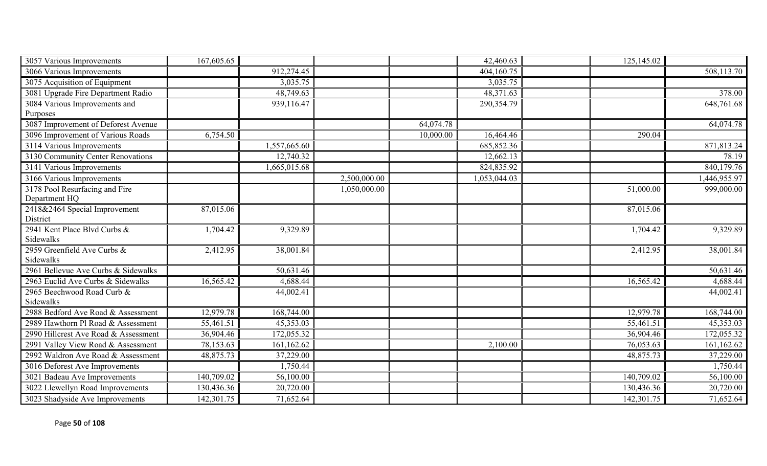| 3057 Various Improvements            | 167,605.65 |              |              |           | 42,460.63    | 125,145.02 |              |
|--------------------------------------|------------|--------------|--------------|-----------|--------------|------------|--------------|
| 3066 Various Improvements            |            | 912,274.45   |              |           | 404,160.75   |            | 508,113.70   |
| 3075 Acquisition of Equipment        |            | 3,035.75     |              |           | 3,035.75     |            |              |
| 3081 Upgrade Fire Department Radio   |            | 48,749.63    |              |           | 48,371.63    |            | 378.00       |
| 3084 Various Improvements and        |            | 939,116.47   |              |           | 290,354.79   |            | 648,761.68   |
| Purposes                             |            |              |              |           |              |            |              |
| 3087 Improvement of Deforest Avenue  |            |              |              | 64,074.78 |              |            | 64,074.78    |
| 3096 Improvement of Various Roads    | 6,754.50   |              |              | 10,000.00 | 16,464.46    | 290.04     |              |
| 3114 Various Improvements            |            | 1,557,665.60 |              |           | 685, 852.36  |            | 871,813.24   |
| 3130 Community Center Renovations    |            | 12,740.32    |              |           | 12,662.13    |            | 78.19        |
| 3141 Various Improvements            |            | 1,665,015.68 |              |           | 824,835.92   |            | 840,179.76   |
| 3166 Various Improvements            |            |              | 2,500,000.00 |           | 1,053,044.03 |            | 1,446,955.97 |
| 3178 Pool Resurfacing and Fire       |            |              | 1,050,000.00 |           |              | 51,000.00  | 999,000.00   |
| Department HQ                        |            |              |              |           |              |            |              |
| 2418&2464 Special Improvement        | 87,015.06  |              |              |           |              | 87,015.06  |              |
| District                             |            |              |              |           |              |            |              |
| 2941 Kent Place Blvd Curbs &         | 1,704.42   | 9,329.89     |              |           |              | 1,704.42   | 9,329.89     |
| Sidewalks                            |            |              |              |           |              |            |              |
| 2959 Greenfield Ave Curbs &          | 2,412.95   | 38,001.84    |              |           |              | 2,412.95   | 38,001.84    |
| Sidewalks                            |            |              |              |           |              |            |              |
| 2961 Bellevue Ave Curbs & Sidewalks  |            | 50,631.46    |              |           |              |            | 50,631.46    |
| 2963 Euclid Ave Curbs & Sidewalks    | 16,565.42  | 4,688.44     |              |           |              | 16,565.42  | 4,688.44     |
| 2965 Beechwood Road Curb &           |            | 44,002.41    |              |           |              |            | 44,002.41    |
| Sidewalks                            |            |              |              |           |              |            |              |
| 2988 Bedford Ave Road & Assessment   | 12,979.78  | 168,744.00   |              |           |              | 12,979.78  | 168,744.00   |
| 2989 Hawthorn Pl Road & Assessment   | 55,461.51  | 45,353.03    |              |           |              | 55,461.51  | 45,353.03    |
| 2990 Hillcrest Ave Road & Assessment | 36,904.46  | 172,055.32   |              |           |              | 36,904.46  | 172,055.32   |
| 2991 Valley View Road & Assessment   | 78,153.63  | 161,162.62   |              |           | 2,100.00     | 76,053.63  | 161,162.62   |
| 2992 Waldron Ave Road & Assessment   | 48,875.73  | 37,229.00    |              |           |              | 48,875.73  | 37,229.00    |
| 3016 Deforest Ave Improvements       |            | 1,750.44     |              |           |              |            | 1,750.44     |
| 3021 Badeau Ave Improvements         | 140,709.02 | 56,100.00    |              |           |              | 140,709.02 | 56,100.00    |
| 3022 Llewellyn Road Improvements     | 130,436.36 | 20,720.00    |              |           |              | 130,436.36 | 20,720.00    |
| 3023 Shadyside Ave Improvements      | 142,301.75 | 71,652.64    |              |           |              | 142,301.75 | 71,652.64    |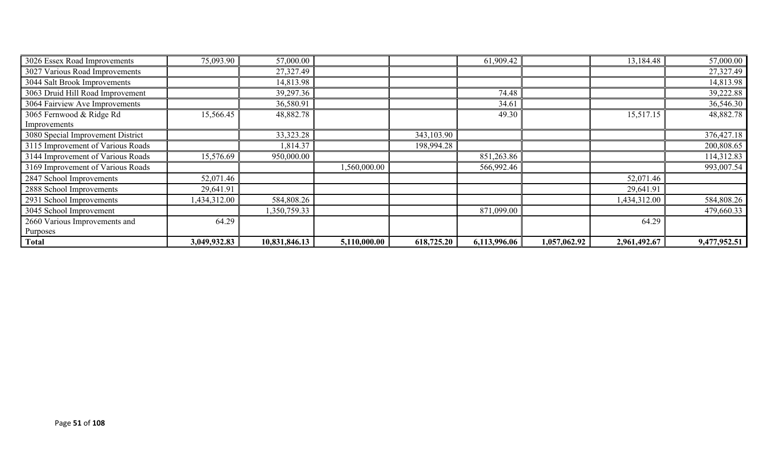| 3026 Essex Road Improvements      | 75,093.90    | 57,000.00     |              |            | 61,909.42    |              | 13,184.48    | 57,000.00    |
|-----------------------------------|--------------|---------------|--------------|------------|--------------|--------------|--------------|--------------|
| 3027 Various Road Improvements    |              | 27,327.49     |              |            |              |              |              | 27,327.49    |
| 3044 Salt Brook Improvements      |              | 14,813.98     |              |            |              |              |              | 14,813.98    |
| 3063 Druid Hill Road Improvement  |              | 39,297.36     |              |            | 74.48        |              |              | 39,222.88    |
| 3064 Fairview Ave Improvements    |              | 36,580.91     |              |            | 34.61        |              |              | 36,546.30    |
| 3065 Fernwood & Ridge Rd          | 15,566.45    | 48,882.78     |              |            | 49.30        |              | 15,517.15    | 48,882.78    |
| Improvements                      |              |               |              |            |              |              |              |              |
| 3080 Special Improvement District |              | 33, 323. 28   |              | 343,103.90 |              |              |              | 376,427.18   |
| 3115 Improvement of Various Roads |              | 1,814.37      |              | 198,994.28 |              |              |              | 200,808.65   |
| 3144 Improvement of Various Roads | 15,576.69    | 950,000.00    |              |            | 851,263.86   |              |              | 114,312.83   |
| 3169 Improvement of Various Roads |              |               | 1,560,000.00 |            | 566,992.46   |              |              | 993,007.54   |
| 2847 School Improvements          | 52,071.46    |               |              |            |              |              | 52,071.46    |              |
| 2888 School Improvements          | 29,641.91    |               |              |            |              |              | 29,641.91    |              |
| 2931 School Improvements          | 1,434,312.00 | 584,808.26    |              |            |              |              | 1,434,312.00 | 584,808.26   |
| 3045 School Improvement           |              | 1,350,759.33  |              |            | 871,099.00   |              |              | 479,660.33   |
| 2660 Various Improvements and     | 64.29        |               |              |            |              |              | 64.29        |              |
| Purposes                          |              |               |              |            |              |              |              |              |
| <b>Total</b>                      | 3,049,932.83 | 10,831,846.13 | 5,110,000.00 | 618,725.20 | 6,113,996.06 | 1,057,062.92 | 2,961,492.67 | 9,477,952.51 |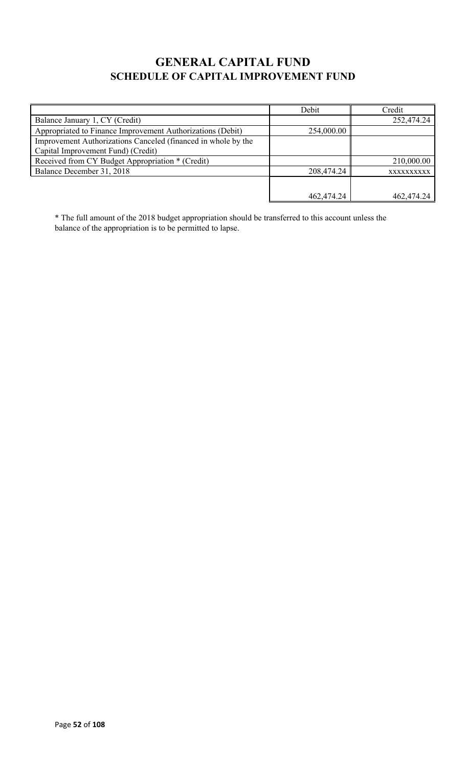# **GENERAL CAPITAL FUND SCHEDULE OF CAPITAL IMPROVEMENT FUND**

|                                                                                                     | Debit      | Credit     |
|-----------------------------------------------------------------------------------------------------|------------|------------|
| Balance January 1, CY (Credit)                                                                      |            | 252,474.24 |
| Appropriated to Finance Improvement Authorizations (Debit)                                          | 254,000.00 |            |
| Improvement Authorizations Canceled (financed in whole by the<br>Capital Improvement Fund) (Credit) |            |            |
| Received from CY Budget Appropriation * (Credit)                                                    |            | 210,000.00 |
| Balance December 31, 2018                                                                           | 208,474.24 | XXXXXXXXXX |
|                                                                                                     |            |            |
|                                                                                                     | 462,474.24 | 462,474.24 |

\* The full amount of the 2018 budget appropriation should be transferred to this account unless the balance of the appropriation is to be permitted to lapse.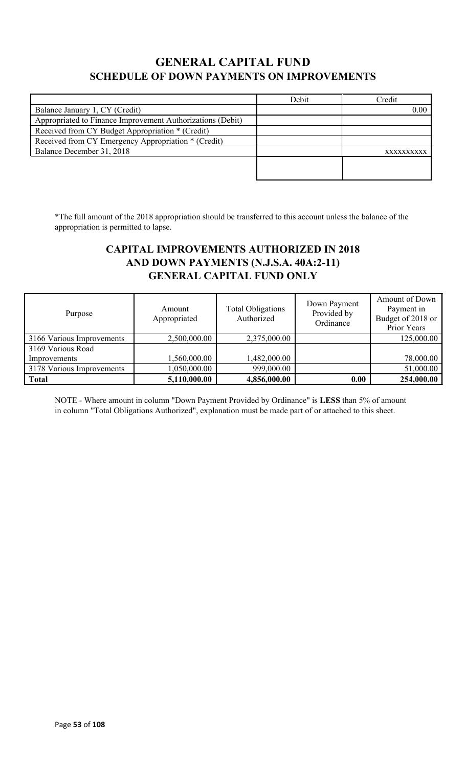# **GENERAL CAPITAL FUND SCHEDULE OF DOWN PAYMENTS ON IMPROVEMENTS**

|                                                            | Debit | Credit     |
|------------------------------------------------------------|-------|------------|
| Balance January 1, CY (Credit)                             |       | 0.00       |
| Appropriated to Finance Improvement Authorizations (Debit) |       |            |
| Received from CY Budget Appropriation * (Credit)           |       |            |
| Received from CY Emergency Appropriation * (Credit)        |       |            |
| Balance December 31, 2018                                  |       | XXXXXXXXXX |
|                                                            |       |            |
|                                                            |       |            |

\*The full amount of the 2018 appropriation should be transferred to this account unless the balance of the appropriation is permitted to lapse.

# **CAPITAL IMPROVEMENTS AUTHORIZED IN 2018 AND DOWN PAYMENTS (N.J.S.A. 40A:2-11) GENERAL CAPITAL FUND ONLY**

| Purpose                   | Amount<br>Appropriated | <b>Total Obligations</b><br>Authorized | Down Payment<br>Provided by<br>Ordinance | Amount of Down<br>Payment in<br>Budget of 2018 or<br>Prior Years |
|---------------------------|------------------------|----------------------------------------|------------------------------------------|------------------------------------------------------------------|
| 3166 Various Improvements | 2,500,000.00           | 2,375,000.00                           |                                          | 125,000.00                                                       |
| 3169 Various Road         |                        |                                        |                                          |                                                                  |
| Improvements              | 1,560,000.00           | 1,482,000.00                           |                                          | 78,000.00                                                        |
| 3178 Various Improvements | 1,050,000.00           | 999,000.00                             |                                          | 51,000.00                                                        |
| <b>Total</b>              | 5,110,000.00           | 4,856,000.00                           | 0.00                                     | 254,000.00                                                       |

NOTE - Where amount in column "Down Payment Provided by Ordinance" is **LESS** than 5% of amount in column "Total Obligations Authorized", explanation must be made part of or attached to this sheet.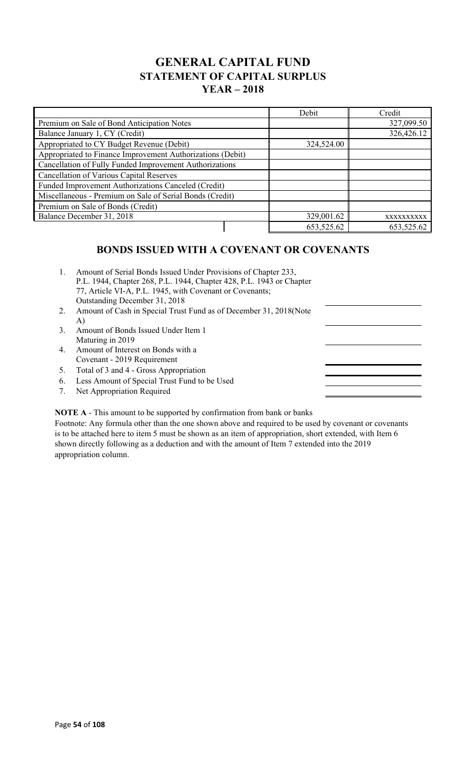# **GENERAL CAPITAL FUND STATEMENT OF CAPITAL SURPLUS YEAR – 2018**

|                                                            | Debit      | Credit     |
|------------------------------------------------------------|------------|------------|
| Premium on Sale of Bond Anticipation Notes                 |            | 327,099.50 |
| Balance January 1, CY (Credit)                             |            | 326,426.12 |
| Appropriated to CY Budget Revenue (Debit)                  | 324,524.00 |            |
| Appropriated to Finance Improvement Authorizations (Debit) |            |            |
| Cancellation of Fully Funded Improvement Authorizations    |            |            |
| <b>Cancellation of Various Capital Reserves</b>            |            |            |
| Funded Improvement Authorizations Canceled (Credit)        |            |            |
| Miscellaneous - Premium on Sale of Serial Bonds (Credit)   |            |            |
| Premium on Sale of Bonds (Credit)                          |            |            |
| Balance December 31, 2018                                  | 329,001.62 | XXXXXXXXXX |
|                                                            | 653,525.62 | 653,525.62 |

# **BONDS ISSUED WITH A COVENANT OR COVENANTS**

- 1. Amount of Serial Bonds Issued Under Provisions of Chapter 233, P.L. 1944, Chapter 268, P.L. 1944, Chapter 428, P.L. 1943 or Chapter 77, Article VI-A, P.L. 1945, with Covenant or Covenants; Outstanding December 31, 2018
- 2. Amount of Cash in Special Trust Fund as of December 31, 2018(Note A)
- 3. Amount of Bonds Issued Under Item 1 Maturing in 2019
- 4. Amount of Interest on Bonds with a Covenant - 2019 Requirement
- 5. Total of 3 and 4 Gross Appropriation
- 6. Less Amount of Special Trust Fund to be Used
- 7. Net Appropriation Required

#### **NOTE A** - This amount to be supported by confirmation from bank or banks

Footnote: Any formula other than the one shown above and required to be used by covenant or covenants is to be attached here to item 5 must be shown as an item of appropriation, short extended, with Item 6 shown directly following as a deduction and with the amount of Item 7 extended into the 2019 appropriation column.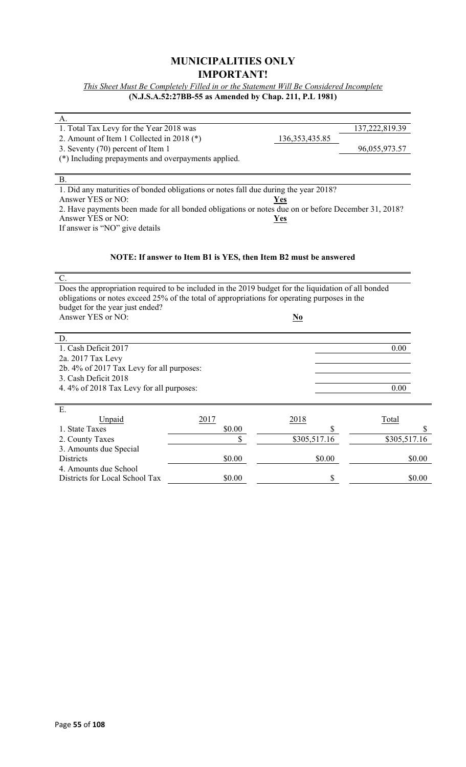### **MUNICIPALITIES ONLY IMPORTANT!**

*This Sheet Must Be Completely Filled in or the Statement Will Be Considered Incomplete* **(N.J.S.A.52:27BB-55 as Amended by Chap. 211, P.L 1981)**

| А.                                                                                                  |                                                                  |                                    |                |
|-----------------------------------------------------------------------------------------------------|------------------------------------------------------------------|------------------------------------|----------------|
| 1. Total Tax Levy for the Year 2018 was                                                             |                                                                  |                                    | 137,222,819.39 |
| 2. Amount of Item 1 Collected in 2018 (*)                                                           |                                                                  | 136, 353, 435.85                   |                |
| 3. Seventy (70) percent of Item 1                                                                   |                                                                  |                                    | 96,055,973.57  |
| (*) Including prepayments and overpayments applied.                                                 |                                                                  |                                    |                |
|                                                                                                     |                                                                  |                                    |                |
| <b>B.</b>                                                                                           |                                                                  |                                    |                |
| 1. Did any maturities of bonded obligations or notes fall due during the year 2018?                 |                                                                  |                                    |                |
| Answer YES or NO:                                                                                   |                                                                  | <b>Yes</b>                         |                |
| 2. Have payments been made for all bonded obligations or notes due on or before December 31, 2018?  |                                                                  |                                    |                |
| Answer YES or NO:                                                                                   |                                                                  | Yes                                |                |
| If answer is "NO" give details                                                                      |                                                                  |                                    |                |
|                                                                                                     |                                                                  |                                    |                |
|                                                                                                     |                                                                  |                                    |                |
|                                                                                                     | NOTE: If answer to Item B1 is YES, then Item B2 must be answered |                                    |                |
|                                                                                                     |                                                                  |                                    |                |
| $\mathcal{C}$ .                                                                                     |                                                                  |                                    |                |
| Does the appropriation required to be included in the 2019 budget for the liquidation of all bonded |                                                                  |                                    |                |
| obligations or notes exceed 25% of the total of appropriations for operating purposes in the        |                                                                  |                                    |                |
| budget for the year just ended?                                                                     |                                                                  |                                    |                |
| Answer YES or NO:                                                                                   |                                                                  | $\underline{\mathbf{N}\mathbf{o}}$ |                |
|                                                                                                     |                                                                  |                                    |                |
| D.                                                                                                  |                                                                  |                                    |                |
| 1. Cash Deficit 2017                                                                                |                                                                  |                                    | 0.00           |
| 2a. 2017 Tax Levy                                                                                   |                                                                  |                                    |                |
| 2b. 4% of 2017 Tax Levy for all purposes:                                                           |                                                                  |                                    |                |
| 3. Cash Deficit 2018                                                                                |                                                                  |                                    |                |
| 4.4% of 2018 Tax Levy for all purposes:                                                             |                                                                  |                                    | 0.00           |
|                                                                                                     |                                                                  |                                    |                |
| Ε.                                                                                                  |                                                                  |                                    |                |
| Unpaid                                                                                              | 2017                                                             | 2018                               | Total          |
| 1. State Taxes                                                                                      | \$0.00                                                           | \$                                 |                |
| 2. County Taxes                                                                                     | \$                                                               | \$305,517.16                       | \$305,517.16   |
| 3. Amounts due Special                                                                              |                                                                  |                                    |                |
| <b>Districts</b>                                                                                    | \$0.00                                                           | \$0.00                             | \$0.00         |
| 4. Amounts due School                                                                               |                                                                  |                                    |                |
|                                                                                                     |                                                                  |                                    |                |

Districts for Local School Tax  $\frac{$0.00}{$0.00}$   $\frac{8}{1}$   $\frac{$0.00}{$0.00}$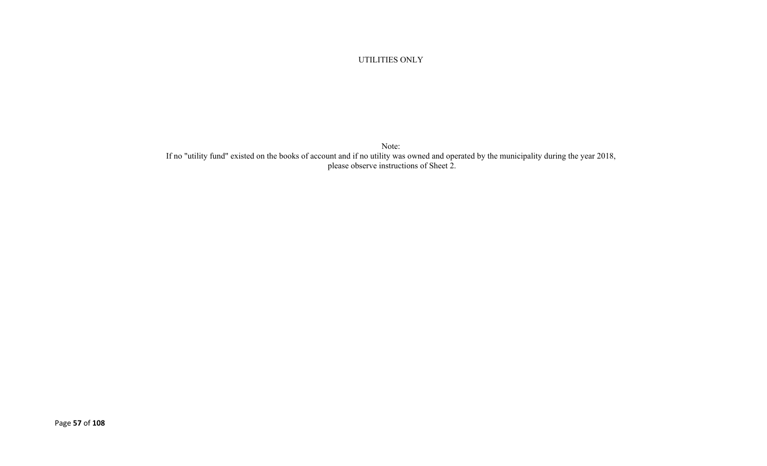#### UTILITIES ONLY

Note: If no "utility fund" existed on the books of account and if no utility was owned and operated by the municipality during the year 2018, please observe instructions of Sheet 2.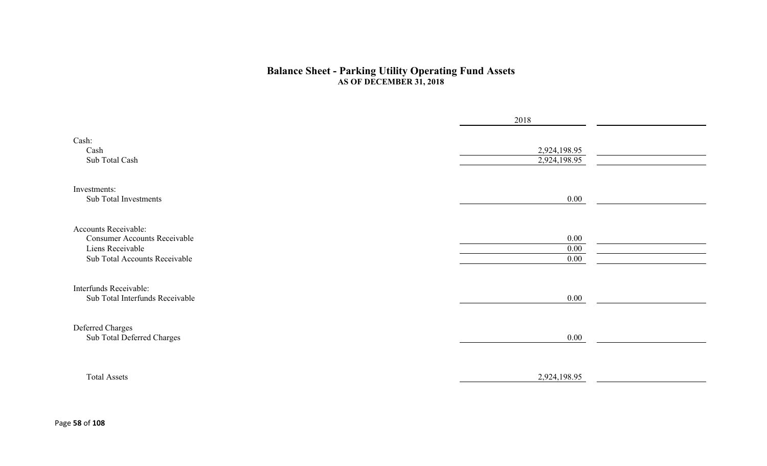#### **Balance Sheet - Parking Utility Operating Fund Assets AS OF DECEMBER 31, 2018**

|                                                                                                                  | 2018                         |  |
|------------------------------------------------------------------------------------------------------------------|------------------------------|--|
| Cash:<br>Cash<br>Sub Total Cash                                                                                  | 2,924,198.95<br>2,924,198.95 |  |
| Investments:<br>Sub Total Investments                                                                            | 0.00                         |  |
| Accounts Receivable:<br><b>Consumer Accounts Receivable</b><br>Liens Receivable<br>Sub Total Accounts Receivable | 0.00<br>0.00<br>0.00         |  |
| Interfunds Receivable:<br>Sub Total Interfunds Receivable                                                        | $0.00\,$                     |  |
| Deferred Charges<br>Sub Total Deferred Charges                                                                   | 0.00                         |  |
| <b>Total Assets</b>                                                                                              | 2,924,198.95                 |  |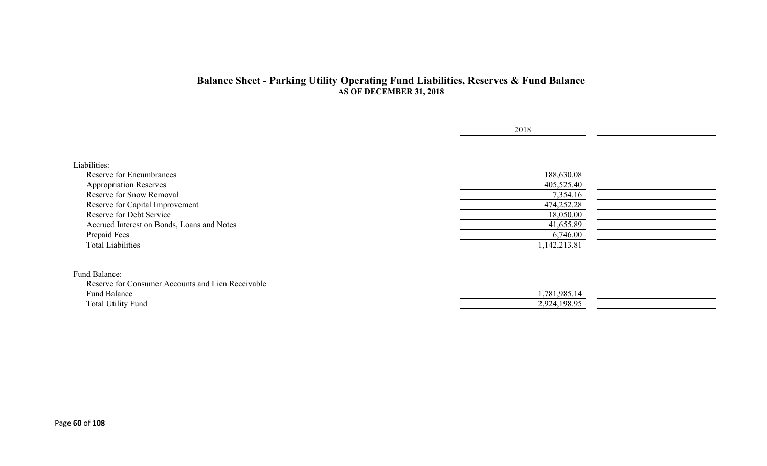#### **Balance Sheet - Parking Utility Operating Fund Liabilities, Reserves & Fund Balance AS OF DECEMBER 31, 2018**

| Liabilities:<br>188,630.08<br><b>Reserve for Encumbrances</b><br>405,525.40<br><b>Appropriation Reserves</b><br>Reserve for Snow Removal<br>7,354.16<br>Reserve for Capital Improvement<br>474,252.28<br>Reserve for Debt Service<br>18,050.00<br>Accrued Interest on Bonds, Loans and Notes<br>41,655.89<br>Prepaid Fees<br>6,746.00<br>1,142,213.81<br><b>Total Liabilities</b><br>Reserve for Consumer Accounts and Lien Receivable<br>1,781,985.14<br>Fund Balance |                           | 2018         |  |
|------------------------------------------------------------------------------------------------------------------------------------------------------------------------------------------------------------------------------------------------------------------------------------------------------------------------------------------------------------------------------------------------------------------------------------------------------------------------|---------------------------|--------------|--|
| Fund Balance:                                                                                                                                                                                                                                                                                                                                                                                                                                                          |                           |              |  |
|                                                                                                                                                                                                                                                                                                                                                                                                                                                                        |                           |              |  |
|                                                                                                                                                                                                                                                                                                                                                                                                                                                                        |                           |              |  |
|                                                                                                                                                                                                                                                                                                                                                                                                                                                                        |                           |              |  |
|                                                                                                                                                                                                                                                                                                                                                                                                                                                                        |                           |              |  |
|                                                                                                                                                                                                                                                                                                                                                                                                                                                                        |                           |              |  |
|                                                                                                                                                                                                                                                                                                                                                                                                                                                                        |                           |              |  |
|                                                                                                                                                                                                                                                                                                                                                                                                                                                                        |                           |              |  |
|                                                                                                                                                                                                                                                                                                                                                                                                                                                                        |                           |              |  |
|                                                                                                                                                                                                                                                                                                                                                                                                                                                                        |                           |              |  |
|                                                                                                                                                                                                                                                                                                                                                                                                                                                                        |                           |              |  |
|                                                                                                                                                                                                                                                                                                                                                                                                                                                                        |                           |              |  |
|                                                                                                                                                                                                                                                                                                                                                                                                                                                                        |                           |              |  |
|                                                                                                                                                                                                                                                                                                                                                                                                                                                                        |                           |              |  |
|                                                                                                                                                                                                                                                                                                                                                                                                                                                                        |                           |              |  |
|                                                                                                                                                                                                                                                                                                                                                                                                                                                                        | <b>Total Utility Fund</b> | 2,924,198.95 |  |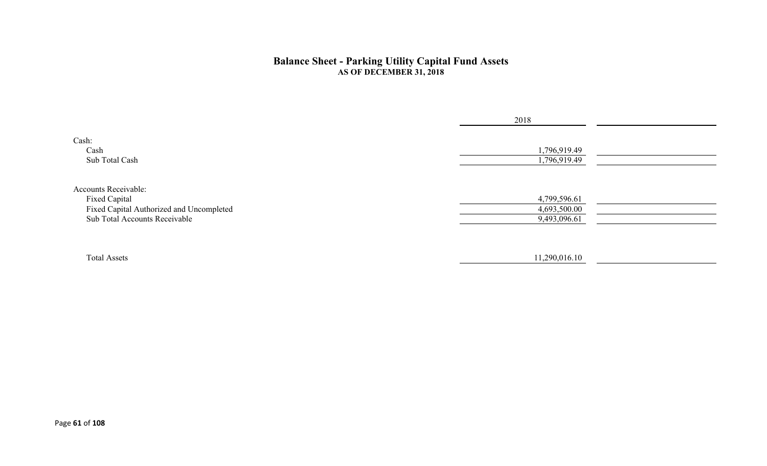#### **Balance Sheet - Parking Utility Capital Fund Assets AS OF DECEMBER 31, 2018**

|                                                                                                                           | 2018                                         |
|---------------------------------------------------------------------------------------------------------------------------|----------------------------------------------|
| Cash:<br>Cash<br>Sub Total Cash                                                                                           | 1,796,919.49<br>1,796,919.49                 |
| <b>Accounts Receivable:</b><br>Fixed Capital<br>Fixed Capital Authorized and Uncompleted<br>Sub Total Accounts Receivable | 4,799,596.61<br>4,693,500.00<br>9,493,096.61 |
| <b>Total Assets</b>                                                                                                       | 11,290,016.10                                |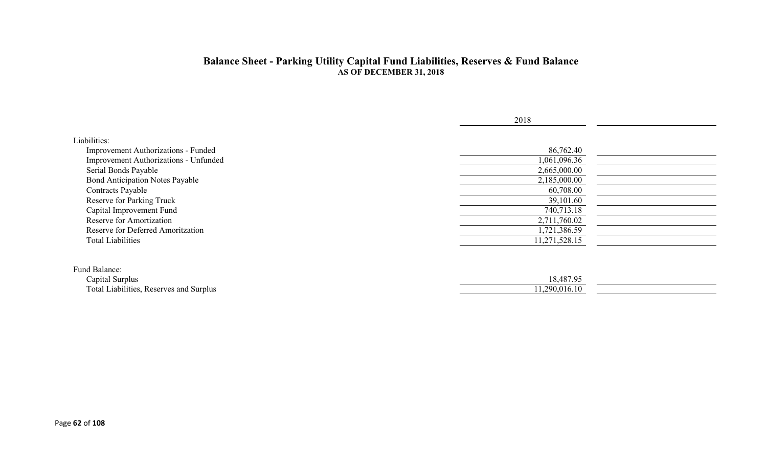#### **Balance Sheet - Parking Utility Capital Fund Liabilities, Reserves & Fund Balance AS OF DECEMBER 31, 2018**

|                                                                                              | 2018                      |  |
|----------------------------------------------------------------------------------------------|---------------------------|--|
| Liabilities:<br>Improvement Authorizations - Funded<br>Improvement Authorizations - Unfunded | 86,762.40<br>1,061,096.36 |  |
| Serial Bonds Payable                                                                         | 2,665,000.00              |  |
| <b>Bond Anticipation Notes Payable</b>                                                       | 2,185,000.00              |  |
| <b>Contracts Payable</b>                                                                     | 60,708.00                 |  |
| Reserve for Parking Truck                                                                    | 39,101.60                 |  |
| Capital Improvement Fund                                                                     | 740,713.18                |  |
| Reserve for Amortization                                                                     | 2,711,760.02              |  |
| Reserve for Deferred Amoritzation                                                            | 1,721,386.59              |  |
| <b>Total Liabilities</b>                                                                     | 11,271,528.15             |  |
| Fund Balance:                                                                                |                           |  |
| Capital Surplus                                                                              | 18,487.95                 |  |
| Total Liabilities, Reserves and Surplus                                                      | 11,290,016.10             |  |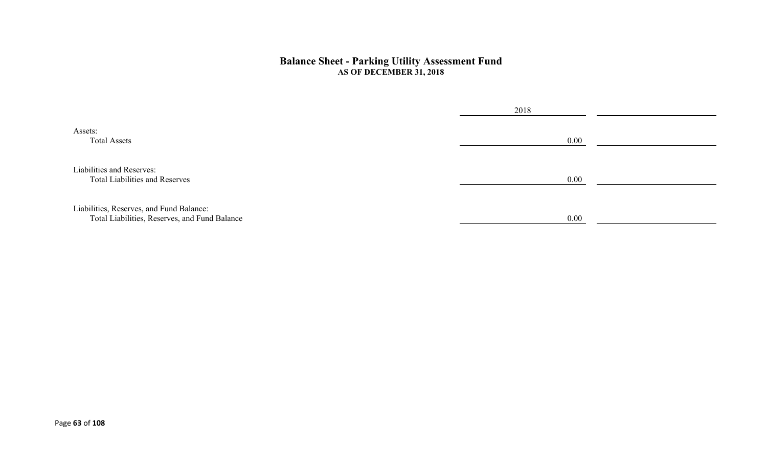#### **Balance Sheet - Parking Utility Assessment Fund AS OF DECEMBER 31, 2018**

|                                                                                           | 2018 |  |
|-------------------------------------------------------------------------------------------|------|--|
| Assets:<br><b>Total Assets</b>                                                            | 0.00 |  |
| Liabilities and Reserves:<br><b>Total Liabilities and Reserves</b>                        | 0.00 |  |
| Liabilities, Reserves, and Fund Balance:<br>Total Liabilities, Reserves, and Fund Balance | 0.00 |  |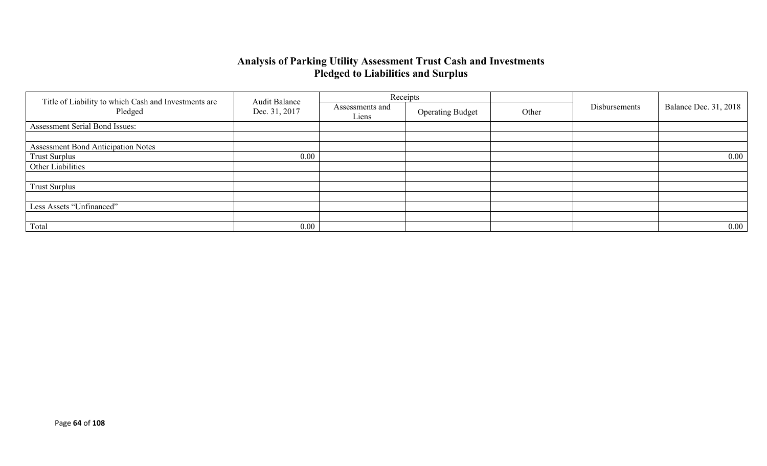### **Analysis of Parking Utility Assessment Trust Cash and Investments Pledged to Liabilities and Surplus**

|                                                                 | <b>Audit Balance</b> |                          | Receipts                |       |               |                              |
|-----------------------------------------------------------------|----------------------|--------------------------|-------------------------|-------|---------------|------------------------------|
| Title of Liability to which Cash and Investments are<br>Pledged | Dec. 31, 2017        | Assessments and<br>Liens | <b>Operating Budget</b> | Other | Disbursements | <b>Balance Dec. 31, 2018</b> |
| Assessment Serial Bond Issues:                                  |                      |                          |                         |       |               |                              |
|                                                                 |                      |                          |                         |       |               |                              |
| <b>Assessment Bond Anticipation Notes</b>                       |                      |                          |                         |       |               |                              |
| <b>Trust Surplus</b>                                            | 0.00                 |                          |                         |       |               | $0.00\,$                     |
| Other Liabilities                                               |                      |                          |                         |       |               |                              |
|                                                                 |                      |                          |                         |       |               |                              |
| <b>Trust Surplus</b>                                            |                      |                          |                         |       |               |                              |
|                                                                 |                      |                          |                         |       |               |                              |
| Less Assets "Unfinanced"                                        |                      |                          |                         |       |               |                              |
|                                                                 |                      |                          |                         |       |               |                              |
| Total                                                           | 0.00                 |                          |                         |       |               | $0.00\,$                     |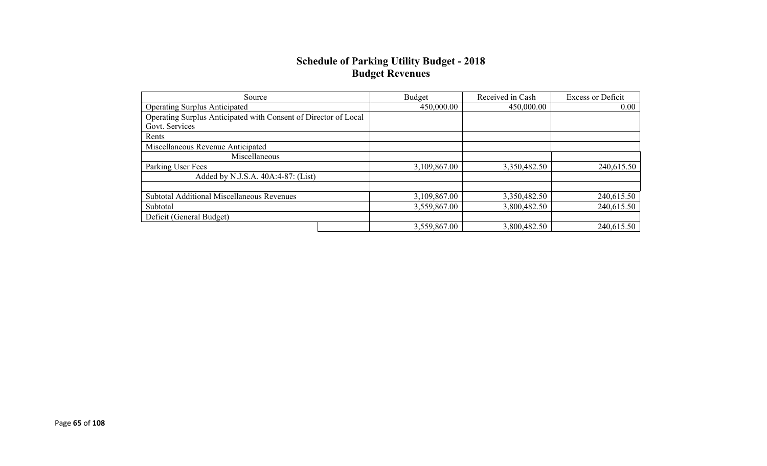### **Schedule of Parking Utility Budget - 2018 Budget Revenues**

| Source                                                          | Budget       | Received in Cash | <b>Excess or Deficit</b> |
|-----------------------------------------------------------------|--------------|------------------|--------------------------|
| <b>Operating Surplus Anticipated</b>                            | 450,000.00   | 450,000.00       | 0.00                     |
| Operating Surplus Anticipated with Consent of Director of Local |              |                  |                          |
| Govt. Services                                                  |              |                  |                          |
| Rents                                                           |              |                  |                          |
| Miscellaneous Revenue Anticipated                               |              |                  |                          |
| Miscellaneous                                                   |              |                  |                          |
| Parking User Fees                                               | 3,109,867.00 | 3,350,482.50     | 240,615.50               |
| Added by N.J.S.A. 40A:4-87: (List)                              |              |                  |                          |
|                                                                 |              |                  |                          |
| <b>Subtotal Additional Miscellaneous Revenues</b>               | 3,109,867.00 | 3,350,482.50     | 240,615.50               |
| Subtotal                                                        | 3,559,867.00 | 3,800,482.50     | 240,615.50               |
| Deficit (General Budget)                                        |              |                  |                          |
|                                                                 | 3,559,867.00 | 3,800,482.50     | 240,615.50               |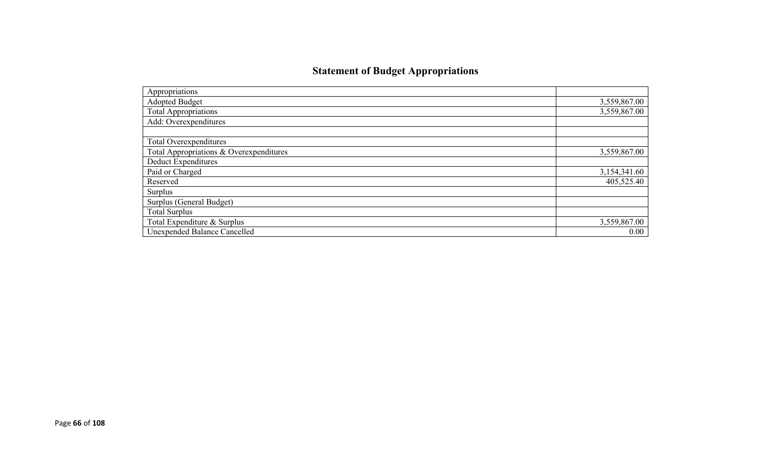# **Statement of Budget Appropriations**

| Appropriations                          |              |
|-----------------------------------------|--------------|
| Adopted Budget                          | 3,559,867.00 |
| <b>Total Appropriations</b>             | 3,559,867.00 |
| Add: Overexpenditures                   |              |
|                                         |              |
| Total Overexpenditures                  |              |
| Total Appropriations & Overexpenditures | 3,559,867.00 |
| Deduct Expenditures                     |              |
| Paid or Charged                         | 3,154,341.60 |
| Reserved                                | 405,525.40   |
| Surplus                                 |              |
| Surplus (General Budget)                |              |
| <b>Total Surplus</b>                    |              |
| Total Expenditure & Surplus             | 3,559,867.00 |
| Unexpended Balance Cancelled            | 0.00         |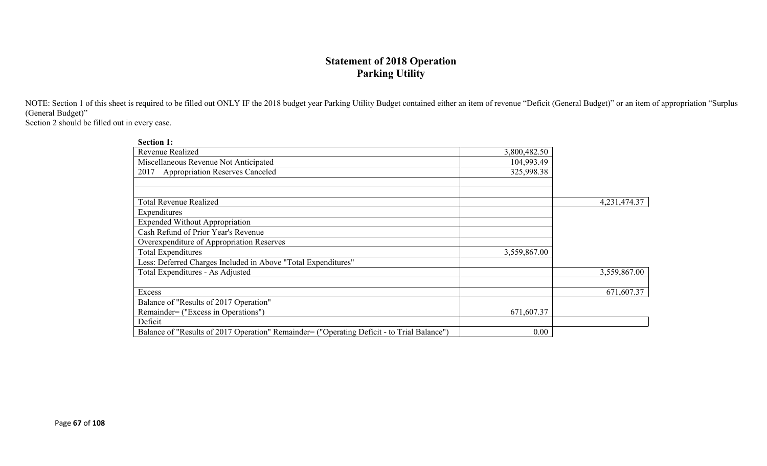# **Statement of 2018 Operation Parking Utility**

NOTE: Section 1 of this sheet is required to be filled out ONLY IF the 2018 budget year Parking Utility Budget contained either an item of revenue "Deficit (General Budget)" or an item of appropriation "Surplus (General Budget)"

Section 2 should be filled out in every case.

| <b>Section 1:</b>                                                                          |              |              |
|--------------------------------------------------------------------------------------------|--------------|--------------|
| Revenue Realized                                                                           | 3,800,482.50 |              |
| Miscellaneous Revenue Not Anticipated                                                      | 104,993.49   |              |
| <b>Appropriation Reserves Canceled</b><br>2017                                             | 325,998.38   |              |
|                                                                                            |              |              |
|                                                                                            |              |              |
| Total Revenue Realized                                                                     |              | 4,231,474.37 |
| Expenditures                                                                               |              |              |
| <b>Expended Without Appropriation</b>                                                      |              |              |
| Cash Refund of Prior Year's Revenue                                                        |              |              |
| Overexpenditure of Appropriation Reserves                                                  |              |              |
| <b>Total Expenditures</b>                                                                  | 3,559,867.00 |              |
| Less: Deferred Charges Included in Above "Total Expenditures"                              |              |              |
| Total Expenditures - As Adjusted                                                           |              | 3,559,867.00 |
|                                                                                            |              |              |
| Excess                                                                                     |              | 671,607.37   |
| Balance of "Results of 2017 Operation"                                                     |              |              |
| Remainder= ("Excess in Operations")                                                        | 671,607.37   |              |
| Deficit                                                                                    |              |              |
| Balance of "Results of 2017 Operation" Remainder= ("Operating Deficit - to Trial Balance") | 0.00         |              |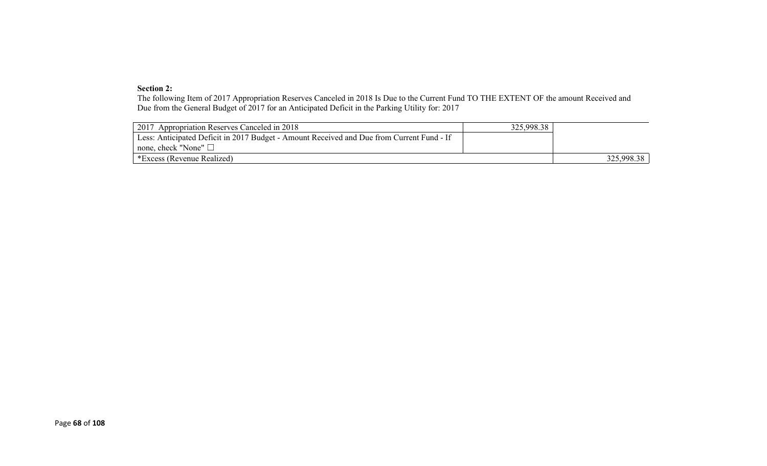#### **Section 2:**

The following Item of 2017 Appropriation Reserves Canceled in 2018 Is Due to the Current Fund TO THE EXTENT OF the amount Received and Due from the General Budget of 2017 for an Anticipated Deficit in the Parking Utility for: 2017

| 2017 Appropriation Reserves Canceled in 2018                                              | 325,998.38 |            |
|-------------------------------------------------------------------------------------------|------------|------------|
| Less: Anticipated Deficit in 2017 Budget - Amount Received and Due from Current Fund - If |            |            |
| $\perp$ none, check "None" $\Box$                                                         |            |            |
| *Excess (Revenue Realized)                                                                |            | 325,998.38 |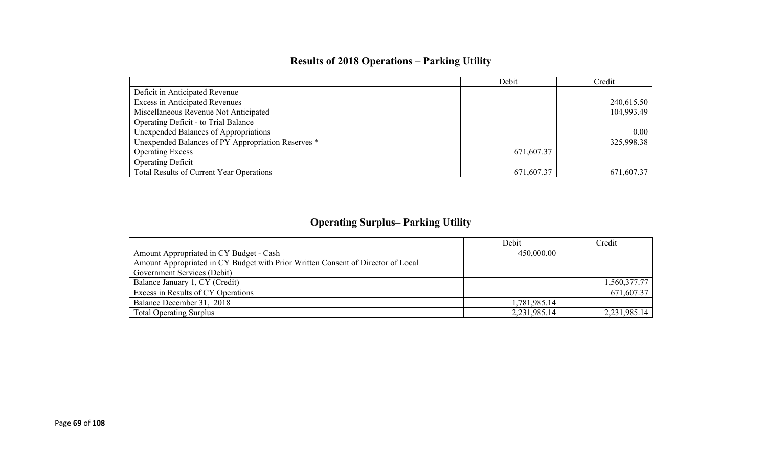# **Results of 2018 Operations – Parking Utility**

|                                                    | Debit      | Credit     |
|----------------------------------------------------|------------|------------|
| Deficit in Anticipated Revenue                     |            |            |
| <b>Excess in Anticipated Revenues</b>              |            | 240,615.50 |
| Miscellaneous Revenue Not Anticipated              |            | 104,993.49 |
| Operating Deficit - to Trial Balance               |            |            |
| Unexpended Balances of Appropriations              |            | 0.00       |
| Unexpended Balances of PY Appropriation Reserves * |            | 325,998.38 |
| <b>Operating Excess</b>                            | 671,607.37 |            |
| <b>Operating Deficit</b>                           |            |            |
| Total Results of Current Year Operations           | 671,607.37 | 671,607.37 |

# **Operating Surplus– Parking Utility**

|                                                                                  | Debit           | Credit       |
|----------------------------------------------------------------------------------|-----------------|--------------|
| Amount Appropriated in CY Budget - Cash                                          | 450,000.00      |              |
| Amount Appropriated in CY Budget with Prior Written Consent of Director of Local |                 |              |
| Government Services (Debit)                                                      |                 |              |
| Balance January 1, CY (Credit)                                                   |                 | 1,560,377.77 |
| Excess in Results of CY Operations                                               |                 | 671,607.37   |
| Balance December 31, 2018                                                        | 1,781,985.14    |              |
| <b>Total Operating Surplus</b>                                                   | 2, 231, 985. 14 | 2,231,985.14 |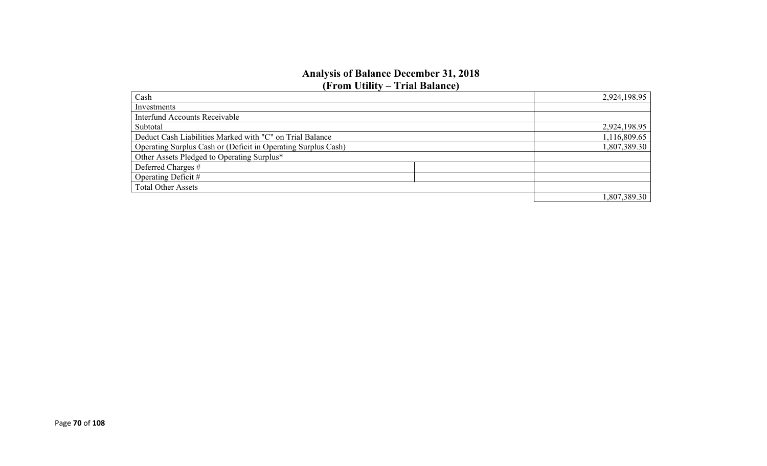#### **Analysis of Balance December 31, 2018 (From Utility – Trial Balance)**

| Cash                                                          |  | 2,924,198.95 |
|---------------------------------------------------------------|--|--------------|
| Investments                                                   |  |              |
| <b>Interfund Accounts Receivable</b>                          |  |              |
| Subtotal                                                      |  | 2,924,198.95 |
| Deduct Cash Liabilities Marked with "C" on Trial Balance      |  | 1,116,809.65 |
| Operating Surplus Cash or (Deficit in Operating Surplus Cash) |  | 1,807,389.30 |
| Other Assets Pledged to Operating Surplus*                    |  |              |
| Deferred Charges #                                            |  |              |
| Operating Deficit #                                           |  |              |
| <b>Total Other Assets</b>                                     |  |              |
|                                                               |  | 1,807,389.30 |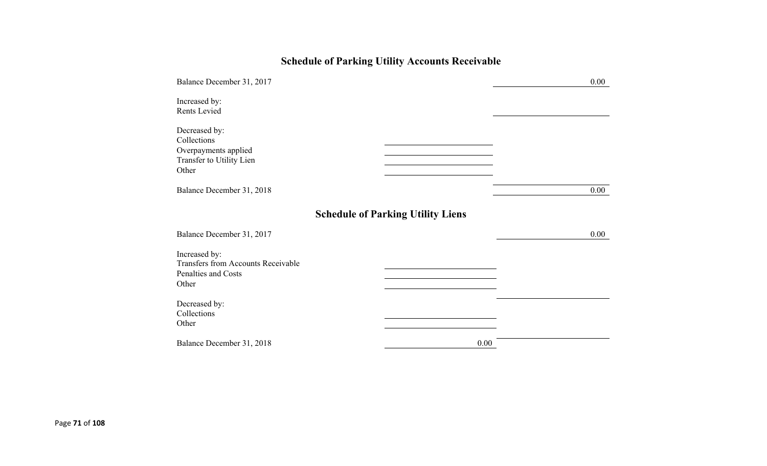# **Schedule of Parking Utility Accounts Receivable**

| Balance December 31, 2017                                                                  |                                          | 0.00 |
|--------------------------------------------------------------------------------------------|------------------------------------------|------|
| Increased by:<br>Rents Levied                                                              |                                          |      |
| Decreased by:<br>Collections<br>Overpayments applied<br>Transfer to Utility Lien<br>Other  |                                          |      |
| Balance December 31, 2018                                                                  |                                          | 0.00 |
|                                                                                            | <b>Schedule of Parking Utility Liens</b> |      |
| Balance December 31, 2017                                                                  |                                          | 0.00 |
| Increased by:<br><b>Transfers from Accounts Receivable</b><br>Penalties and Costs<br>Other |                                          |      |
| Decreased by:<br>Collections<br>Other                                                      |                                          |      |
| Balance December 31, 2018                                                                  | 0.00                                     |      |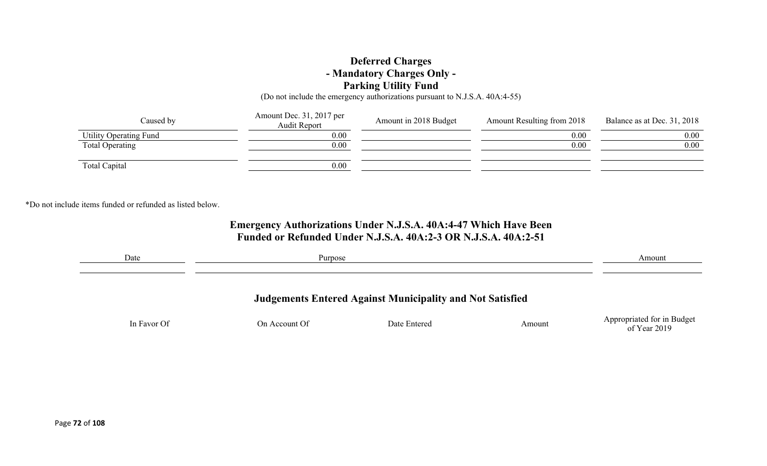### **Deferred Charges - Mandatory Charges Only - Parking Utility Fund**

(Do not include the emergency authorizations pursuant to N.J.S.A. 40A:4-55)

| Caused by              | Amount Dec. 31, 2017 per<br>Audit Report | Amount in 2018 Budget | Amount Resulting from 2018 | Balance as at Dec. 31, 2018 |
|------------------------|------------------------------------------|-----------------------|----------------------------|-----------------------------|
| Utility Operating Fund | 0.00                                     |                       | 0.00                       | 0.00                        |
| Total Operating        | 0.00                                     |                       | 0.00                       | 0.00                        |
| Total Capital          | 0.00                                     |                       |                            |                             |

\*Do not include items funded or refunded as listed below.

## **Emergency Authorizations Under N.J.S.A. 40A:4-47 Which Have Been Funded or Refunded Under N.J.S.A. 40A:2-3 OR N.J.S.A. 40A:2-51**

| Date                                                             | Purpose       |              | Amount |                                            |
|------------------------------------------------------------------|---------------|--------------|--------|--------------------------------------------|
| <b>Judgements Entered Against Municipality and Not Satisfied</b> |               |              |        |                                            |
| In Favor Of                                                      | On Account Of | Date Entered | Amount | Appropriated for in Budget<br>of Year 2019 |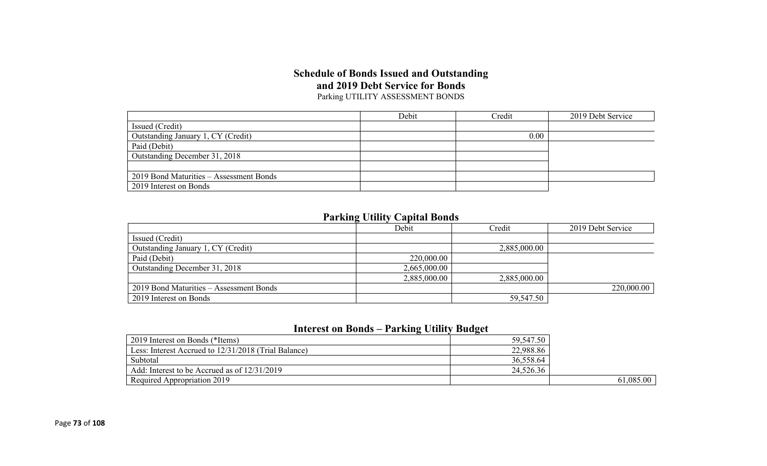### **Schedule of Bonds Issued and Outstanding and 2019 Debt Service for Bonds** Parking UTILITY ASSESSMENT BONDS

|                                         | Debit | Credit | 2019 Debt Service |
|-----------------------------------------|-------|--------|-------------------|
| Issued (Credit)                         |       |        |                   |
| Outstanding January 1, CY (Credit)      |       | 0.00   |                   |
| Paid (Debit)                            |       |        |                   |
| Outstanding December 31, 2018           |       |        |                   |
|                                         |       |        |                   |
| 2019 Bond Maturities – Assessment Bonds |       |        |                   |
| 2019 Interest on Bonds                  |       |        |                   |

## **Parking Utility Capital Bonds**

|                                         | Debit        | Credit       | 2019 Debt Service |
|-----------------------------------------|--------------|--------------|-------------------|
| Issued (Credit)                         |              |              |                   |
| Outstanding January 1, CY (Credit)      |              | 2,885,000.00 |                   |
| Paid (Debit)                            | 220,000.00   |              |                   |
| Outstanding December 31, 2018           | 2,665,000.00 |              |                   |
|                                         | 2,885,000.00 | 2,885,000.00 |                   |
| 2019 Bond Maturities – Assessment Bonds |              |              | 220,000.00        |
| 2019 Interest on Bonds                  |              | 59,547.50    |                   |

## **Interest on Bonds – Parking Utility Budget**

| 2019 Interest on Bonds (*Items)                      | 59,547.50 |           |
|------------------------------------------------------|-----------|-----------|
| Less: Interest Accrued to 12/31/2018 (Trial Balance) | 22,988.86 |           |
| Subtotal                                             | 36,558.64 |           |
| Add: Interest to be Accrued as of 12/31/2019         | 24,526.36 |           |
| Required Appropriation 2019                          |           | 61,085.00 |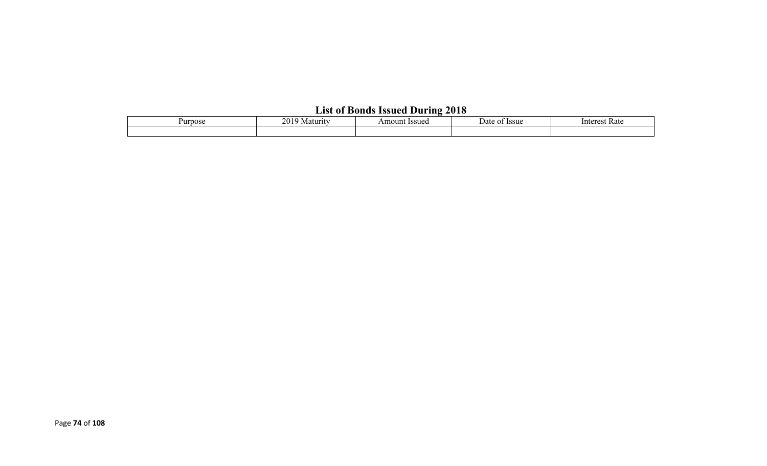## **List of Bonds Issued During 2018**

| Purpose | 201<br>Maturity | Amount Issued | <b>Issue</b><br>Date<br>ΩT | Rate<br>Interest |  |  |  |  |  |
|---------|-----------------|---------------|----------------------------|------------------|--|--|--|--|--|
|         |                 |               |                            |                  |  |  |  |  |  |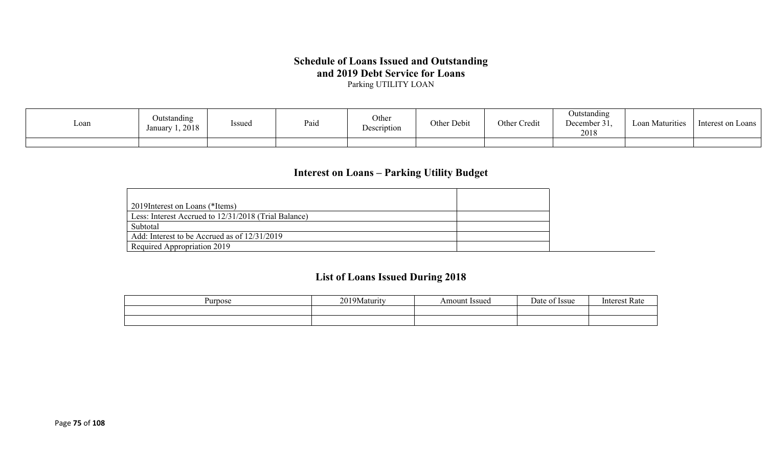## **Schedule of Loans Issued and Outstanding and 2019 Debt Service for Loans**

Parking UTILITY LOAN

| Loan | Outstanding<br>1,2018<br>January | Issued | Paid | Other<br>Description | Other Debit | Other Credit | Outstanding<br>December 31.<br>2018 | <b>Loan Maturities</b> | Interest on Loans |
|------|----------------------------------|--------|------|----------------------|-------------|--------------|-------------------------------------|------------------------|-------------------|
|      |                                  |        |      |                      |             |              |                                     |                        |                   |

## **Interest on Loans – Parking Utility Budget**

| 2019 Interest on Loans (*Items)                      |  |
|------------------------------------------------------|--|
| Less: Interest Accrued to 12/31/2018 (Trial Balance) |  |
| Subtotal                                             |  |
| Add: Interest to be Accrued as of 12/31/2019         |  |
| Required Appropriation 2019                          |  |

## **List of Loans Issued During 2018**

| Purpose | 20103<br>  9Maturity<br>$\sim$ | <b>Issued</b><br>Amount | $\overline{\phantom{0}}$<br>)ate<br><b>Issue</b> | Intorc<br>мак |
|---------|--------------------------------|-------------------------|--------------------------------------------------|---------------|
|         |                                |                         |                                                  |               |
|         |                                |                         |                                                  |               |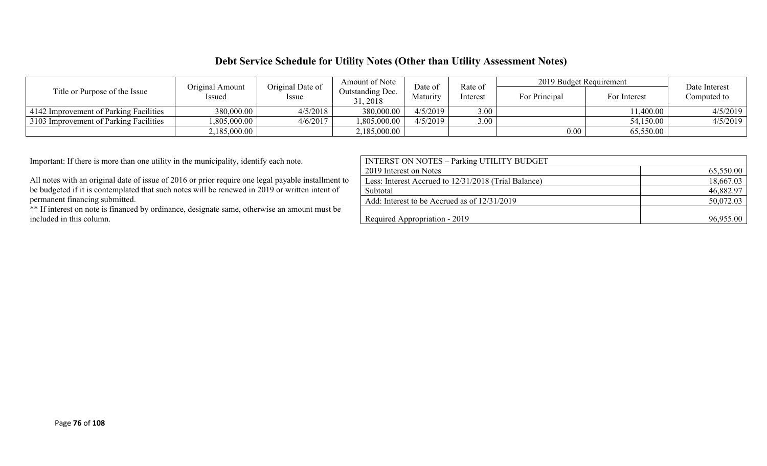### **Debt Service Schedule for Utility Notes (Other than Utility Assessment Notes)**

| Title or Purpose of the Issue          | Original Amount             | Original Date of | Amount of Note<br>Date of           |          | Rate of | 2019 Budget Requirement |              | Date Interest<br>Computed to |  |
|----------------------------------------|-----------------------------|------------------|-------------------------------------|----------|---------|-------------------------|--------------|------------------------------|--|
|                                        | Issued                      | Issue            | <b>Outstanding Dec.</b><br>31, 2018 | Maturity |         | For Principal           | For Interest |                              |  |
| 4142 Improvement of Parking Facilities | 380,000.00                  | 4/5/2018         | 380,000.00                          | 4/5/2019 | 3.00    |                         | 1,400.00     | 4/5/2019                     |  |
| 3103 Improvement of Parking Facilities | 1,805,000.00                | 4/6/2017         | 1,805,000.00                        | 4/5/2019 | 3.00    |                         | 54,150.00    | 4/5/2019                     |  |
|                                        | $2,185,000.00$ <sup>+</sup> |                  | 2,185,000.00                        |          |         | 0.00                    | 65,550.00    |                              |  |

Important: If there is more than one utility in the municipality, identify each note.

All notes with an original date of issue of 2016 or prior require one legal payable installment to be budgeted if it is contemplated that such notes will be renewed in  $2019$  or written intent of permanent financing submitted.

\*\* If interest on note is financed by ordinance, designate same, otherwise an amount must be included in this column.

| <b>INTERST ON NOTES - Parking UTILITY BUDGET</b>     |           |
|------------------------------------------------------|-----------|
| 2019 Interest on Notes                               | 65,550.00 |
| Less: Interest Accrued to 12/31/2018 (Trial Balance) | 18,667.03 |
| Subtotal                                             | 46,882.97 |
| Add: Interest to be Accrued as of 12/31/2019         | 50,072.03 |
|                                                      |           |
| Required Appropriation - 2019                        | 96,955.00 |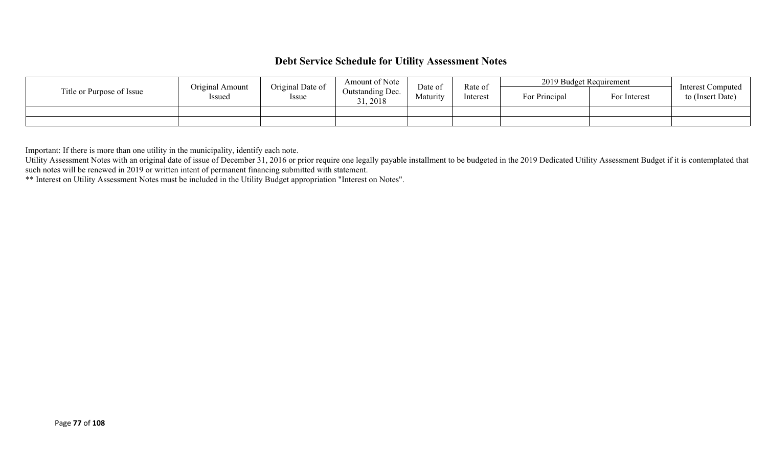### **Debt Service Schedule for Utility Assessment Notes**

| Title or Purpose of Issue | Original Date of<br>Original Amount<br>Issued<br>Issue |  | Amount of Note<br>Outstanding Dec.<br>31, 2018 | Date of<br>Maturity | Rate of<br>Interest | 2019 Budget Requirement |              | Interest Computed |
|---------------------------|--------------------------------------------------------|--|------------------------------------------------|---------------------|---------------------|-------------------------|--------------|-------------------|
|                           |                                                        |  |                                                |                     |                     | For Principal           | For Interest | to (Insert Date)  |
|                           |                                                        |  |                                                |                     |                     |                         |              |                   |
|                           |                                                        |  |                                                |                     |                     |                         |              |                   |

Important: If there is more than one utility in the municipality, identify each note.

Utility Assessment Notes with an original date of issue of December 31, 2016 or prior require one legally payable installment to be budgeted in the 2019 Dedicated Utility Assessment Budget if it is contemplated that such notes will be renewed in 2019 or written intent of permanent financing submitted with statement.

\*\* Interest on Utility Assessment Notes must be included in the Utility Budget appropriation "Interest on Notes".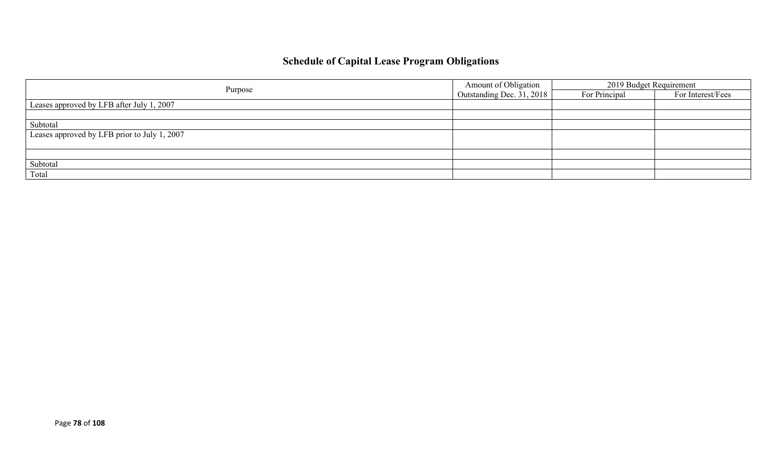## **Schedule of Capital Lease Program Obligations**

|                                              | Amount of Obligation      | 2019 Budget Requirement |                   |  |
|----------------------------------------------|---------------------------|-------------------------|-------------------|--|
| Purpose                                      | Outstanding Dec. 31, 2018 | For Principal           | For Interest/Fees |  |
| Leases approved by LFB after July 1, 2007    |                           |                         |                   |  |
|                                              |                           |                         |                   |  |
| Subtotal                                     |                           |                         |                   |  |
| Leases approved by LFB prior to July 1, 2007 |                           |                         |                   |  |
|                                              |                           |                         |                   |  |
|                                              |                           |                         |                   |  |
| Subtotal                                     |                           |                         |                   |  |
| Total                                        |                           |                         |                   |  |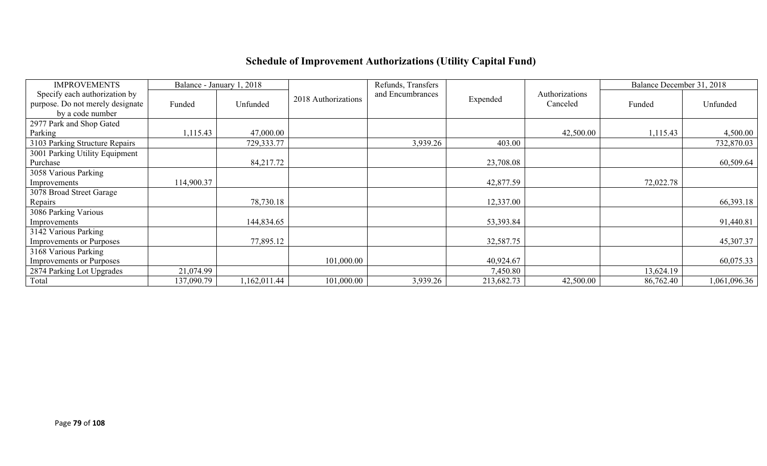# **Schedule of Improvement Authorizations (Utility Capital Fund)**

| <b>IMPROVEMENTS</b>              |            | Balance - January 1, 2018 |                     | Refunds, Transfers |            |                | Balance December 31, 2018 |              |
|----------------------------------|------------|---------------------------|---------------------|--------------------|------------|----------------|---------------------------|--------------|
| Specify each authorization by    |            |                           | 2018 Authorizations | and Encumbrances   | Expended   | Authorizations |                           |              |
| purpose. Do not merely designate | Funded     | Unfunded                  |                     |                    |            | Canceled       | Funded                    | Unfunded     |
| by a code number                 |            |                           |                     |                    |            |                |                           |              |
| 2977 Park and Shop Gated         |            |                           |                     |                    |            |                |                           |              |
| Parking                          | 1,115.43   | 47,000.00                 |                     |                    |            | 42,500.00      | 1,115.43                  | 4,500.00     |
| 3103 Parking Structure Repairs   |            | 729,333.77                |                     | 3,939.26           | 403.00     |                |                           | 732,870.03   |
| 3001 Parking Utility Equipment   |            |                           |                     |                    |            |                |                           |              |
| Purchase                         |            | 84,217.72                 |                     |                    | 23,708.08  |                |                           | 60,509.64    |
| 3058 Various Parking             |            |                           |                     |                    |            |                |                           |              |
| Improvements                     | 114,900.37 |                           |                     |                    | 42,877.59  |                | 72,022.78                 |              |
| 3078 Broad Street Garage         |            |                           |                     |                    |            |                |                           |              |
| Repairs                          |            | 78,730.18                 |                     |                    | 12,337.00  |                |                           | 66,393.18    |
| 3086 Parking Various             |            |                           |                     |                    |            |                |                           |              |
| Improvements                     |            | 144,834.65                |                     |                    | 53,393.84  |                |                           | 91,440.81    |
| 3142 Various Parking             |            |                           |                     |                    |            |                |                           |              |
| <b>Improvements or Purposes</b>  |            | 77,895.12                 |                     |                    | 32,587.75  |                |                           | 45,307.37    |
| 3168 Various Parking             |            |                           |                     |                    |            |                |                           |              |
| <b>Improvements or Purposes</b>  |            |                           | 101,000.00          |                    | 40,924.67  |                |                           | 60,075.33    |
| 2874 Parking Lot Upgrades        | 21,074.99  |                           |                     |                    | 7,450.80   |                | 13,624.19                 |              |
| Total                            | 137,090.79 | 1,162,011.44              | 101,000.00          | 3,939.26           | 213,682.73 | 42,500.00      | 86,762.40                 | 1,061,096.36 |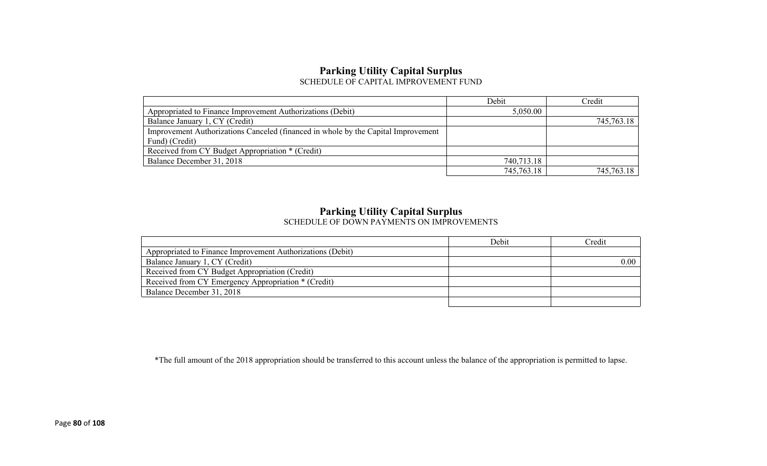#### **Parking Utility Capital Surplus** SCHEDULE OF CAPITAL IMPROVEMENT FUND

|                                                                                   | Debit      | Credit     |
|-----------------------------------------------------------------------------------|------------|------------|
| Appropriated to Finance Improvement Authorizations (Debit)                        | 5,050.00   |            |
| Balance January 1, CY (Credit)                                                    |            | 745,763.18 |
| Improvement Authorizations Canceled (financed in whole by the Capital Improvement |            |            |
| Fund) (Credit)                                                                    |            |            |
| Received from CY Budget Appropriation * (Credit)                                  |            |            |
| Balance December 31, 2018                                                         | 740,713.18 |            |
|                                                                                   | 745,763.18 | 745,763.18 |

#### **Parking Utility Capital Surplus**

SCHEDULE OF DOWN PAYMENTS ON IMPROVEMENTS

|                                                            | Debit | Credit |
|------------------------------------------------------------|-------|--------|
| Appropriated to Finance Improvement Authorizations (Debit) |       |        |
| Balance January 1, CY (Credit)                             |       | 0.00   |
| Received from CY Budget Appropriation (Credit)             |       |        |
| Received from CY Emergency Appropriation * (Credit)        |       |        |
| Balance December 31, 2018                                  |       |        |
|                                                            |       |        |

\*The full amount of the 2018 appropriation should be transferred to this account unless the balance of the appropriation is permitted to lapse.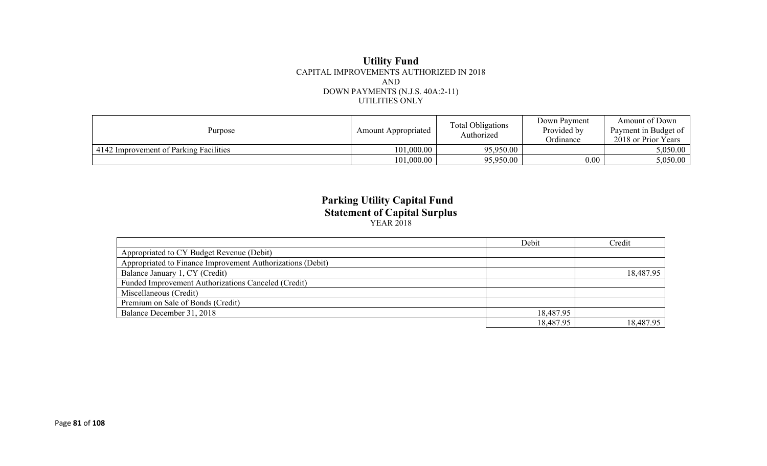#### **Utility Fund** CAPITAL IMPROVEMENTS AUTHORIZED IN 2018 AND DOWN PAYMENTS (N.J.S. 40A:2-11) UTILITIES ONLY

| Purpose                                | Amount Appropriated | <b>Total Obligations</b><br>Authorized | Down Pavment<br>Provided by<br>Ordinance | Amount of Down<br>Payment in Budget of<br>2018 or Prior Years |
|----------------------------------------|---------------------|----------------------------------------|------------------------------------------|---------------------------------------------------------------|
| 4142 Improvement of Parking Facilities | 101,000.00          | 95,950.00                              |                                          | 5.050.00                                                      |
|                                        | 101,000.00          | 95,950.00                              | $0.00\,$                                 | 5,050.00                                                      |

#### **Parking Utility Capital Fund Statement of Capital Surplus** YEAR 2018

|                                                            | Debit     | Credit    |
|------------------------------------------------------------|-----------|-----------|
| Appropriated to CY Budget Revenue (Debit)                  |           |           |
| Appropriated to Finance Improvement Authorizations (Debit) |           |           |
| Balance January 1, CY (Credit)                             |           | 18,487.95 |
| Funded Improvement Authorizations Canceled (Credit)        |           |           |
| Miscellaneous (Credit)                                     |           |           |
| Premium on Sale of Bonds (Credit)                          |           |           |
| Balance December 31, 2018                                  | 18,487.95 |           |
|                                                            | 18,487.95 | 18,487.95 |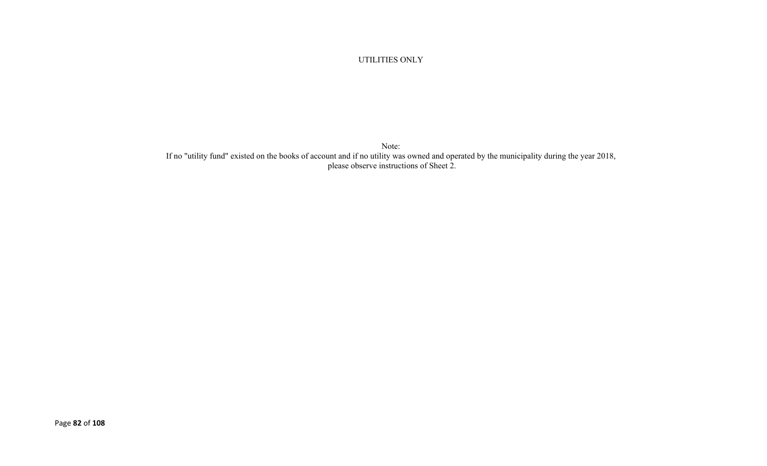#### UTILITIES ONLY

Note: If no "utility fund" existed on the books of account and if no utility was owned and operated by the municipality during the year 2018, please observe instructions of Sheet 2.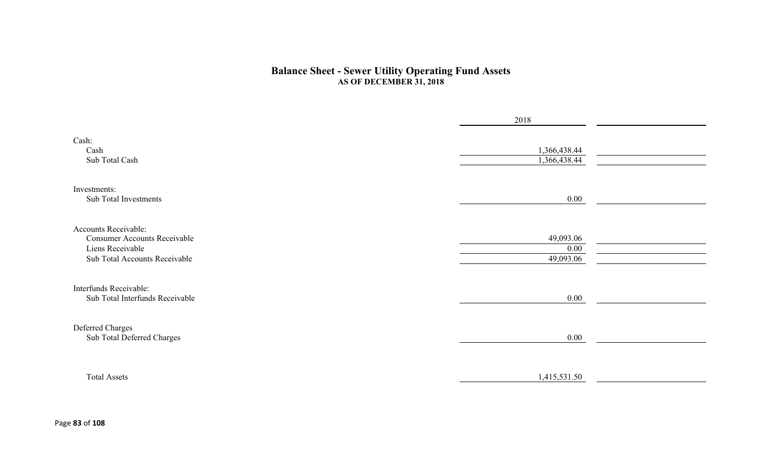#### **Balance Sheet - Sewer Utility Operating Fund Assets AS OF DECEMBER 31, 2018**

|                                                                                                                  | 2018                           |  |
|------------------------------------------------------------------------------------------------------------------|--------------------------------|--|
| Cash:<br>Cash<br>Sub Total Cash                                                                                  | 1,366,438.44<br>1,366,438.44   |  |
| Investments:<br>Sub Total Investments                                                                            | $0.00\,$                       |  |
| Accounts Receivable:<br><b>Consumer Accounts Receivable</b><br>Liens Receivable<br>Sub Total Accounts Receivable | 49,093.06<br>0.00<br>49,093.06 |  |
| Interfunds Receivable:<br>Sub Total Interfunds Receivable                                                        | 0.00                           |  |
| Deferred Charges<br>Sub Total Deferred Charges                                                                   | 0.00                           |  |
| <b>Total Assets</b>                                                                                              | 1,415,531.50                   |  |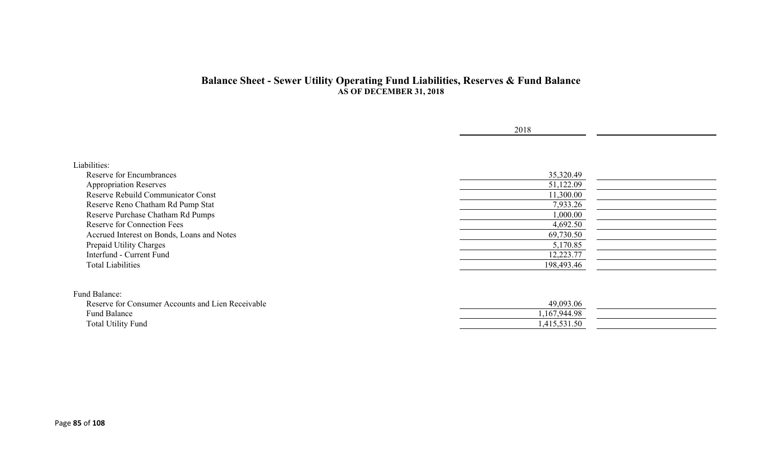#### **Balance Sheet - Sewer Utility Operating Fund Liabilities, Reserves & Fund Balance AS OF DECEMBER 31, 2018**

|                                                   | 2018         |  |
|---------------------------------------------------|--------------|--|
|                                                   |              |  |
|                                                   |              |  |
| Liabilities:                                      |              |  |
| <b>Reserve for Encumbrances</b>                   | 35,320.49    |  |
| <b>Appropriation Reserves</b>                     | 51,122.09    |  |
| Reserve Rebuild Communicator Const                | 11,300.00    |  |
| Reserve Reno Chatham Rd Pump Stat                 | 7,933.26     |  |
| Reserve Purchase Chatham Rd Pumps                 | 1,000.00     |  |
| <b>Reserve for Connection Fees</b>                | 4,692.50     |  |
| Accrued Interest on Bonds, Loans and Notes        | 69,730.50    |  |
| Prepaid Utility Charges                           | 5,170.85     |  |
| Interfund - Current Fund                          | 12,223.77    |  |
| <b>Total Liabilities</b>                          | 198,493.46   |  |
|                                                   |              |  |
| Fund Balance:                                     |              |  |
| Reserve for Consumer Accounts and Lien Receivable | 49,093.06    |  |
| Fund Balance                                      | 1,167,944.98 |  |
| <b>Total Utility Fund</b>                         | 1,415,531.50 |  |
|                                                   |              |  |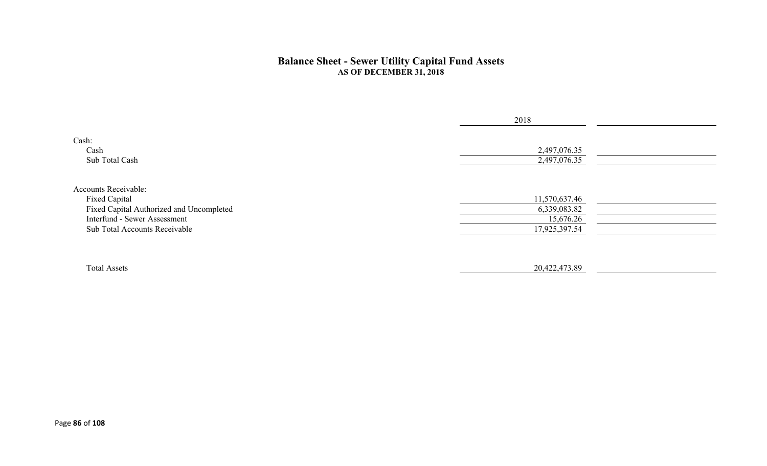#### **Balance Sheet - Sewer Utility Capital Fund Assets AS OF DECEMBER 31, 2018**

|                                                                                                                                                           | 2018                                                        |  |
|-----------------------------------------------------------------------------------------------------------------------------------------------------------|-------------------------------------------------------------|--|
| Cash:<br>Cash<br>Sub Total Cash                                                                                                                           | 2,497,076.35<br>2,497,076.35                                |  |
| <b>Accounts Receivable:</b><br>Fixed Capital<br>Fixed Capital Authorized and Uncompleted<br>Interfund - Sewer Assessment<br>Sub Total Accounts Receivable | 11,570,637.46<br>6,339,083.82<br>15,676.26<br>17,925,397.54 |  |
| <b>Total Assets</b>                                                                                                                                       | 20,422,473.89                                               |  |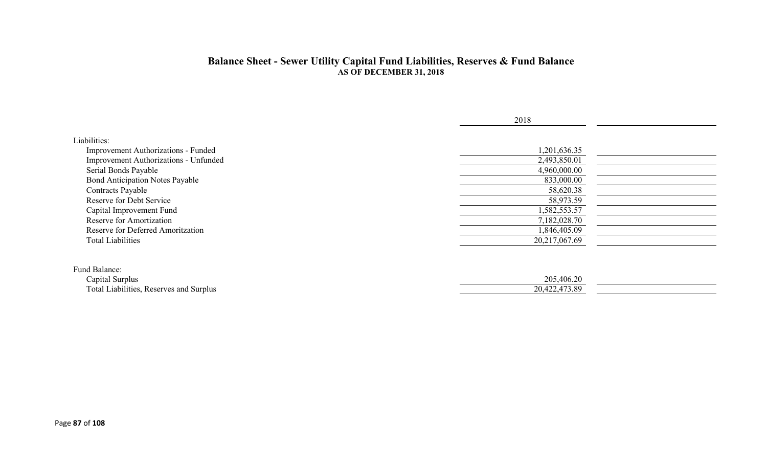#### **Balance Sheet - Sewer Utility Capital Fund Liabilities, Reserves & Fund Balance AS OF DECEMBER 31, 2018**

|                                                                                                                                                                                                                                                    | 2018                                                                                                 |  |
|----------------------------------------------------------------------------------------------------------------------------------------------------------------------------------------------------------------------------------------------------|------------------------------------------------------------------------------------------------------|--|
| Liabilities:<br>Improvement Authorizations - Funded<br>Improvement Authorizations - Unfunded<br>Serial Bonds Payable<br><b>Bond Anticipation Notes Payable</b><br><b>Contracts Payable</b><br>Reserve for Debt Service<br>Capital Improvement Fund | 1,201,636.35<br>2,493,850.01<br>4,960,000.00<br>833,000.00<br>58,620.38<br>58,973.59<br>1,582,553.57 |  |
| Reserve for Amortization<br>Reserve for Deferred Amoritzation<br><b>Total Liabilities</b>                                                                                                                                                          | 7,182,028.70<br>1,846,405.09<br>20,217,067.69                                                        |  |
| Fund Balance:<br>Capital Surplus<br>Total Liabilities, Reserves and Surplus                                                                                                                                                                        | 205,406.20<br>20,422,473.89                                                                          |  |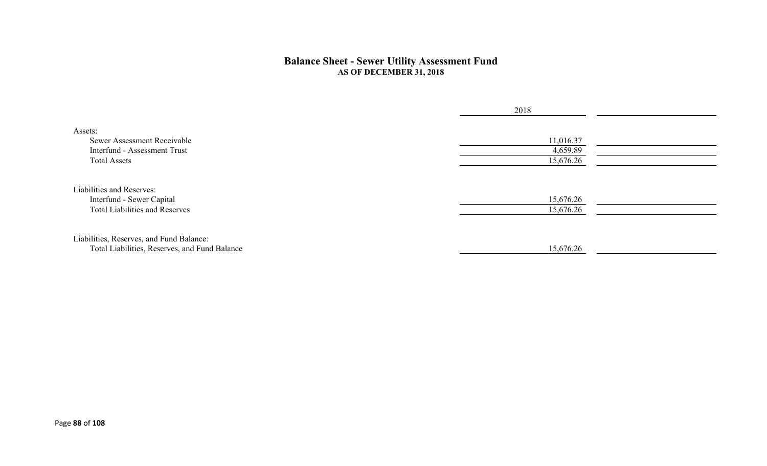#### **Balance Sheet - Sewer Utility Assessment Fund AS OF DECEMBER 31, 2018**

|                                                                                                 | 2018                               |  |
|-------------------------------------------------------------------------------------------------|------------------------------------|--|
| Assets:<br>Sewer Assessment Receivable<br>Interfund - Assessment Trust<br><b>Total Assets</b>   | 11,016.37<br>4,659.89<br>15,676.26 |  |
| Liabilities and Reserves:<br>Interfund - Sewer Capital<br><b>Total Liabilities and Reserves</b> | 15,676.26<br>15,676.26             |  |
| Liabilities, Reserves, and Fund Balance:<br>Total Liabilities, Reserves, and Fund Balance       | 15,676.26                          |  |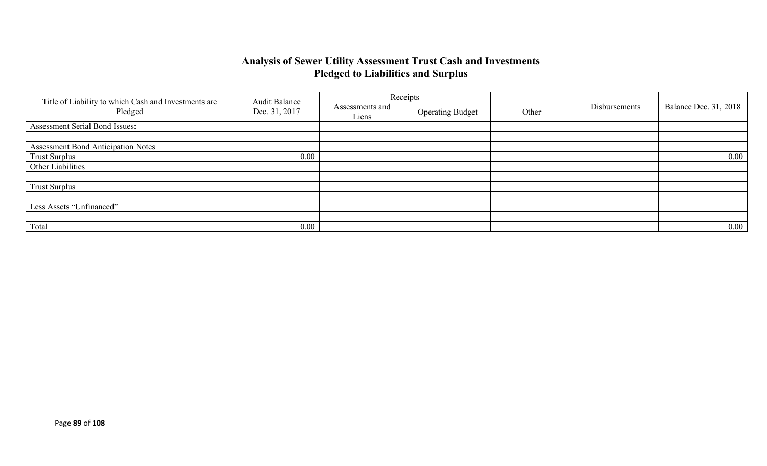## **Analysis of Sewer Utility Assessment Trust Cash and Investments Pledged to Liabilities and Surplus**

|                                                                 | <b>Audit Balance</b> |                          | Receipts                |       |               |                              |
|-----------------------------------------------------------------|----------------------|--------------------------|-------------------------|-------|---------------|------------------------------|
| Title of Liability to which Cash and Investments are<br>Pledged | Dec. 31, 2017        | Assessments and<br>Liens | <b>Operating Budget</b> | Other | Disbursements | <b>Balance Dec. 31, 2018</b> |
| Assessment Serial Bond Issues:                                  |                      |                          |                         |       |               |                              |
|                                                                 |                      |                          |                         |       |               |                              |
| <b>Assessment Bond Anticipation Notes</b>                       |                      |                          |                         |       |               |                              |
| <b>Trust Surplus</b>                                            | 0.00                 |                          |                         |       |               | $0.00\,$                     |
| Other Liabilities                                               |                      |                          |                         |       |               |                              |
|                                                                 |                      |                          |                         |       |               |                              |
| <b>Trust Surplus</b>                                            |                      |                          |                         |       |               |                              |
|                                                                 |                      |                          |                         |       |               |                              |
| Less Assets "Unfinanced"                                        |                      |                          |                         |       |               |                              |
|                                                                 |                      |                          |                         |       |               |                              |
| Total                                                           | 0.00                 |                          |                         |       |               | $0.00\,$                     |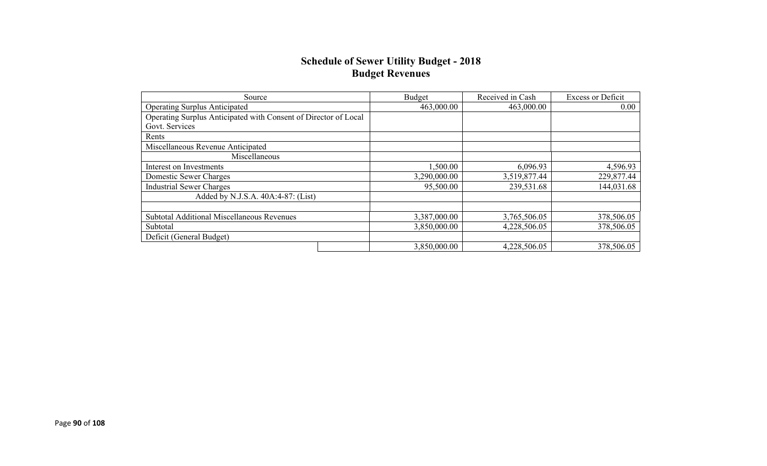#### **Schedule of Sewer Utility Budget - 2018 Budget Revenues**

| Source                                                          | <b>Budget</b> | Received in Cash | <b>Excess or Deficit</b> |
|-----------------------------------------------------------------|---------------|------------------|--------------------------|
| <b>Operating Surplus Anticipated</b>                            | 463,000.00    | 463,000.00       | 0.00                     |
| Operating Surplus Anticipated with Consent of Director of Local |               |                  |                          |
| Govt. Services                                                  |               |                  |                          |
| Rents                                                           |               |                  |                          |
| Miscellaneous Revenue Anticipated                               |               |                  |                          |
| Miscellaneous                                                   |               |                  |                          |
| Interest on Investments                                         | 1,500.00      | 6,096.93         | 4,596.93                 |
| Domestic Sewer Charges                                          | 3,290,000.00  | 3,519,877.44     | 229,877.44               |
| <b>Industrial Sewer Charges</b>                                 | 95,500.00     | 239,531.68       | 144,031.68               |
| Added by N.J.S.A. 40A:4-87: (List)                              |               |                  |                          |
|                                                                 |               |                  |                          |
| Subtotal Additional Miscellaneous Revenues                      | 3,387,000.00  | 3,765,506.05     | 378,506.05               |
| Subtotal                                                        | 3,850,000.00  | 4,228,506.05     | 378,506.05               |
| Deficit (General Budget)                                        |               |                  |                          |
|                                                                 | 3,850,000.00  | 4,228,506.05     | 378,506.05               |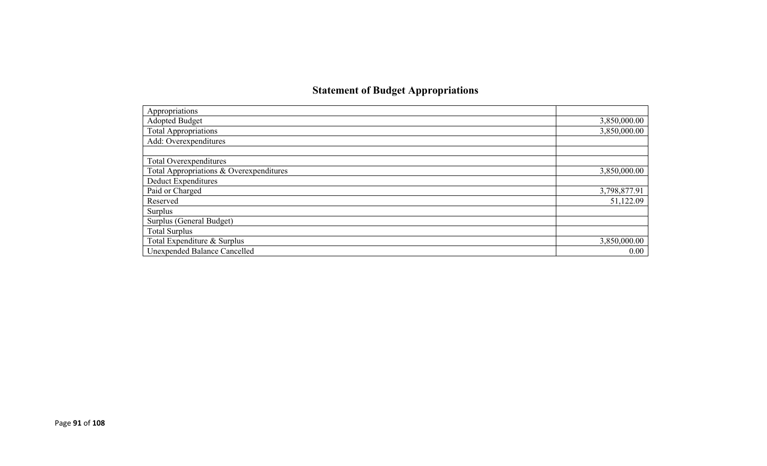## **Statement of Budget Appropriations**

| Appropriations                          |              |
|-----------------------------------------|--------------|
| Adopted Budget                          | 3,850,000.00 |
| <b>Total Appropriations</b>             | 3,850,000.00 |
| Add: Overexpenditures                   |              |
|                                         |              |
| Total Overexpenditures                  |              |
| Total Appropriations & Overexpenditures | 3,850,000.00 |
| Deduct Expenditures                     |              |
| Paid or Charged                         | 3,798,877.91 |
| Reserved                                | 51,122.09    |
| Surplus                                 |              |
| Surplus (General Budget)                |              |
| <b>Total Surplus</b>                    |              |
| Total Expenditure & Surplus             | 3,850,000.00 |
| Unexpended Balance Cancelled            | 0.00         |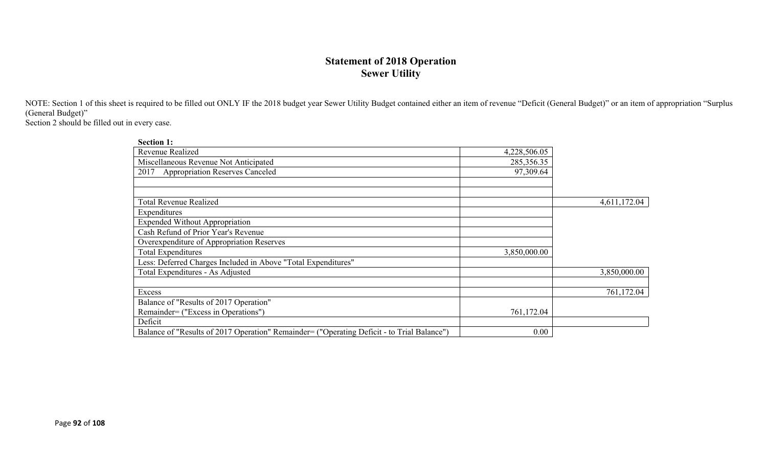## **Statement of 2018 Operation Sewer Utility**

NOTE: Section 1 of this sheet is required to be filled out ONLY IF the 2018 budget year Sewer Utility Budget contained either an item of revenue "Deficit (General Budget)" or an item of appropriation "Surplus (General Budget)"

Section 2 should be filled out in every case.

| <b>Section 1:</b>                                                                          |              |              |
|--------------------------------------------------------------------------------------------|--------------|--------------|
| <b>Revenue Realized</b>                                                                    | 4,228,506.05 |              |
| Miscellaneous Revenue Not Anticipated                                                      | 285,356.35   |              |
| <b>Appropriation Reserves Canceled</b><br>2017                                             | 97,309.64    |              |
|                                                                                            |              |              |
|                                                                                            |              |              |
| <b>Total Revenue Realized</b>                                                              |              | 4,611,172.04 |
| Expenditures                                                                               |              |              |
| <b>Expended Without Appropriation</b>                                                      |              |              |
| Cash Refund of Prior Year's Revenue                                                        |              |              |
| Overexpenditure of Appropriation Reserves                                                  |              |              |
| <b>Total Expenditures</b>                                                                  | 3,850,000.00 |              |
| Less: Deferred Charges Included in Above "Total Expenditures"                              |              |              |
| Total Expenditures - As Adjusted                                                           |              | 3,850,000.00 |
|                                                                                            |              |              |
| Excess                                                                                     |              | 761,172.04   |
| Balance of "Results of 2017 Operation"                                                     |              |              |
| Remainder= ("Excess in Operations")                                                        | 761,172.04   |              |
| Deficit                                                                                    |              |              |
| Balance of "Results of 2017 Operation" Remainder= ("Operating Deficit - to Trial Balance") | 0.00         |              |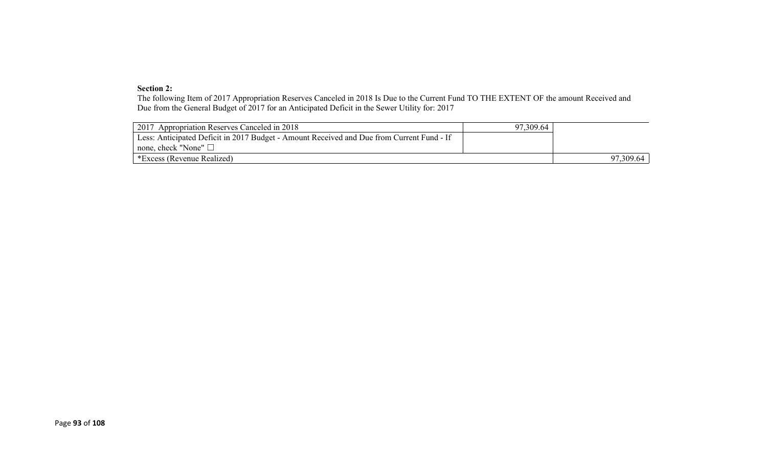#### **Section 2:**

The following Item of 2017 Appropriation Reserves Canceled in 2018 Is Due to the Current Fund TO THE EXTENT OF the amount Received and Due from the General Budget of 2017 for an Anticipated Deficit in the Sewer Utility for: 2017

| 2017 Appropriation Reserves Canceled in 2018                                              | 97,309.64 |           |
|-------------------------------------------------------------------------------------------|-----------|-----------|
| Less: Anticipated Deficit in 2017 Budget - Amount Received and Due from Current Fund - If |           |           |
| none, check "None" $\Box$                                                                 |           |           |
| *Excess (Revenue Realized)                                                                |           | 97,309.64 |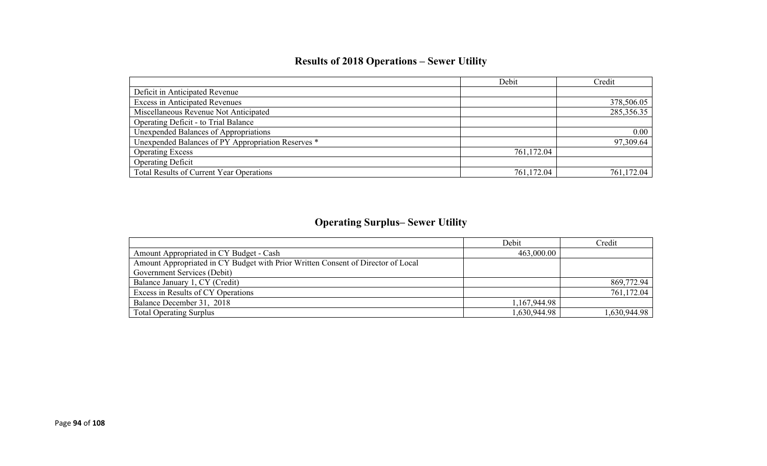## **Results of 2018 Operations – Sewer Utility**

|                                                    | Debit      | Credit     |
|----------------------------------------------------|------------|------------|
| Deficit in Anticipated Revenue                     |            |            |
| <b>Excess in Anticipated Revenues</b>              |            | 378,506.05 |
| Miscellaneous Revenue Not Anticipated              |            | 285,356.35 |
| Operating Deficit - to Trial Balance               |            |            |
| Unexpended Balances of Appropriations              |            | 0.00       |
| Unexpended Balances of PY Appropriation Reserves * |            | 97,309.64  |
| <b>Operating Excess</b>                            | 761,172.04 |            |
| <b>Operating Deficit</b>                           |            |            |
| Total Results of Current Year Operations           | 761,172.04 | 761,172.04 |

## **Operating Surplus– Sewer Utility**

|                                                                                  | Debit        | Credit       |
|----------------------------------------------------------------------------------|--------------|--------------|
| Amount Appropriated in CY Budget - Cash                                          | 463,000.00   |              |
| Amount Appropriated in CY Budget with Prior Written Consent of Director of Local |              |              |
| Government Services (Debit)                                                      |              |              |
| Balance January 1, CY (Credit)                                                   |              | 869,772.94   |
| Excess in Results of CY Operations                                               |              | 761,172.04   |
| Balance December 31, 2018                                                        | 1,167,944.98 |              |
| <b>Total Operating Surplus</b>                                                   | 1,630,944.98 | 1,630,944.98 |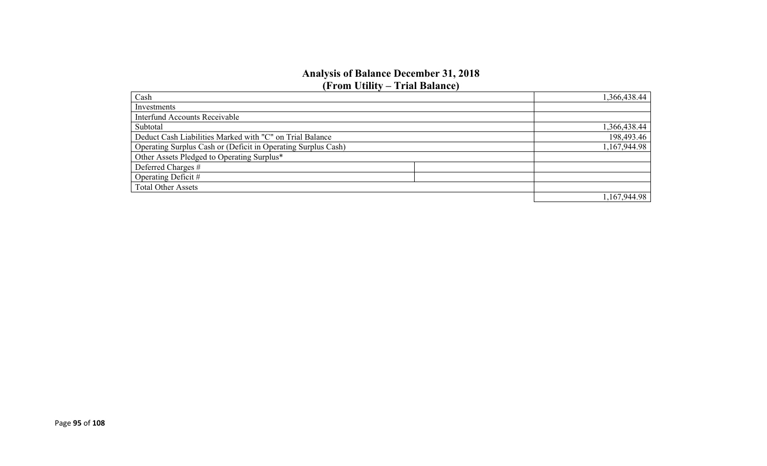#### **Analysis of Balance December 31, 2018 (From Utility – Trial Balance)**

| Cash                                                          | 1,366,438.44 |
|---------------------------------------------------------------|--------------|
| Investments                                                   |              |
| <b>Interfund Accounts Receivable</b>                          |              |
| Subtotal                                                      | 1,366,438.44 |
| Deduct Cash Liabilities Marked with "C" on Trial Balance      | 198,493.46   |
| Operating Surplus Cash or (Deficit in Operating Surplus Cash) | 1,167,944.98 |
| Other Assets Pledged to Operating Surplus*                    |              |
| Deferred Charges #                                            |              |
| Operating Deficit #                                           |              |
| <b>Total Other Assets</b>                                     |              |
|                                                               | 1,167,944.98 |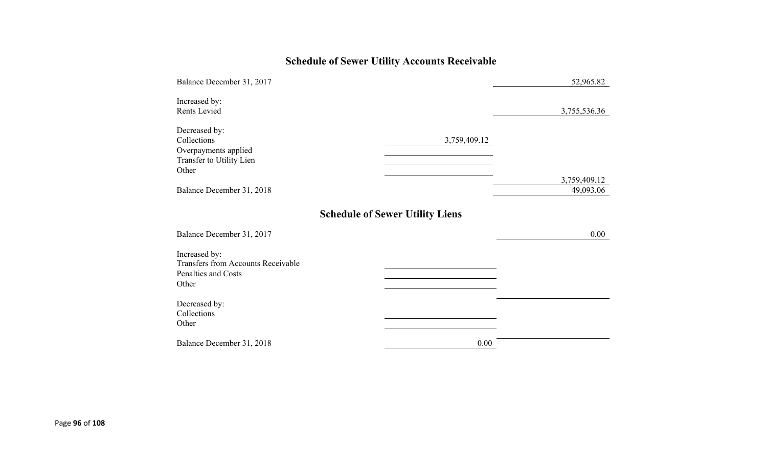## **Schedule of Sewer Utility Accounts Receivable**

| Balance December 31, 2017                                                                  |                                        | 52,965.82                 |
|--------------------------------------------------------------------------------------------|----------------------------------------|---------------------------|
| Increased by:<br>Rents Levied                                                              |                                        | 3,755,536.36              |
| Decreased by:<br>Collections<br>Overpayments applied<br>Transfer to Utility Lien<br>Other  | 3,759,409.12                           |                           |
| Balance December 31, 2018                                                                  |                                        | 3,759,409.12<br>49,093.06 |
| Balance December 31, 2017                                                                  | <b>Schedule of Sewer Utility Liens</b> | 0.00                      |
| Increased by:<br><b>Transfers from Accounts Receivable</b><br>Penalties and Costs<br>Other |                                        |                           |
| Decreased by:<br>Collections<br>Other                                                      |                                        |                           |
| Balance December 31, 2018                                                                  | 0.00                                   |                           |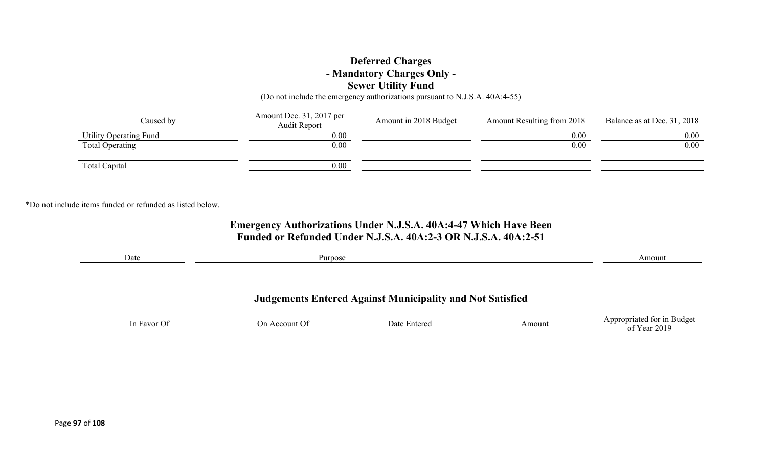### **Deferred Charges - Mandatory Charges Only - Sewer Utility Fund**

(Do not include the emergency authorizations pursuant to N.J.S.A. 40A:4-55)

| Caused by              | Amount Dec. 31, 2017 per<br>Audit Report | Amount in 2018 Budget | Amount Resulting from 2018 | Balance as at Dec. 31, 2018 |
|------------------------|------------------------------------------|-----------------------|----------------------------|-----------------------------|
| Utility Operating Fund | 0.00                                     |                       | 0.00                       | 0.00                        |
| Total Operating        | 0.00                                     |                       | 0.00                       | 0.00                        |
| Total Capital          | 0.00                                     |                       |                            |                             |

\*Do not include items funded or refunded as listed below.

### **Emergency Authorizations Under N.J.S.A. 40A:4-47 Which Have Been Funded or Refunded Under N.J.S.A. 40A:2-3 OR N.J.S.A. 40A:2-51**

| Date        | Purpose       |                                                                  |        | Amount                                     |
|-------------|---------------|------------------------------------------------------------------|--------|--------------------------------------------|
|             |               | <b>Judgements Entered Against Municipality and Not Satisfied</b> |        |                                            |
| In Favor Of | On Account Of | Date Entered                                                     | Amount | Appropriated for in Budget<br>of Year 2019 |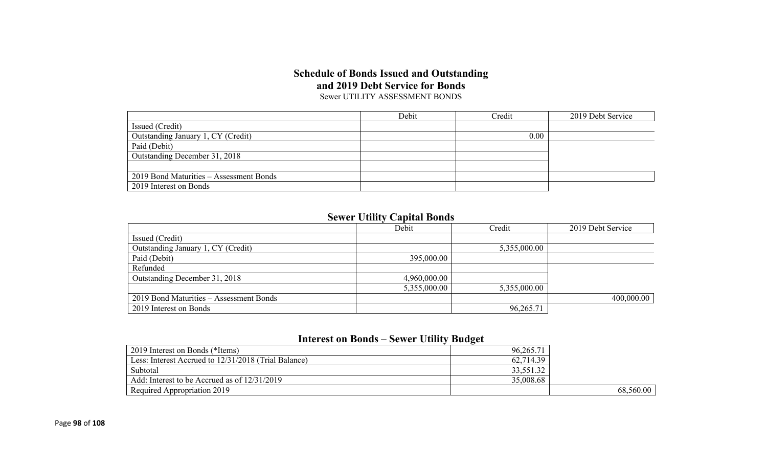#### **Schedule of Bonds Issued and Outstanding and 2019 Debt Service for Bonds** Sewer UTILITY ASSESSMENT BONDS

|                                         | Debit | Credit | 2019 Debt Service |
|-----------------------------------------|-------|--------|-------------------|
| Issued (Credit)                         |       |        |                   |
| Outstanding January 1, CY (Credit)      |       | 0.00   |                   |
| Paid (Debit)                            |       |        |                   |
| Outstanding December 31, 2018           |       |        |                   |
|                                         |       |        |                   |
| 2019 Bond Maturities – Assessment Bonds |       |        |                   |
| 2019 Interest on Bonds                  |       |        |                   |

### **Sewer Utility Capital Bonds**

|                                         | Debit        | Credit       | 2019 Debt Service |
|-----------------------------------------|--------------|--------------|-------------------|
| Issued (Credit)                         |              |              |                   |
| Outstanding January 1, CY (Credit)      |              | 5,355,000.00 |                   |
| Paid (Debit)                            | 395,000.00   |              |                   |
| Refunded                                |              |              |                   |
| Outstanding December 31, 2018           | 4,960,000.00 |              |                   |
|                                         | 5,355,000.00 | 5,355,000.00 |                   |
| 2019 Bond Maturities - Assessment Bonds |              |              | 400,000.00        |
| 2019 Interest on Bonds                  |              | 96,265.71    |                   |

#### **Interest on Bonds – Sewer Utility Budget**

| 2019 Interest on Bonds (*Items)                      | 96,265.7  |           |
|------------------------------------------------------|-----------|-----------|
| Less: Interest Accrued to 12/31/2018 (Trial Balance) | 62,714.39 |           |
| Subtotal                                             | 33,551.32 |           |
| Add: Interest to be Accrued as of 12/31/2019         | 35,008.68 |           |
| Required Appropriation 2019                          |           | 68,560.00 |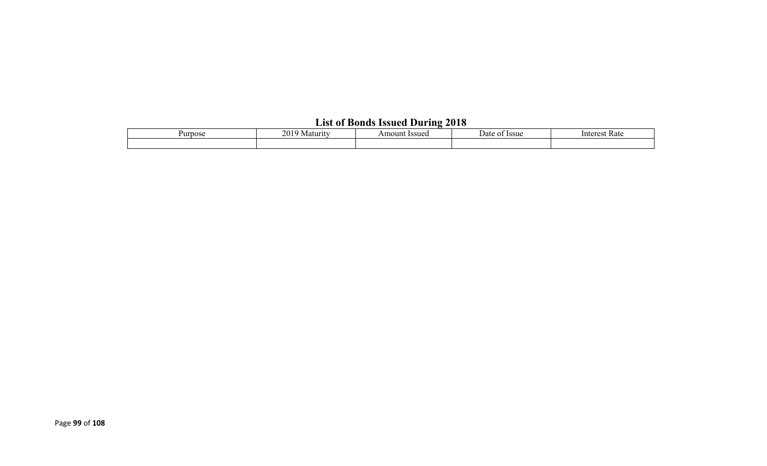## **List of Bonds Issued During 2018**

| Purpose | 2010<br>Maturity<br>∠∪. | Amount Issued | –<br>Dat<br><b>Issue</b><br>$\mathbf{v}$ | Rate<br>$Interer^{\sim}$ |
|---------|-------------------------|---------------|------------------------------------------|--------------------------|
|         |                         |               |                                          |                          |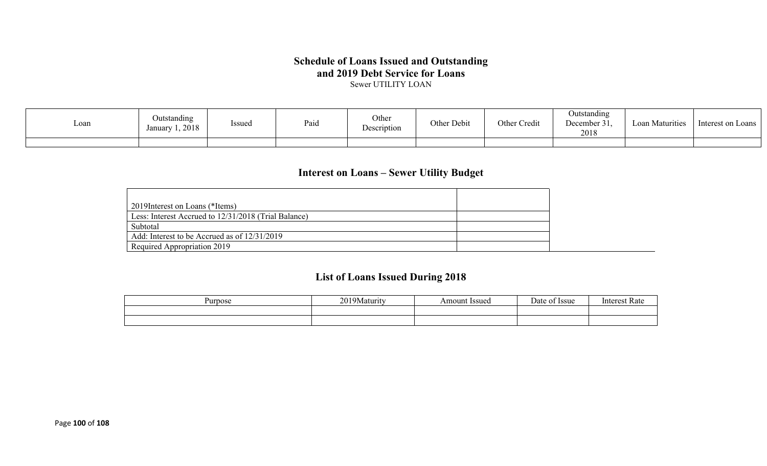## **Schedule of Loans Issued and Outstanding and 2019 Debt Service for Loans**

Sewer UTILITY LOAN

| ∟oan | Outstanding<br>$\sim$ $\sim$<br><i>Issued</i><br>January 1, 2018 | Paid | Other<br>Description | Other Debit | Other Credit | Outstanding<br>December 31.<br>2018 | Loan Maturities | Interest on Loans |
|------|------------------------------------------------------------------|------|----------------------|-------------|--------------|-------------------------------------|-----------------|-------------------|
|      |                                                                  |      |                      |             |              |                                     |                 |                   |

## **Interest on Loans – Sewer Utility Budget**

| 2019 Interest on Loans (*Items)                      |  |
|------------------------------------------------------|--|
| Less: Interest Accrued to 12/31/2018 (Trial Balance) |  |
| Subtotal                                             |  |
| Add: Interest to be Accrued as of 12/31/2019         |  |
| Required Appropriation 2019                          |  |

## **List of Loans Issued During 2018**

| Purpose | ን ሰ 1<br>a 9 Maturut | Amount Issued | Date<br><b>Issue</b> | Kate |
|---------|----------------------|---------------|----------------------|------|
|         |                      |               |                      |      |
|         |                      |               |                      |      |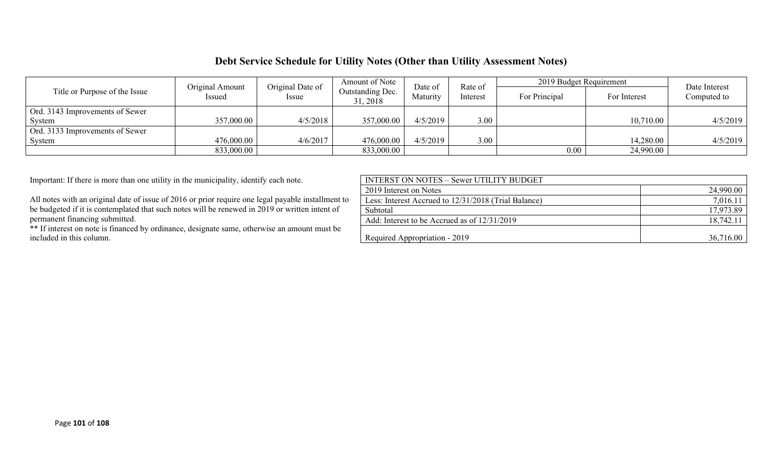### **Debt Service Schedule for Utility Notes (Other than Utility Assessment Notes)**

|                                 | Original Amount                                                         | Original Date of | Amount of Note | Date of      | Rate of     | 2019 Budget Requirement | Date Interest |          |
|---------------------------------|-------------------------------------------------------------------------|------------------|----------------|--------------|-------------|-------------------------|---------------|----------|
| Title or Purpose of the Issue   | Outstanding Dec.<br>Maturity<br>Interest<br>Issued<br>Issue<br>31, 2018 |                  | For Principal  | For Interest | Computed to |                         |               |          |
| Ord. 3143 Improvements of Sewer |                                                                         |                  |                |              |             |                         |               |          |
| System                          | 357,000.00                                                              | 4/5/2018         | 357,000.00     | 4/5/2019     | 3.00        |                         | 10,710.00     | 4/5/2019 |
| Ord. 3133 Improvements of Sewer |                                                                         |                  |                |              |             |                         |               |          |
| System                          | 476,000.00                                                              | 4/6/2017         | 476,000.00     | 4/5/2019     | 3.00        |                         | 14,280.00     | 4/5/2019 |
|                                 | 833,000.00                                                              |                  | 833,000.00     |              |             | $0.00\,$                | 24,990.00     |          |

| Important: If there is more than one utility in the municipality, identify each note.              | <b>INTERST ON NOTES - Sewer UTILITY BUDGET</b>       |           |
|----------------------------------------------------------------------------------------------------|------------------------------------------------------|-----------|
|                                                                                                    | 2019 Interest on Notes                               | 24,990.00 |
| All notes with an original date of issue of 2016 or prior require one legal payable installment to | Less: Interest Accrued to 12/31/2018 (Trial Balance) | 7,016.11  |
| be budgeted if it is contemplated that such notes will be renewed in 2019 or written intent of     | Subtotal                                             | 17,973.89 |
| permanent financing submitted.                                                                     | Add: Interest to be Accrued as of 12/31/2019         | 18,742.11 |
| ** If interest on note is financed by ordinance, designate same, otherwise an amount must be       |                                                      |           |
| included in this column.                                                                           | Required Appropriation - 2019                        | 36,716.00 |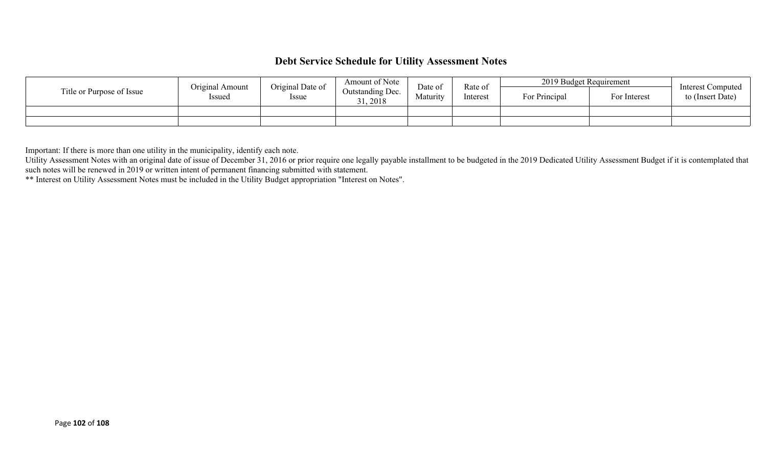### **Debt Service Schedule for Utility Assessment Notes**

|                           | Original Amount | Original Date of | Amount of Note               | Date of  | Rate of<br>Interest | 2019 Budget Requirement |              | Interest Computed |
|---------------------------|-----------------|------------------|------------------------------|----------|---------------------|-------------------------|--------------|-------------------|
| Title or Purpose of Issue | Issued          | Issue            | Outstanding Dec.<br>31, 2018 | Maturity |                     | For Principal           | For Interest | to (Insert Date)  |
|                           |                 |                  |                              |          |                     |                         |              |                   |
|                           |                 |                  |                              |          |                     |                         |              |                   |

Important: If there is more than one utility in the municipality, identify each note.

Utility Assessment Notes with an original date of issue of December 31, 2016 or prior require one legally payable installment to be budgeted in the 2019 Dedicated Utility Assessment Budget if it is contemplated that such notes will be renewed in 2019 or written intent of permanent financing submitted with statement.

\*\* Interest on Utility Assessment Notes must be included in the Utility Budget appropriation "Interest on Notes".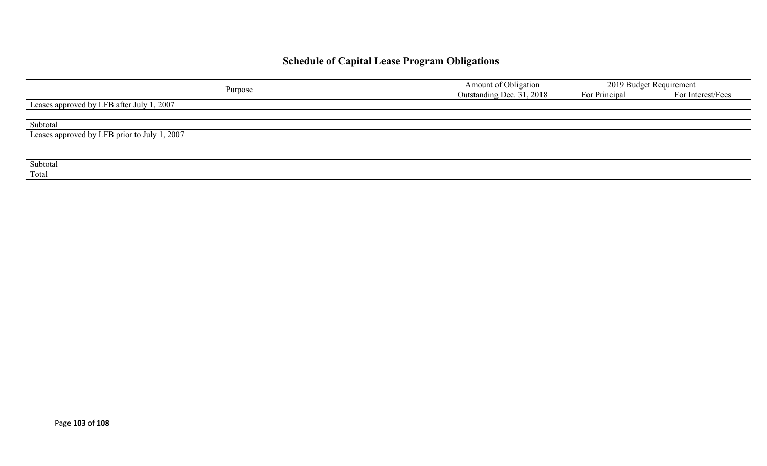## **Schedule of Capital Lease Program Obligations**

|                                              | Amount of Obligation      | 2019 Budget Requirement |                   |  |
|----------------------------------------------|---------------------------|-------------------------|-------------------|--|
| Purpose                                      | Outstanding Dec. 31, 2018 | For Principal           | For Interest/Fees |  |
| Leases approved by LFB after July 1, 2007    |                           |                         |                   |  |
|                                              |                           |                         |                   |  |
| Subtotal                                     |                           |                         |                   |  |
| Leases approved by LFB prior to July 1, 2007 |                           |                         |                   |  |
|                                              |                           |                         |                   |  |
|                                              |                           |                         |                   |  |
| Subtotal                                     |                           |                         |                   |  |
| Total                                        |                           |                         |                   |  |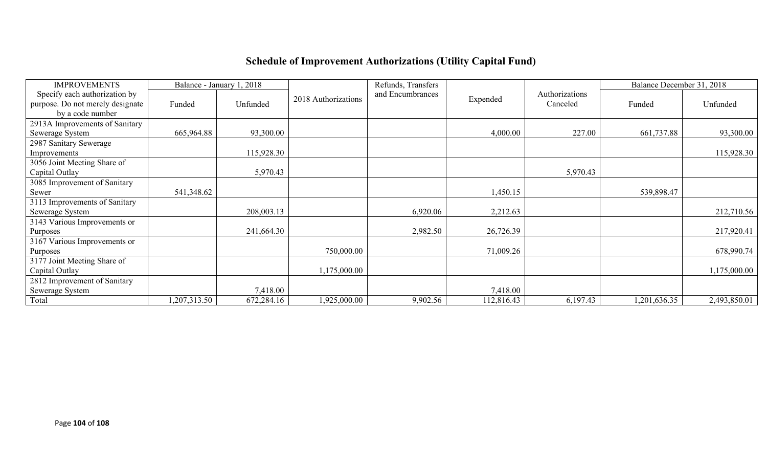# **Schedule of Improvement Authorizations (Utility Capital Fund)**

| <b>IMPROVEMENTS</b>                                               |              | Balance - January 1, 2018 |                     | Refunds, Transfers |            |                            | Balance December 31, 2018 |              |
|-------------------------------------------------------------------|--------------|---------------------------|---------------------|--------------------|------------|----------------------------|---------------------------|--------------|
| Specify each authorization by<br>purpose. Do not merely designate | Funded       | Unfunded                  | 2018 Authorizations | and Encumbrances   | Expended   | Authorizations<br>Canceled | Funded                    | Unfunded     |
| by a code number                                                  |              |                           |                     |                    |            |                            |                           |              |
| 2913A Improvements of Sanitary                                    |              |                           |                     |                    |            |                            |                           |              |
| Sewerage System                                                   | 665,964.88   | 93,300.00                 |                     |                    | 4,000.00   | 227.00                     | 661,737.88                | 93,300.00    |
| 2987 Sanitary Sewerage                                            |              |                           |                     |                    |            |                            |                           |              |
| Improvements                                                      |              | 115,928.30                |                     |                    |            |                            |                           | 115,928.30   |
| 3056 Joint Meeting Share of                                       |              |                           |                     |                    |            |                            |                           |              |
| Capital Outlay                                                    |              | 5,970.43                  |                     |                    |            | 5,970.43                   |                           |              |
| 3085 Improvement of Sanitary                                      |              |                           |                     |                    |            |                            |                           |              |
| Sewer                                                             | 541,348.62   |                           |                     |                    | 1,450.15   |                            | 539,898.47                |              |
| 3113 Improvements of Sanitary                                     |              |                           |                     |                    |            |                            |                           |              |
| Sewerage System                                                   |              | 208,003.13                |                     | 6,920.06           | 2,212.63   |                            |                           | 212,710.56   |
| 3143 Various Improvements or                                      |              |                           |                     |                    |            |                            |                           |              |
| Purposes                                                          |              | 241,664.30                |                     | 2,982.50           | 26,726.39  |                            |                           | 217,920.41   |
| 3167 Various Improvements or                                      |              |                           |                     |                    |            |                            |                           |              |
| Purposes                                                          |              |                           | 750,000.00          |                    | 71,009.26  |                            |                           | 678,990.74   |
| 3177 Joint Meeting Share of                                       |              |                           |                     |                    |            |                            |                           |              |
| Capital Outlay                                                    |              |                           | 1,175,000.00        |                    |            |                            |                           | 1,175,000.00 |
| 2812 Improvement of Sanitary                                      |              |                           |                     |                    |            |                            |                           |              |
| Sewerage System                                                   |              | 7,418.00                  |                     |                    | 7,418.00   |                            |                           |              |
| Total                                                             | 1,207,313.50 | 672,284.16                | 1,925,000.00        | 9,902.56           | 112,816.43 | 6,197.43                   | 1,201,636.35              | 2,493,850.01 |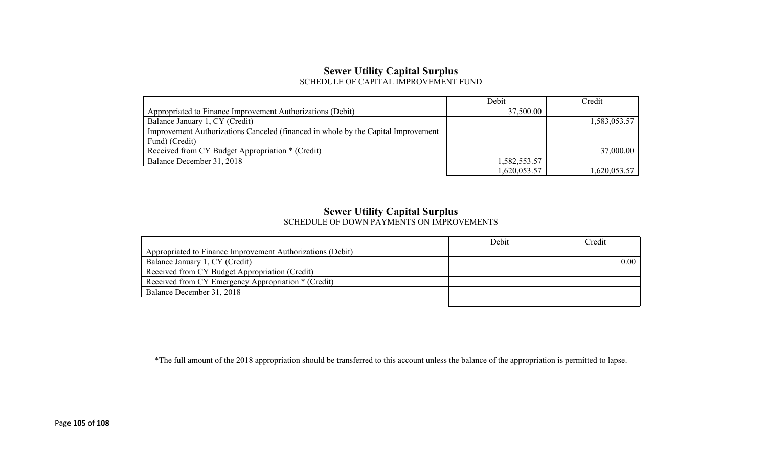#### **Sewer Utility Capital Surplus** SCHEDULE OF CAPITAL IMPROVEMENT FUND

|                                                                                   | Debit        | Credit       |
|-----------------------------------------------------------------------------------|--------------|--------------|
| Appropriated to Finance Improvement Authorizations (Debit)                        | 37,500.00    |              |
| Balance January 1, CY (Credit)                                                    |              | 1,583,053.57 |
| Improvement Authorizations Canceled (financed in whole by the Capital Improvement |              |              |
| Fund) (Credit)                                                                    |              |              |
| Received from CY Budget Appropriation * (Credit)                                  |              | 37,000.00    |
| Balance December 31, 2018                                                         | 1,582,553.57 |              |
|                                                                                   | 1,620,053.57 | 1,620,053.57 |

#### **Sewer Utility Capital Surplus**

SCHEDULE OF DOWN PAYMENTS ON IMPROVEMENTS

|                                                            | Debit | Credit |
|------------------------------------------------------------|-------|--------|
| Appropriated to Finance Improvement Authorizations (Debit) |       |        |
| Balance January 1, CY (Credit)                             |       | 0.00   |
| Received from CY Budget Appropriation (Credit)             |       |        |
| Received from CY Emergency Appropriation * (Credit)        |       |        |
| Balance December 31, 2018                                  |       |        |
|                                                            |       |        |

\*The full amount of the 2018 appropriation should be transferred to this account unless the balance of the appropriation is permitted to lapse.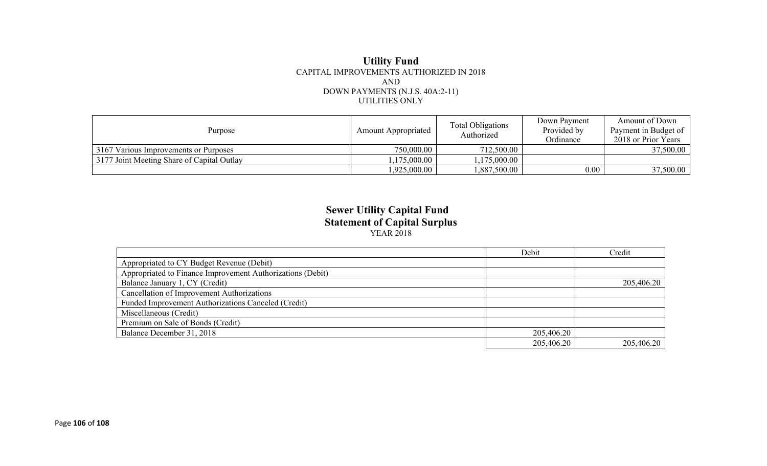#### **Utility Fund** CAPITAL IMPROVEMENTS AUTHORIZED IN 2018 AND DOWN PAYMENTS (N.J.S. 40A:2-11) UTILITIES ONLY

| Purpose                                    | <b>Amount Appropriated</b> | <b>Total Obligations</b><br>Authorized | Down Payment<br>Provided by<br>Ordinance | Amount of Down<br>Payment in Budget of<br>2018 or Prior Years |
|--------------------------------------------|----------------------------|----------------------------------------|------------------------------------------|---------------------------------------------------------------|
| 3167 Various Improvements or Purposes      | 750,000.00                 | 712,500.00                             |                                          | 37,500.00                                                     |
| 3177 Joint Meeting Share of Capital Outlay | $175,000.00$ $^{\circ}$    | 1,175,000.00                           |                                          |                                                               |
|                                            | .925,000.00                | 1,887,500.00                           | $0.00\,$                                 | 37,500.00                                                     |

#### **Sewer Utility Capital Fund Statement of Capital Surplus** YEAR 2018

|                                                            | Debit      | Credit     |
|------------------------------------------------------------|------------|------------|
| Appropriated to CY Budget Revenue (Debit)                  |            |            |
| Appropriated to Finance Improvement Authorizations (Debit) |            |            |
| Balance January 1, CY (Credit)                             |            | 205,406.20 |
| <b>Cancellation of Improvement Authorizations</b>          |            |            |
| Funded Improvement Authorizations Canceled (Credit)        |            |            |
| Miscellaneous (Credit)                                     |            |            |
| Premium on Sale of Bonds (Credit)                          |            |            |
| Balance December 31, 2018                                  | 205,406.20 |            |
|                                                            | 205,406.20 | 205,406.20 |